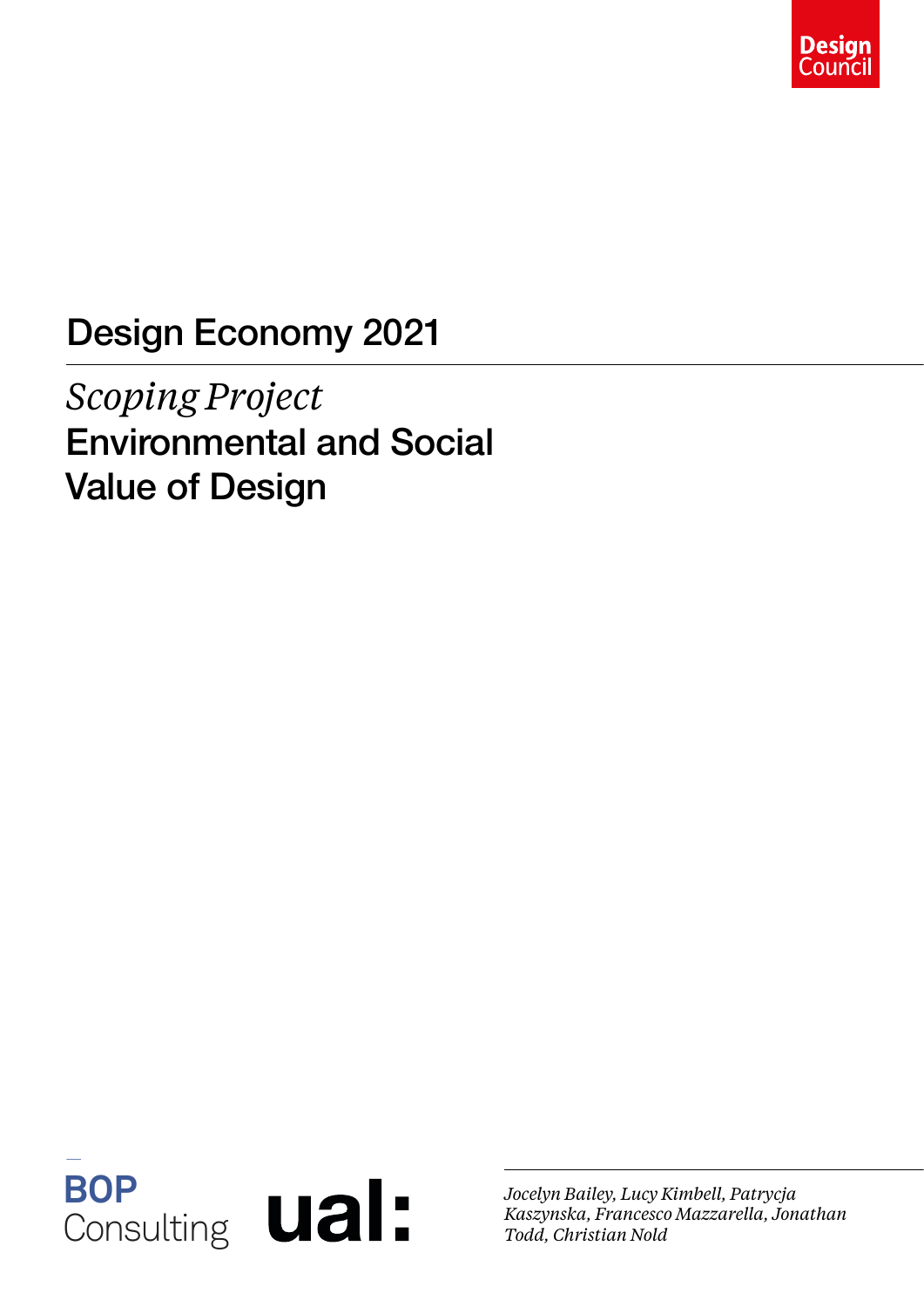

### Design Economy 2021

*Scoping Project* Environmental and Social Value of Design



*Jocelyn Bailey, Lucy Kimbell, Patrycja Kaszynska, Francesco Mazzarella, Jonathan Todd, Christian Nold*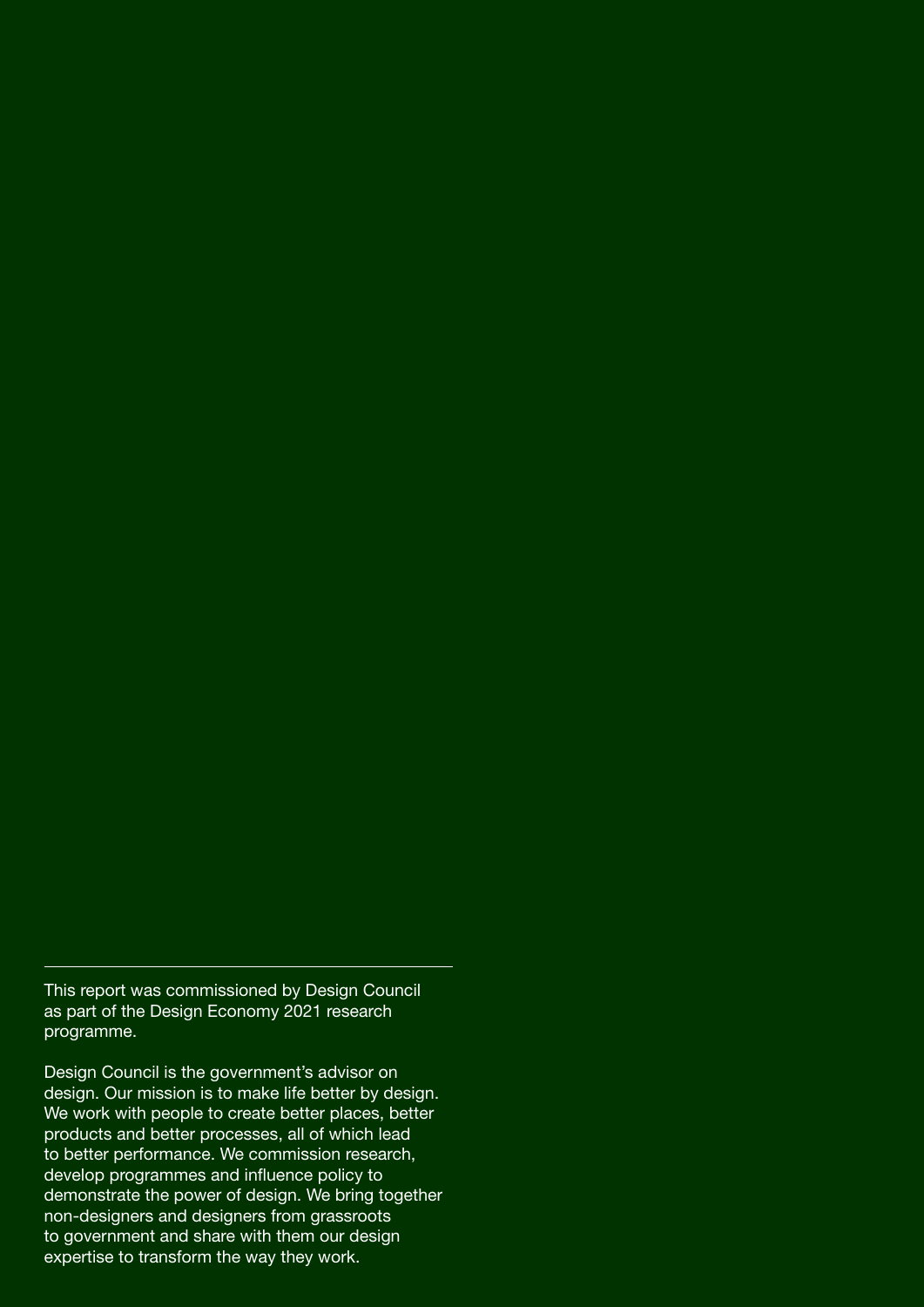This report was commissioned by Design Council as part of the Design Economy 2021 research programme.

Design Council is the government's advisor on design. Our mission is to make life better by design. We work with people to create better places, better products and better processes, all of which lead to better performance. We commission research, develop programmes and influence policy to demonstrate the power of design. We bring together non-designers and designers from grassroots to government and share with them our design expertise to transform the way they work.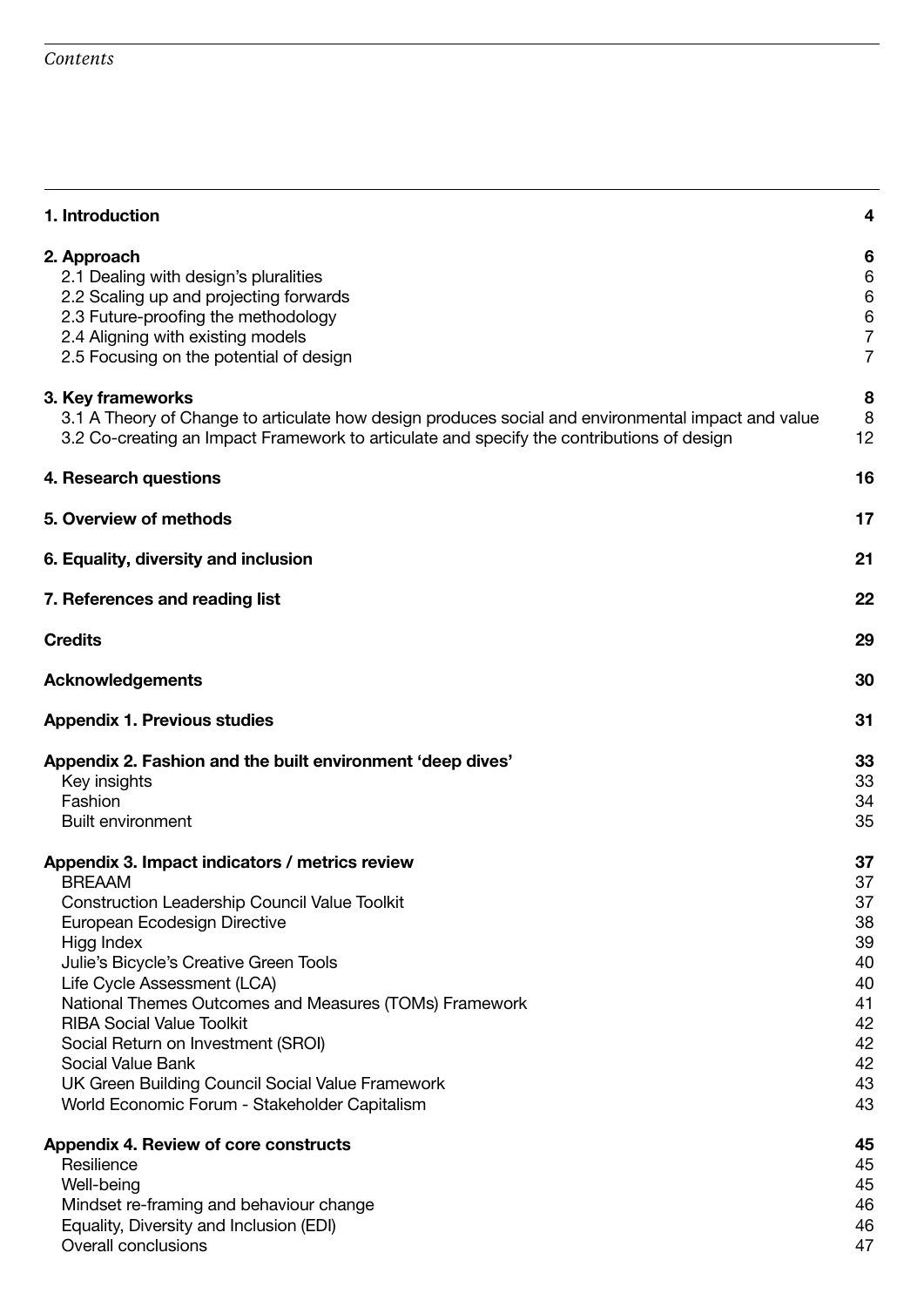| 1. Introduction                                                                                                                                                                                                                                                                                                                                                                                                                                                                                                                                       | 4                                                                                |
|-------------------------------------------------------------------------------------------------------------------------------------------------------------------------------------------------------------------------------------------------------------------------------------------------------------------------------------------------------------------------------------------------------------------------------------------------------------------------------------------------------------------------------------------------------|----------------------------------------------------------------------------------|
| 2. Approach<br>2.1 Dealing with design's pluralities<br>2.2 Scaling up and projecting forwards<br>2.3 Future-proofing the methodology<br>2.4 Aligning with existing models<br>2.5 Focusing on the potential of design                                                                                                                                                                                                                                                                                                                                 | 6<br>6<br>6<br>$\,6$<br>$\overline{7}$<br>$\overline{7}$                         |
| 3. Key frameworks<br>3.1 A Theory of Change to articulate how design produces social and environmental impact and value<br>3.2 Co-creating an Impact Framework to articulate and specify the contributions of design                                                                                                                                                                                                                                                                                                                                  | 8<br>8<br>12                                                                     |
| 4. Research questions                                                                                                                                                                                                                                                                                                                                                                                                                                                                                                                                 | 16                                                                               |
| 5. Overview of methods                                                                                                                                                                                                                                                                                                                                                                                                                                                                                                                                | 17                                                                               |
| 6. Equality, diversity and inclusion                                                                                                                                                                                                                                                                                                                                                                                                                                                                                                                  | 21                                                                               |
| 7. References and reading list                                                                                                                                                                                                                                                                                                                                                                                                                                                                                                                        | 22                                                                               |
| <b>Credits</b>                                                                                                                                                                                                                                                                                                                                                                                                                                                                                                                                        | 29                                                                               |
| <b>Acknowledgements</b>                                                                                                                                                                                                                                                                                                                                                                                                                                                                                                                               | 30                                                                               |
| <b>Appendix 1. Previous studies</b>                                                                                                                                                                                                                                                                                                                                                                                                                                                                                                                   | 31                                                                               |
| Appendix 2. Fashion and the built environment 'deep dives'<br>Key insights<br>Fashion<br><b>Built environment</b>                                                                                                                                                                                                                                                                                                                                                                                                                                     | 33<br>33<br>34<br>35                                                             |
| Appendix 3. Impact indicators / metrics review<br><b>BREAAM</b><br><b>Construction Leadership Council Value Toolkit</b><br>European Ecodesign Directive<br>Higg Index<br>Julie's Bicycle's Creative Green Tools<br>Life Cycle Assessment (LCA)<br>National Themes Outcomes and Measures (TOMs) Framework<br><b>RIBA Social Value Toolkit</b><br>Social Return on Investment (SROI)<br>Social Value Bank<br>UK Green Building Council Social Value Framework<br>World Economic Forum - Stakeholder Capitalism<br>Appendix 4. Review of core constructs | 37<br>37<br>37<br>38<br>39<br>40<br>40<br>41<br>42<br>42<br>42<br>43<br>43<br>45 |
| Resilience<br>Well-being                                                                                                                                                                                                                                                                                                                                                                                                                                                                                                                              | 45<br>45                                                                         |
| Mindset re-framing and behaviour change<br>Equality, Diversity and Inclusion (EDI)<br>Overall conclusions                                                                                                                                                                                                                                                                                                                                                                                                                                             | 46<br>46<br>47                                                                   |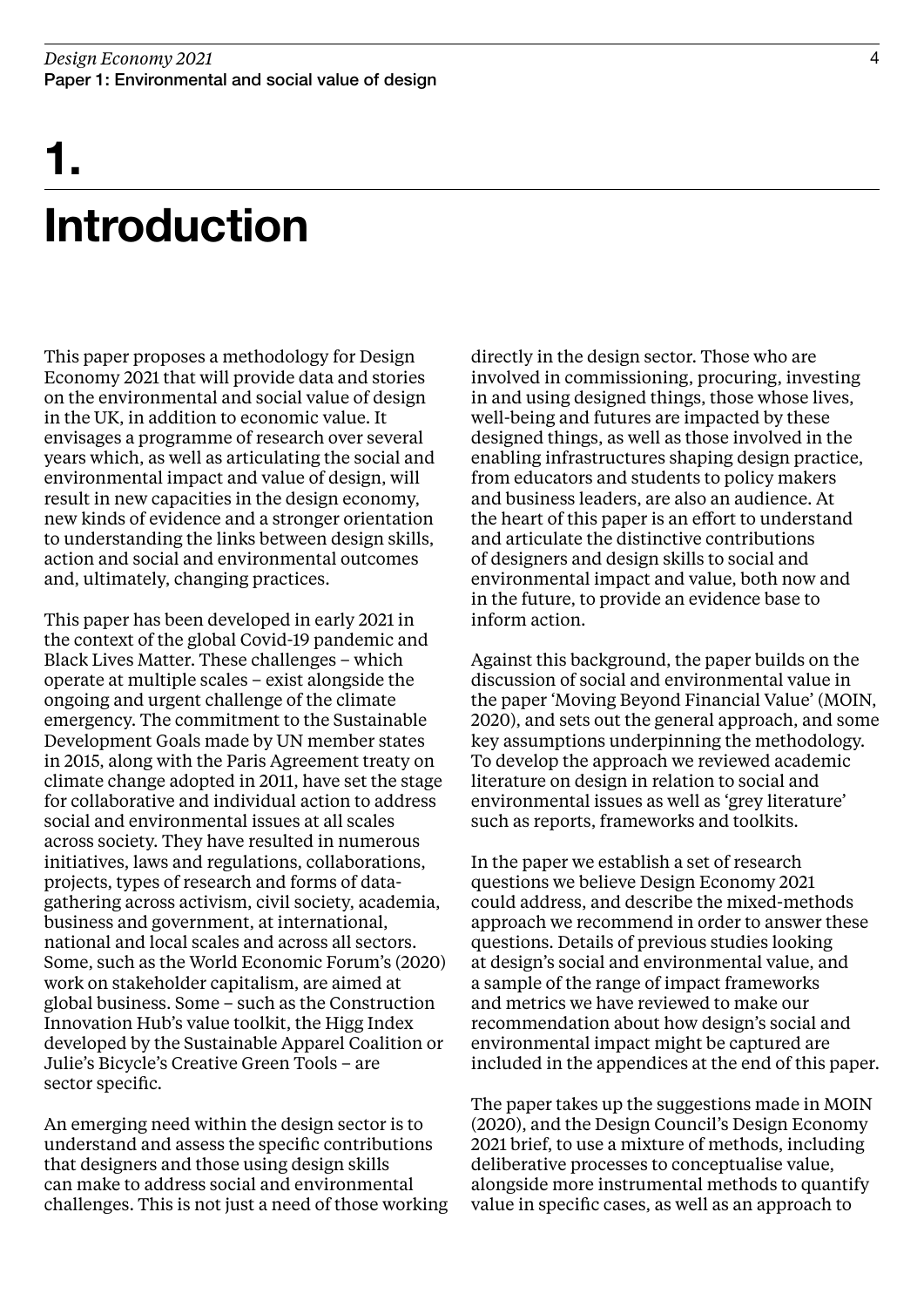## Introduction 1.

This paper proposes a methodology for Design Economy 2021 that will provide data and stories on the environmental and social value of design in the UK, in addition to economic value. It envisages a programme of research over several years which, as well as articulating the social and environmental impact and value of design, will result in new capacities in the design economy, new kinds of evidence and a stronger orientation to understanding the links between design skills, action and social and environmental outcomes and, ultimately, changing practices.

This paper has been developed in early 2021 in the context of the global Covid-19 pandemic and Black Lives Matter. These challenges – which operate at multiple scales – exist alongside the ongoing and urgent challenge of the climate emergency. The commitment to the Sustainable Development Goals made by UN member states in 2015, along with the Paris Agreement treaty on climate change adopted in 2011, have set the stage for collaborative and individual action to address social and environmental issues at all scales across society. They have resulted in numerous initiatives, laws and regulations, collaborations, projects, types of research and forms of datagathering across activism, civil society, academia, business and government, at international, national and local scales and across all sectors. Some, such as the World Economic Forum's (2020) work on stakeholder capitalism, are aimed at global business. Some – such as the Construction Innovation Hub's value toolkit, the Higg Index developed by the Sustainable Apparel Coalition or Julie's Bicycle's Creative Green Tools – are sector specific.

An emerging need within the design sector is to understand and assess the specific contributions that designers and those using design skills can make to address social and environmental challenges. This is not just a need of those working directly in the design sector. Those who are involved in commissioning, procuring, investing in and using designed things, those whose lives, well-being and futures are impacted by these designed things, as well as those involved in the enabling infrastructures shaping design practice, from educators and students to policy makers and business leaders, are also an audience. At the heart of this paper is an effort to understand and articulate the distinctive contributions of designers and design skills to social and environmental impact and value, both now and in the future, to provide an evidence base to inform action.

Against this background, the paper builds on the discussion of social and environmental value in the paper 'Moving Beyond Financial Value' (MOIN, 2020), and sets out the general approach, and some key assumptions underpinning the methodology. To develop the approach we reviewed academic literature on design in relation to social and environmental issues as well as 'grey literature' such as reports, frameworks and toolkits.

In the paper we establish a set of research questions we believe Design Economy 2021 could address, and describe the mixed-methods approach we recommend in order to answer these questions. Details of previous studies looking at design's social and environmental value, and a sample of the range of impact frameworks and metrics we have reviewed to make our recommendation about how design's social and environmental impact might be captured are included in the appendices at the end of this paper.

The paper takes up the suggestions made in MOIN (2020), and the Design Council's Design Economy 2021 brief, to use a mixture of methods, including deliberative processes to conceptualise value, alongside more instrumental methods to quantify value in specific cases, as well as an approach to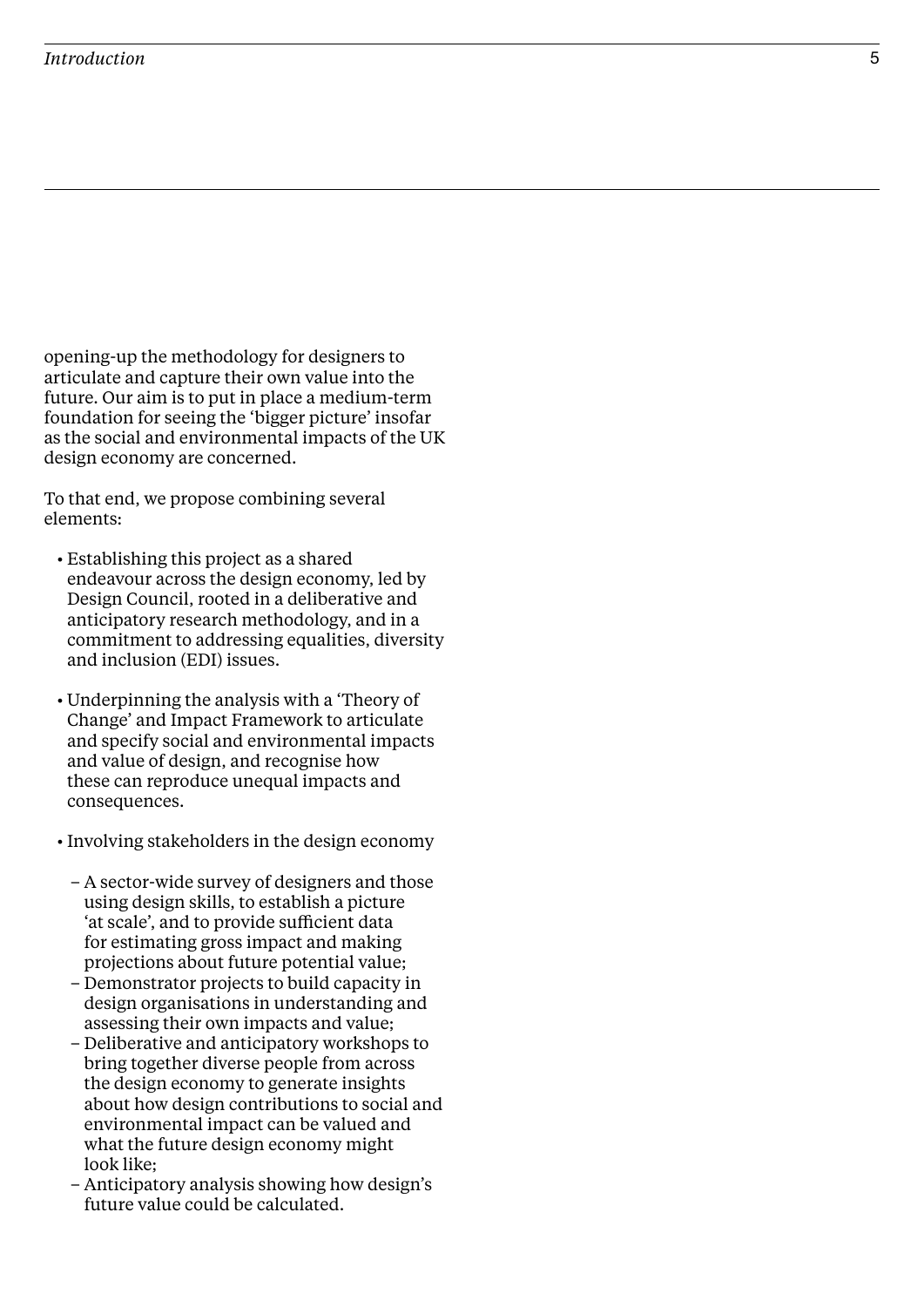### *Introduction*

opening-up the methodology for designers to articulate and capture their own value into the future. Our aim is to put in place a medium-term foundation for seeing the 'bigger picture' insofar as the social and environmental impacts of the UK design economy are concerned.

To that end, we propose combining several elements:

- Establishing this project as a shared endeavour across the design economy, led by Design Council, rooted in a deliberative and anticipatory research methodology, and in a commitment to addressing equalities, diversity and inclusion (EDI) issues.
- Underpinning the analysis with a 'Theory of Change' and Impact Framework to articulate and specify social and environmental impacts and value of design, and recognise how these can reproduce unequal impacts and consequences.
- Involving stakeholders in the design economy
	- A sector-wide survey of designers and those using design skills, to establish a picture 'at scale', and to provide sufficient data for estimating gross impact and making projections about future potential value;
	- Demonstrator projects to build capacity in design organisations in understanding and assessing their own impacts and value;
	- Deliberative and anticipatory workshops to bring together diverse people from across the design economy to generate insights about how design contributions to social and environmental impact can be valued and what the future design economy might look like;
	- Anticipatory analysis showing how design's future value could be calculated.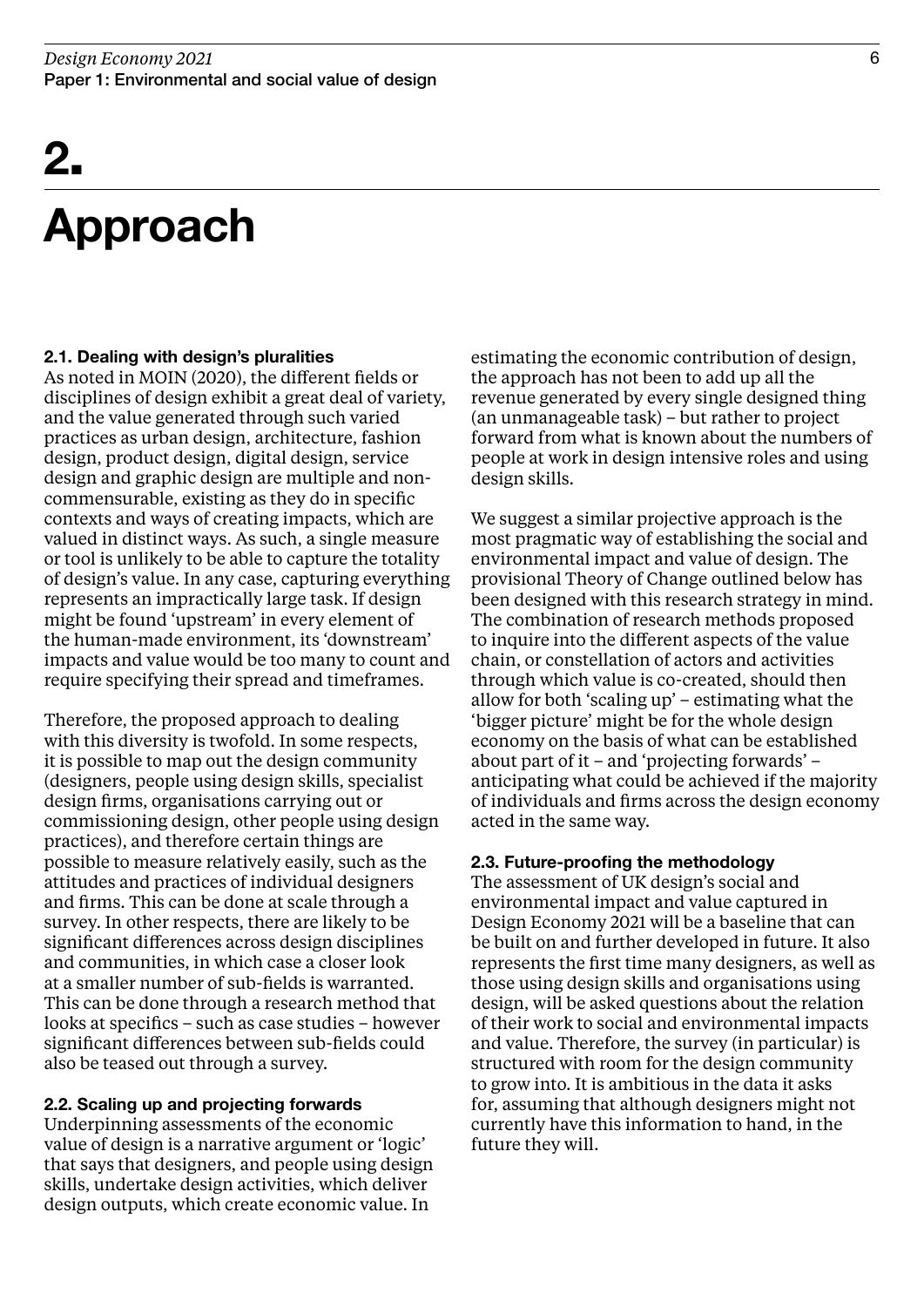## Approach

### 2.1. Dealing with design's pluralities

As noted in MOIN (2020), the different fields or disciplines of design exhibit a great deal of variety, and the value generated through such varied practices as urban design, architecture, fashion design, product design, digital design, service design and graphic design are multiple and noncommensurable, existing as they do in specific contexts and ways of creating impacts, which are valued in distinct ways. As such, a single measure or tool is unlikely to be able to capture the totality of design's value. In any case, capturing everything represents an impractically large task. If design might be found 'upstream' in every element of the human-made environment, its 'downstream' impacts and value would be too many to count and require specifying their spread and timeframes.

Therefore, the proposed approach to dealing with this diversity is twofold. In some respects, it is possible to map out the design community (designers, people using design skills, specialist design firms, organisations carrying out or commissioning design, other people using design practices), and therefore certain things are possible to measure relatively easily, such as the attitudes and practices of individual designers and firms. This can be done at scale through a survey. In other respects, there are likely to be significant differences across design disciplines and communities, in which case a closer look at a smaller number of sub-fields is warranted. This can be done through a research method that looks at specifics – such as case studies – however significant differences between sub-fields could also be teased out through a survey.

### 2.2. Scaling up and projecting forwards

Underpinning assessments of the economic value of design is a narrative argument or 'logic' that says that designers, and people using design skills, undertake design activities, which deliver design outputs, which create economic value. In

estimating the economic contribution of design, the approach has not been to add up all the revenue generated by every single designed thing (an unmanageable task) – but rather to project forward from what is known about the numbers of people at work in design intensive roles and using design skills.

We suggest a similar projective approach is the most pragmatic way of establishing the social and environmental impact and value of design. The provisional Theory of Change outlined below has been designed with this research strategy in mind. The combination of research methods proposed to inquire into the different aspects of the value chain, or constellation of actors and activities through which value is co-created, should then allow for both 'scaling up' – estimating what the 'bigger picture' might be for the whole design economy on the basis of what can be established about part of it – and 'projecting forwards' – anticipating what could be achieved if the majority of individuals and firms across the design economy acted in the same way.

### 2.3. Future-proofing the methodology

The assessment of UK design's social and environmental impact and value captured in Design Economy 2021 will be a baseline that can be built on and further developed in future. It also represents the first time many designers, as well as those using design skills and organisations using design, will be asked questions about the relation of their work to social and environmental impacts and value. Therefore, the survey (in particular) is structured with room for the design community to grow into. It is ambitious in the data it asks for, assuming that although designers might not currently have this information to hand, in the future they will.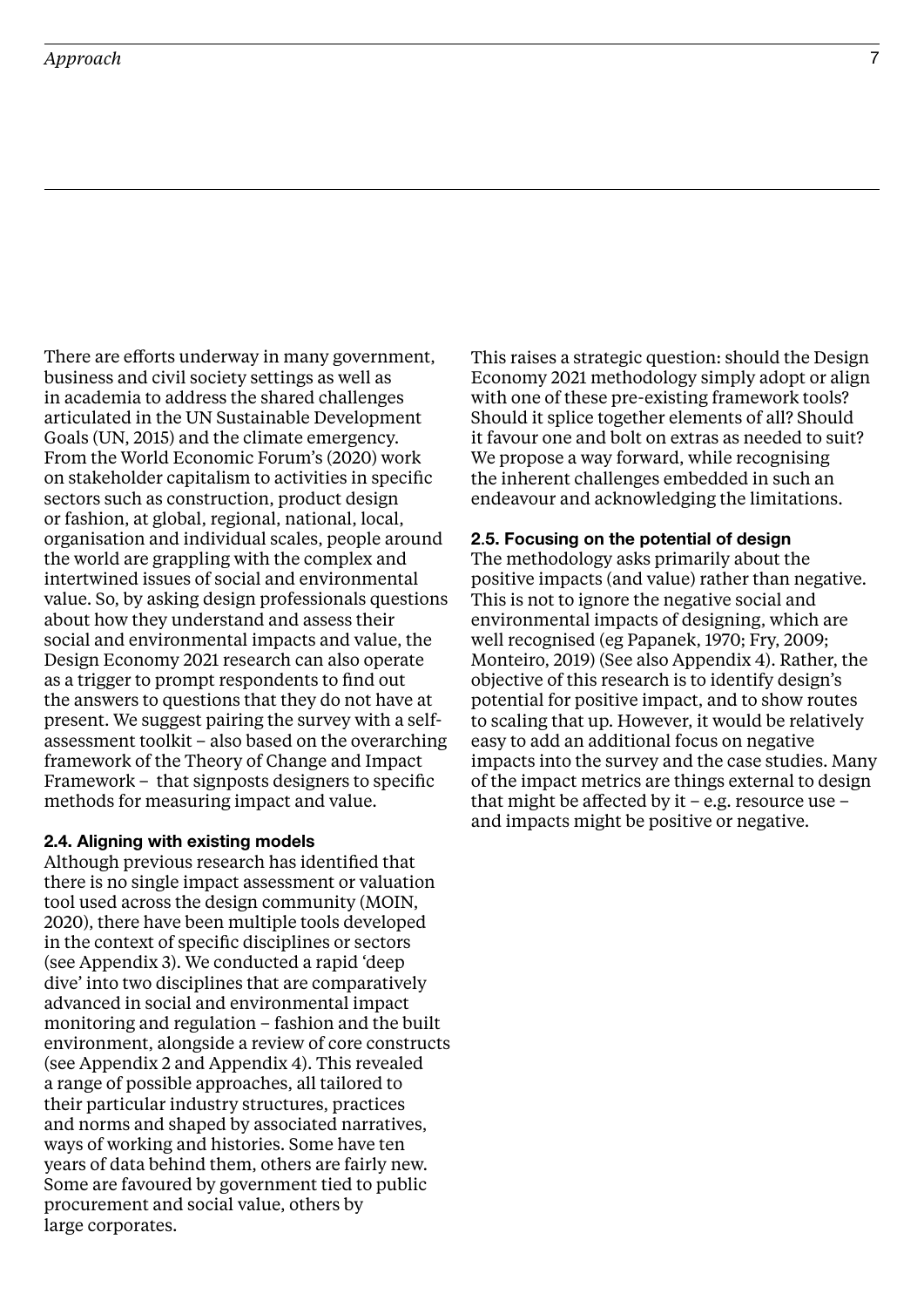### *Approach*

There are efforts underway in many government, business and civil society settings as well as in academia to address the shared challenges articulated in the UN Sustainable Development Goals (UN, 2015) and the climate emergency. From the World Economic Forum's (2020) work on stakeholder capitalism to activities in specific sectors such as construction, product design or fashion, at global, regional, national, local, organisation and individual scales, people around the world are grappling with the complex and intertwined issues of social and environmental value. So, by asking design professionals questions about how they understand and assess their social and environmental impacts and value, the Design Economy 2021 research can also operate as a trigger to prompt respondents to find out the answers to questions that they do not have at present. We suggest pairing the survey with a selfassessment toolkit – also based on the overarching framework of the Theory of Change and Impact Framework – that signposts designers to specific methods for measuring impact and value.

#### 2.4. Aligning with existing models

Although previous research has identified that there is no single impact assessment or valuation tool used across the design community (MOIN, 2020), there have been multiple tools developed in the context of specific disciplines or sectors (see Appendix 3). We conducted a rapid 'deep dive' into two disciplines that are comparatively advanced in social and environmental impact monitoring and regulation – fashion and the built environment, alongside a review of core constructs (see Appendix 2 and Appendix 4). This revealed a range of possible approaches, all tailored to their particular industry structures, practices and norms and shaped by associated narratives, ways of working and histories. Some have ten years of data behind them, others are fairly new. Some are favoured by government tied to public procurement and social value, others by large corporates.

This raises a strategic question: should the Design Economy 2021 methodology simply adopt or align with one of these pre-existing framework tools? Should it splice together elements of all? Should it favour one and bolt on extras as needed to suit? We propose a way forward, while recognising the inherent challenges embedded in such an endeavour and acknowledging the limitations.

#### 2.5. Focusing on the potential of design

The methodology asks primarily about the positive impacts (and value) rather than negative. This is not to ignore the negative social and environmental impacts of designing, which are well recognised (eg Papanek, 1970; Fry, 2009; Monteiro, 2019) (See also Appendix 4). Rather, the objective of this research is to identify design's potential for positive impact, and to show routes to scaling that up. However, it would be relatively easy to add an additional focus on negative impacts into the survey and the case studies. Many of the impact metrics are things external to design that might be affected by it  $-$  e.g. resource use  $$ and impacts might be positive or negative.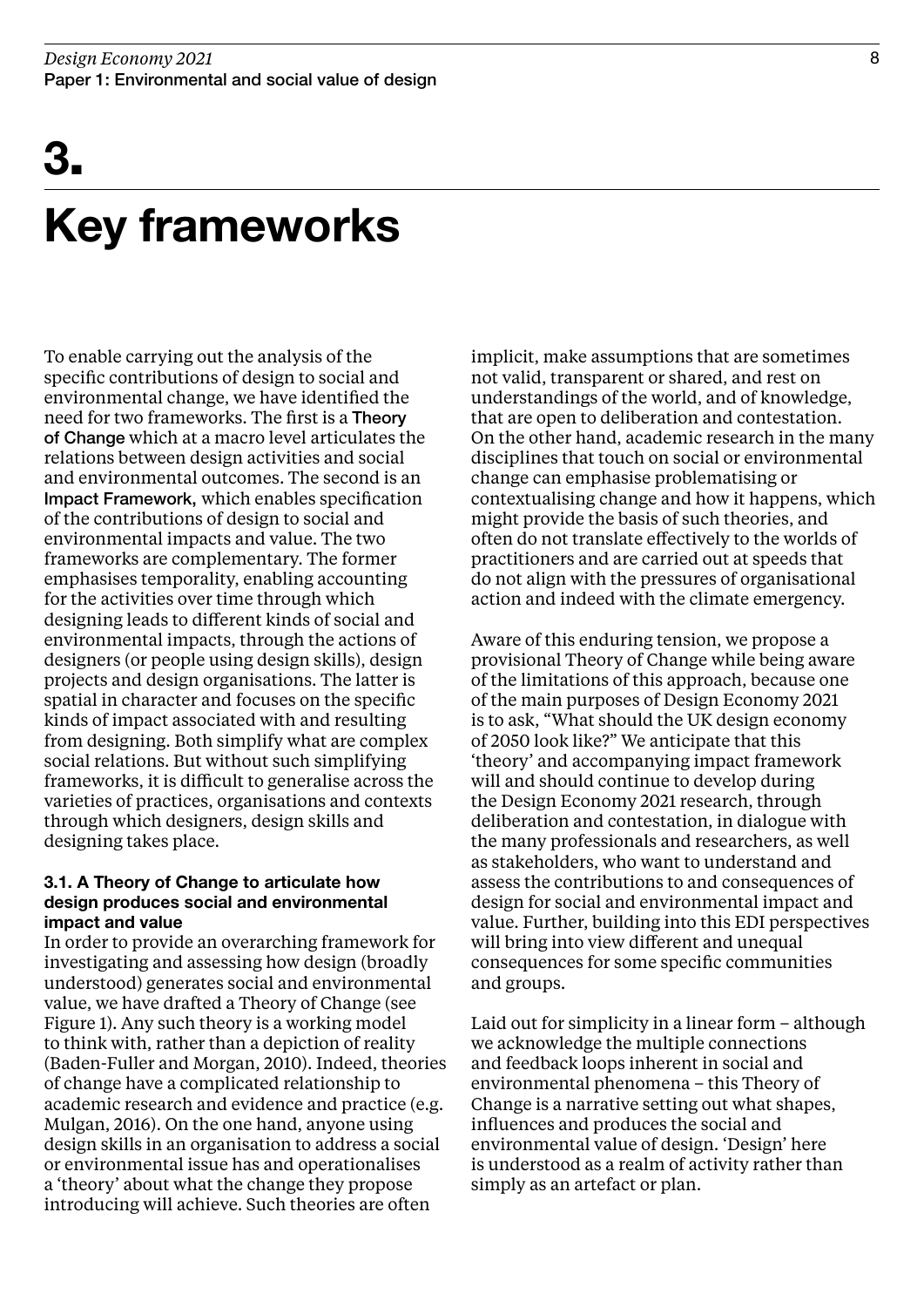## 3.

## Key frameworks

To enable carrying out the analysis of the specific contributions of design to social and environmental change, we have identified the need for two frameworks. The first is a Theory of Change which at a macro level articulates the relations between design activities and social and environmental outcomes. The second is an Impact Framework, which enables specification of the contributions of design to social and environmental impacts and value. The two frameworks are complementary. The former emphasises temporality, enabling accounting for the activities over time through which designing leads to different kinds of social and environmental impacts, through the actions of designers (or people using design skills), design projects and design organisations. The latter is spatial in character and focuses on the specific kinds of impact associated with and resulting from designing. Both simplify what are complex social relations. But without such simplifying frameworks, it is difficult to generalise across the varieties of practices, organisations and contexts through which designers, design skills and designing takes place.

### 3.1. A Theory of Change to articulate how design produces social and environmental impact and value

In order to provide an overarching framework for investigating and assessing how design (broadly understood) generates social and environmental value, we have drafted a Theory of Change (see Figure 1). Any such theory is a working model to think with, rather than a depiction of reality (Baden-Fuller and Morgan, 2010). Indeed, theories of change have a complicated relationship to academic research and evidence and practice (e.g. Mulgan, 2016). On the one hand, anyone using design skills in an organisation to address a social or environmental issue has and operationalises a 'theory' about what the change they propose introducing will achieve. Such theories are often

implicit, make assumptions that are sometimes not valid, transparent or shared, and rest on understandings of the world, and of knowledge, that are open to deliberation and contestation. On the other hand, academic research in the many disciplines that touch on social or environmental change can emphasise problematising or contextualising change and how it happens, which might provide the basis of such theories, and often do not translate effectively to the worlds of practitioners and are carried out at speeds that do not align with the pressures of organisational action and indeed with the climate emergency.

Aware of this enduring tension, we propose a provisional Theory of Change while being aware of the limitations of this approach, because one of the main purposes of Design Economy 2021 is to ask, "What should the UK design economy of 2050 look like?" We anticipate that this 'theory' and accompanying impact framework will and should continue to develop during the Design Economy 2021 research, through deliberation and contestation, in dialogue with the many professionals and researchers, as well as stakeholders, who want to understand and assess the contributions to and consequences of design for social and environmental impact and value. Further, building into this EDI perspectives will bring into view different and unequal consequences for some specific communities and groups.

Laid out for simplicity in a linear form – although we acknowledge the multiple connections and feedback loops inherent in social and environmental phenomena – this Theory of Change is a narrative setting out what shapes, influences and produces the social and environmental value of design. 'Design' here is understood as a realm of activity rather than simply as an artefact or plan.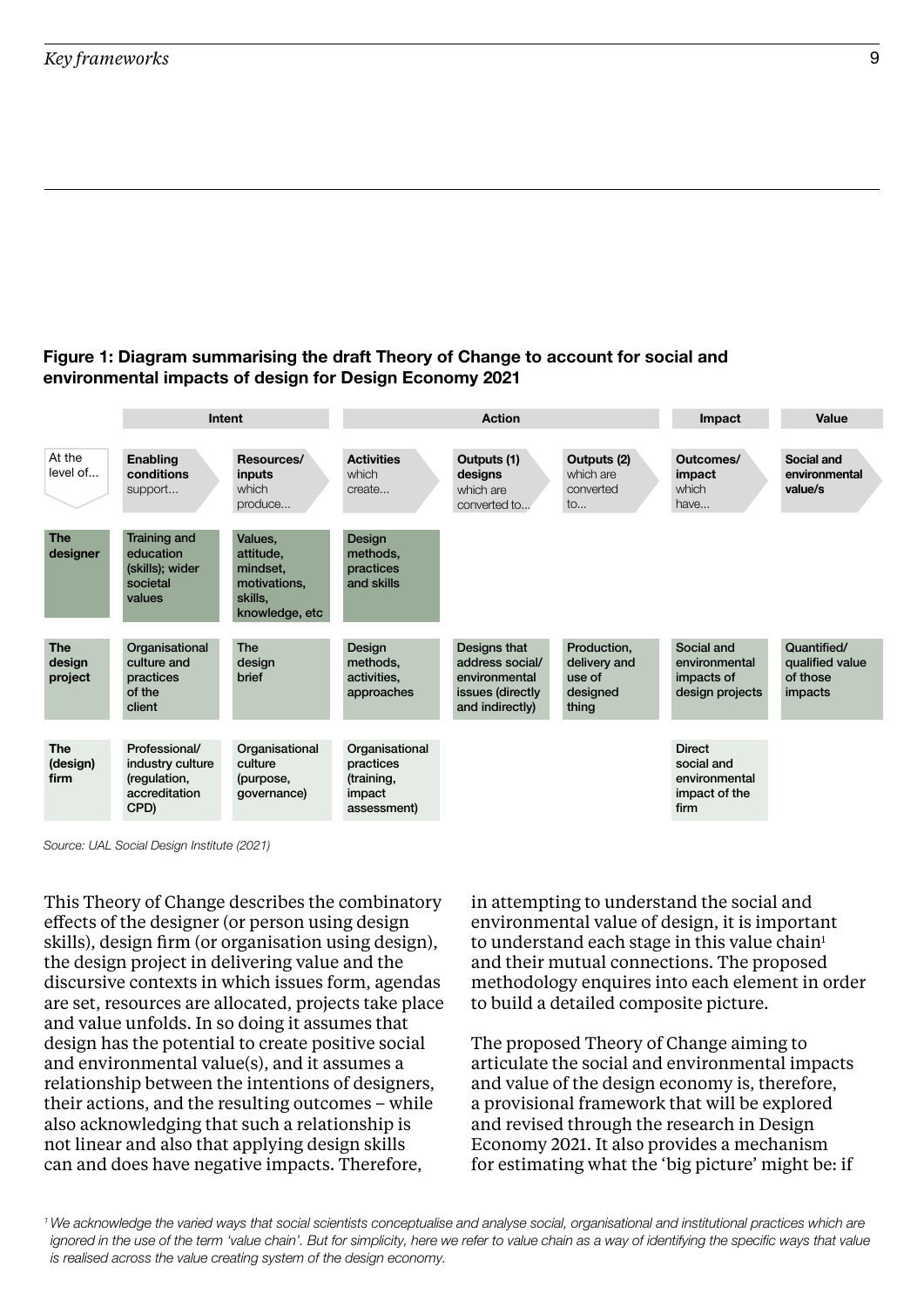### Figure 1: Diagram summarising the draft Theory of Change to account for social and environmental impacts of design for Design Economy 2021



Source: UAL Social Design Institute (2021)

This Theory of Change describes the combinatory effects of the designer (or person using design skills), design firm (or organisation using design), the design project in delivering value and the discursive contexts in which issues form, agendas are set, resources are allocated, projects take place and value unfolds. In so doing it assumes that design has the potential to create positive social and environmental value(s), and it assumes a relationship between the intentions of designers, their actions, and the resulting outcomes – while also acknowledging that such a relationship is not linear and also that applying design skills can and does have negative impacts. Therefore,

in attempting to understand the social and environmental value of design, it is important to understand each stage in this value chain<sup>1</sup> and their mutual connections. The proposed methodology enquires into each element in order to build a detailed composite picture.

The proposed Theory of Change aiming to articulate the social and environmental impacts and value of the design economy is, therefore, a provisional framework that will be explored and revised through the research in Design Economy 2021. It also provides a mechanism for estimating what the 'big picture' might be: if

1 We acknowledge the varied ways that social scientists conceptualise and analyse social, organisational and institutional practices which are ignored in the use of the term 'value chain'. But for simplicity, here we refer to value chain as a way of identifying the specific ways that value is realised across the value creating system of the design economy.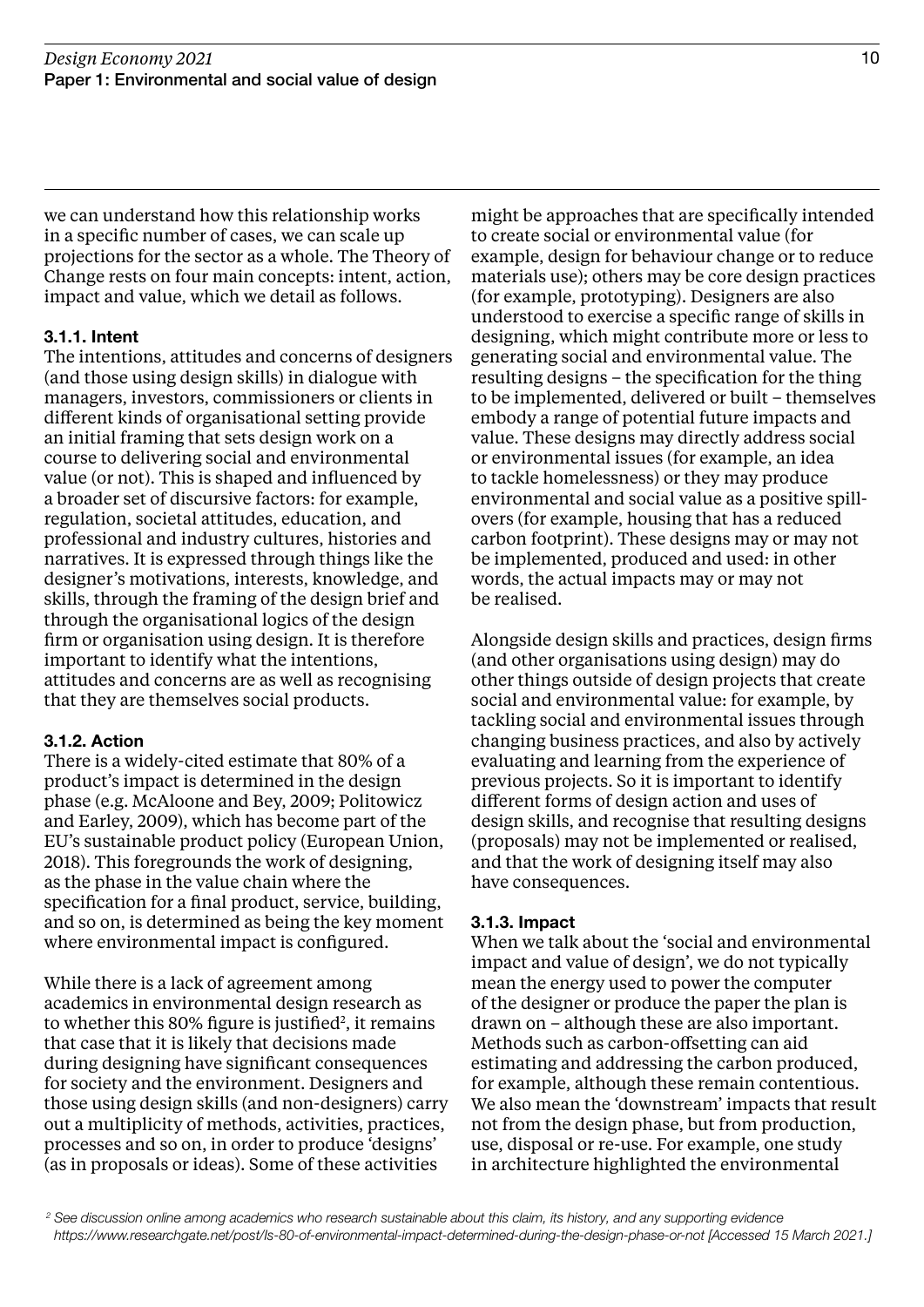we can understand how this relationship works in a specific number of cases, we can scale up projections for the sector as a whole. The Theory of Change rests on four main concepts: intent, action, impact and value, which we detail as follows.

### 3.1.1. Intent

The intentions, attitudes and concerns of designers (and those using design skills) in dialogue with managers, investors, commissioners or clients in different kinds of organisational setting provide an initial framing that sets design work on a course to delivering social and environmental value (or not). This is shaped and influenced by a broader set of discursive factors: for example, regulation, societal attitudes, education, and professional and industry cultures, histories and narratives. It is expressed through things like the designer's motivations, interests, knowledge, and skills, through the framing of the design brief and through the organisational logics of the design firm or organisation using design. It is therefore important to identify what the intentions, attitudes and concerns are as well as recognising that they are themselves social products.

### 3.1.2. Action

There is a widely-cited estimate that 80% of a product's impact is determined in the design phase (e.g. McAloone and Bey, 2009; Politowicz and Earley, 2009), which has become part of the EU's sustainable product policy (European Union, 2018). This foregrounds the work of designing, as the phase in the value chain where the specification for a final product, service, building, and so on, is determined as being the key moment where environmental impact is configured.

While there is a lack of agreement among academics in environmental design research as to whether this  $80\%$  figure is justified<sup>2</sup>, it remains that case that it is likely that decisions made during designing have significant consequences for society and the environment. Designers and those using design skills (and non-designers) carry out a multiplicity of methods, activities, practices, processes and so on, in order to produce 'designs' (as in proposals or ideas). Some of these activities

might be approaches that are specifically intended to create social or environmental value (for example, design for behaviour change or to reduce materials use); others may be core design practices (for example, prototyping). Designers are also understood to exercise a specific range of skills in designing, which might contribute more or less to generating social and environmental value. The resulting designs – the specification for the thing to be implemented, delivered or built – themselves embody a range of potential future impacts and value. These designs may directly address social or environmental issues (for example, an idea to tackle homelessness) or they may produce environmental and social value as a positive spillovers (for example, housing that has a reduced carbon footprint). These designs may or may not be implemented, produced and used: in other words, the actual impacts may or may not be realised.

Alongside design skills and practices, design firms (and other organisations using design) may do other things outside of design projects that create social and environmental value: for example, by tackling social and environmental issues through changing business practices, and also by actively evaluating and learning from the experience of previous projects. So it is important to identify different forms of design action and uses of design skills, and recognise that resulting designs (proposals) may not be implemented or realised, and that the work of designing itself may also have consequences.

### 3.1.3. Impact

When we talk about the 'social and environmental impact and value of design', we do not typically mean the energy used to power the computer of the designer or produce the paper the plan is drawn on – although these are also important. Methods such as carbon-offsetting can aid estimating and addressing the carbon produced, for example, although these remain contentious. We also mean the 'downstream' impacts that result not from the design phase, but from production, use, disposal or re-use. For example, one study in architecture highlighted the environmental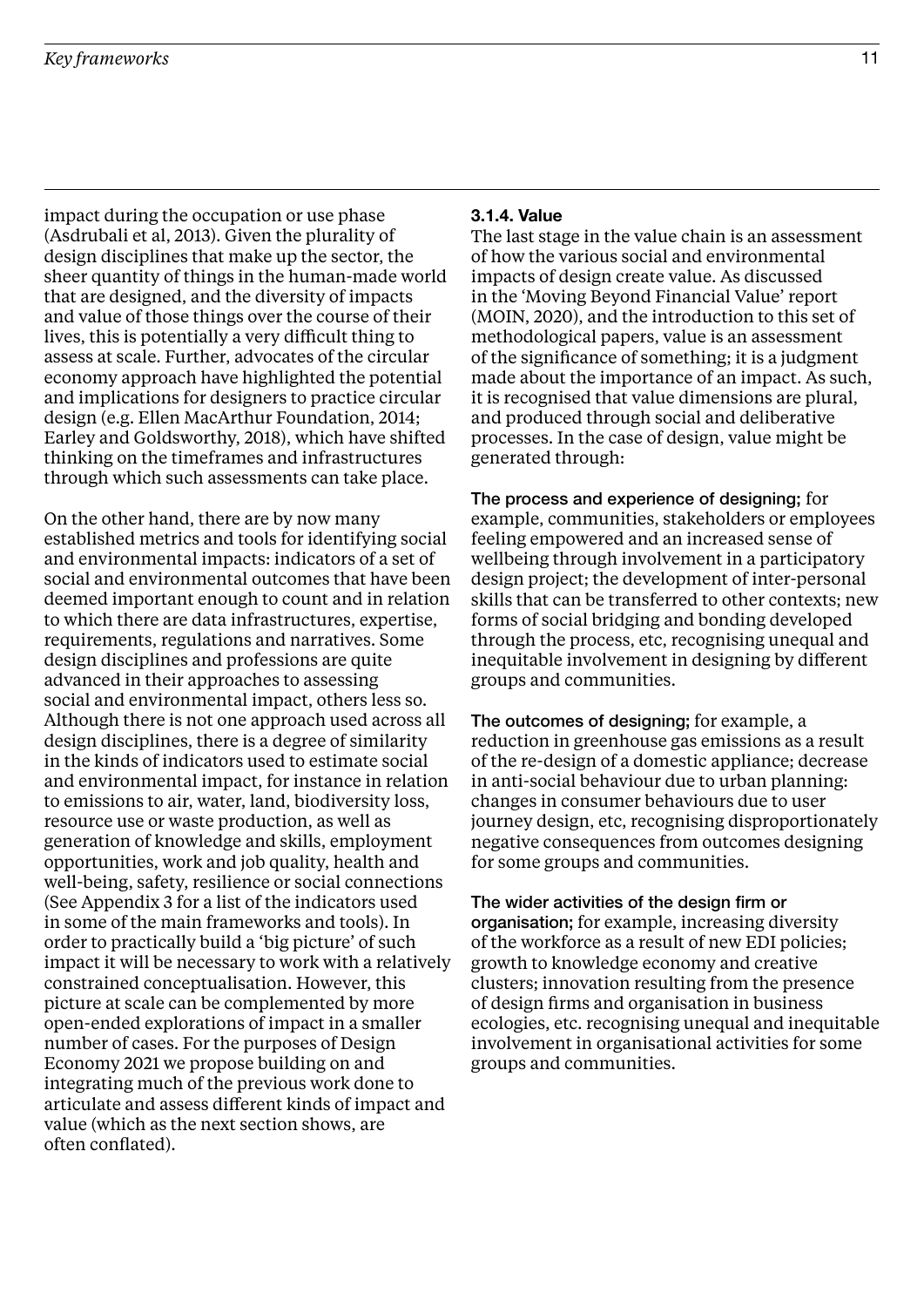impact during the occupation or use phase (Asdrubali et al, 2013). Given the plurality of design disciplines that make up the sector, the sheer quantity of things in the human-made world that are designed, and the diversity of impacts and value of those things over the course of their lives, this is potentially a very difficult thing to assess at scale. Further, advocates of the circular economy approach have highlighted the potential and implications for designers to practice circular design (e.g. Ellen MacArthur Foundation, 2014; Earley and Goldsworthy, 2018), which have shifted thinking on the timeframes and infrastructures through which such assessments can take place.

On the other hand, there are by now many established metrics and tools for identifying social and environmental impacts: indicators of a set of social and environmental outcomes that have been deemed important enough to count and in relation to which there are data infrastructures, expertise, requirements, regulations and narratives. Some design disciplines and professions are quite advanced in their approaches to assessing social and environmental impact, others less so. Although there is not one approach used across all design disciplines, there is a degree of similarity in the kinds of indicators used to estimate social and environmental impact, for instance in relation to emissions to air, water, land, biodiversity loss, resource use or waste production, as well as generation of knowledge and skills, employment opportunities, work and job quality, health and well-being, safety, resilience or social connections (See Appendix 3 for a list of the indicators used in some of the main frameworks and tools). In order to practically build a 'big picture' of such impact it will be necessary to work with a relatively constrained conceptualisation. However, this picture at scale can be complemented by more open-ended explorations of impact in a smaller number of cases. For the purposes of Design Economy 2021 we propose building on and integrating much of the previous work done to articulate and assess different kinds of impact and value (which as the next section shows, are often conflated).

#### 3.1.4. Value

The last stage in the value chain is an assessment of how the various social and environmental impacts of design create value. As discussed in the 'Moving Beyond Financial Value' report (MOIN, 2020), and the introduction to this set of methodological papers, value is an assessment of the significance of something; it is a judgment made about the importance of an impact. As such, it is recognised that value dimensions are plural, and produced through social and deliberative processes. In the case of design, value might be generated through:

The process and experience of designing; for example, communities, stakeholders or employees feeling empowered and an increased sense of wellbeing through involvement in a participatory design project; the development of inter-personal skills that can be transferred to other contexts; new forms of social bridging and bonding developed through the process, etc, recognising unequal and inequitable involvement in designing by different groups and communities.

The outcomes of designing; for example, a reduction in greenhouse gas emissions as a result of the re-design of a domestic appliance; decrease in anti-social behaviour due to urban planning: changes in consumer behaviours due to user journey design, etc, recognising disproportionately negative consequences from outcomes designing for some groups and communities.

The wider activities of the design firm or organisation; for example, increasing diversity of the workforce as a result of new EDI policies; growth to knowledge economy and creative clusters; innovation resulting from the presence of design firms and organisation in business ecologies, etc. recognising unequal and inequitable involvement in organisational activities for some groups and communities.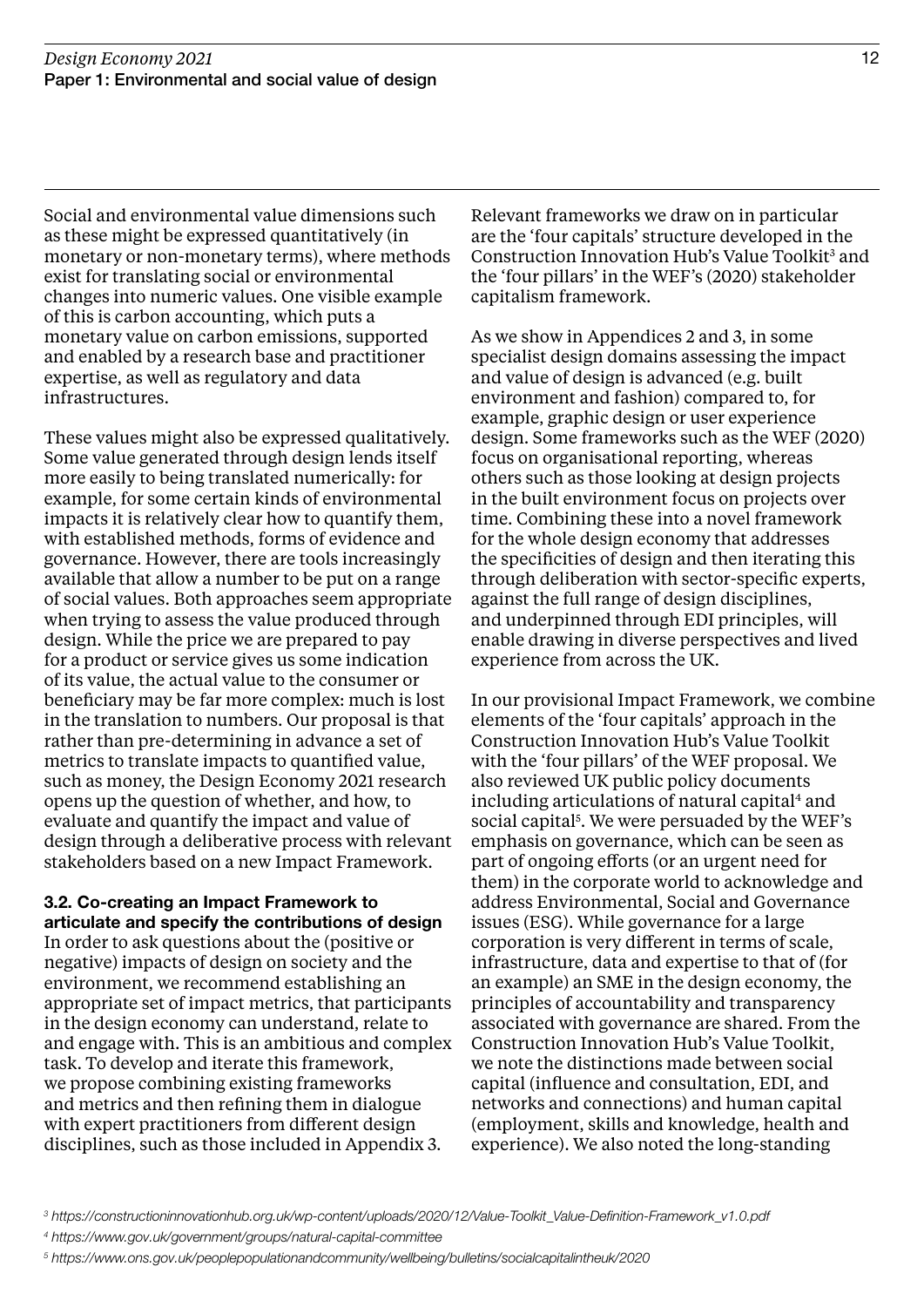Social and environmental value dimensions such as these might be expressed quantitatively (in monetary or non-monetary terms), where methods exist for translating social or environmental changes into numeric values. One visible example of this is carbon accounting, which puts a monetary value on carbon emissions, supported and enabled by a research base and practitioner expertise, as well as regulatory and data infrastructures.

These values might also be expressed qualitatively. Some value generated through design lends itself more easily to being translated numerically: for example, for some certain kinds of environmental impacts it is relatively clear how to quantify them, with established methods, forms of evidence and governance. However, there are tools increasingly available that allow a number to be put on a range of social values. Both approaches seem appropriate when trying to assess the value produced through design. While the price we are prepared to pay for a product or service gives us some indication of its value, the actual value to the consumer or beneficiary may be far more complex: much is lost in the translation to numbers. Our proposal is that rather than pre-determining in advance a set of metrics to translate impacts to quantified value, such as money, the Design Economy 2021 research opens up the question of whether, and how, to evaluate and quantify the impact and value of design through a deliberative process with relevant stakeholders based on a new Impact Framework.

3.2. Co-creating an Impact Framework to articulate and specify the contributions of design In order to ask questions about the (positive or negative) impacts of design on society and the environment, we recommend establishing an appropriate set of impact metrics, that participants in the design economy can understand, relate to and engage with. This is an ambitious and complex task. To develop and iterate this framework, we propose combining existing frameworks and metrics and then refining them in dialogue with expert practitioners from different design disciplines, such as those included in Appendix 3.

Relevant frameworks we draw on in particular are the 'four capitals' structure developed in the Construction Innovation Hub's Value Toolkit<sup>3</sup> and the 'four pillars' in the WEF's (2020) stakeholder capitalism framework.

As we show in Appendices 2 and 3, in some specialist design domains assessing the impact and value of design is advanced (e.g. built environment and fashion) compared to, for example, graphic design or user experience design. Some frameworks such as the WEF (2020) focus on organisational reporting, whereas others such as those looking at design projects in the built environment focus on projects over time. Combining these into a novel framework for the whole design economy that addresses the specificities of design and then iterating this through deliberation with sector-specific experts, against the full range of design disciplines, and underpinned through EDI principles, will enable drawing in diverse perspectives and lived experience from across the UK.

In our provisional Impact Framework, we combine elements of the 'four capitals' approach in the Construction Innovation Hub's Value Toolkit with the 'four pillars' of the WEF proposal. We also reviewed UK public policy documents including articulations of natural capital<sup>4</sup> and social capital<sup>5</sup>. We were persuaded by the WEF's emphasis on governance, which can be seen as part of ongoing efforts (or an urgent need for them) in the corporate world to acknowledge and address Environmental, Social and Governance issues (ESG). While governance for a large corporation is very different in terms of scale, infrastructure, data and expertise to that of (for an example) an SME in the design economy, the principles of accountability and transparency associated with governance are shared. From the Construction Innovation Hub's Value Toolkit, we note the distinctions made between social capital (influence and consultation, EDI, and networks and connections) and human capital (employment, skills and knowledge, health and experience). We also noted the long-standing

<sup>3</sup> https://constructioninnovationhub.org.uk/wp-content/uploads/2020/12/Value-Toolkit\_Value-Definition-Framework\_v1.0.pdf

<sup>4</sup> https://www.gov.uk/government/groups/natural-capital-committee

<sup>5</sup> https://www.ons.gov.uk/peoplepopulationandcommunity/wellbeing/bulletins/socialcapitalintheuk/2020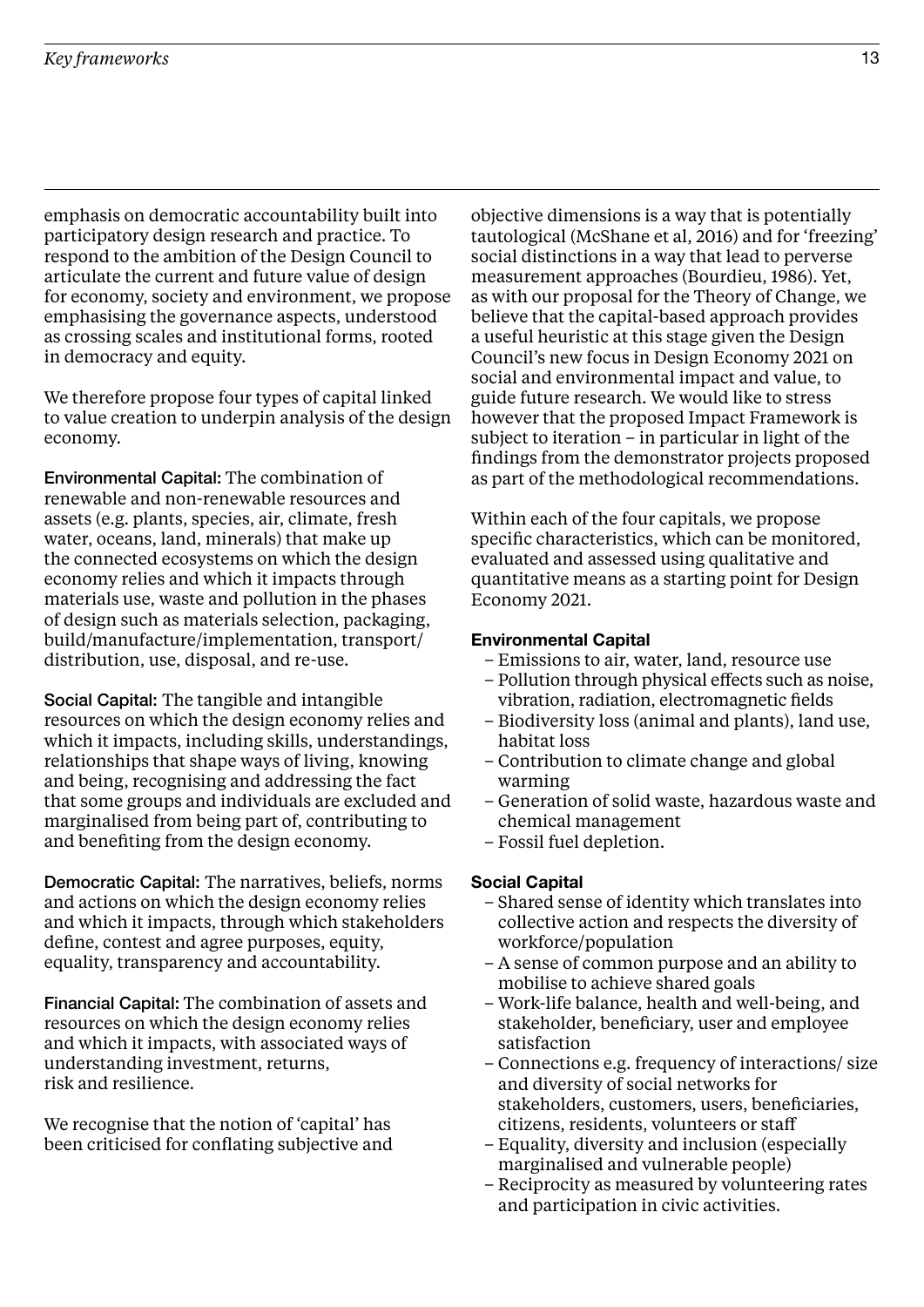emphasis on democratic accountability built into participatory design research and practice. To respond to the ambition of the Design Council to articulate the current and future value of design for economy, society and environment, we propose emphasising the governance aspects, understood as crossing scales and institutional forms, rooted in democracy and equity.

We therefore propose four types of capital linked to value creation to underpin analysis of the design economy.

Environmental Capital: The combination of renewable and non-renewable resources and assets (e.g. plants, species, air, climate, fresh water, oceans, land, minerals) that make up the connected ecosystems on which the design economy relies and which it impacts through materials use, waste and pollution in the phases of design such as materials selection, packaging, build/manufacture/implementation, transport/ distribution, use, disposal, and re-use.

Social Capital: The tangible and intangible resources on which the design economy relies and which it impacts, including skills, understandings, relationships that shape ways of living, knowing and being, recognising and addressing the fact that some groups and individuals are excluded and marginalised from being part of, contributing to and benefiting from the design economy.

Democratic Capital: The narratives, beliefs, norms and actions on which the design economy relies and which it impacts, through which stakeholders define, contest and agree purposes, equity, equality, transparency and accountability.

Financial Capital: The combination of assets and resources on which the design economy relies and which it impacts, with associated ways of understanding investment, returns, risk and resilience.

We recognise that the notion of 'capital' has been criticised for conflating subjective and

objective dimensions is a way that is potentially tautological (McShane et al, 2016) and for 'freezing' social distinctions in a way that lead to perverse measurement approaches (Bourdieu, 1986). Yet, as with our proposal for the Theory of Change, we believe that the capital-based approach provides a useful heuristic at this stage given the Design Council's new focus in Design Economy 2021 on social and environmental impact and value, to guide future research. We would like to stress however that the proposed Impact Framework is subject to iteration – in particular in light of the findings from the demonstrator projects proposed as part of the methodological recommendations.

Within each of the four capitals, we propose specific characteristics, which can be monitored, evaluated and assessed using qualitative and quantitative means as a starting point for Design Economy 2021.

### Environmental Capital

- Emissions to air, water, land, resource use
- Pollution through physical effects such as noise, vibration, radiation, electromagnetic fields
- Biodiversity loss (animal and plants), land use, habitat loss
- Contribution to climate change and global warming
- Generation of solid waste, hazardous waste and chemical management
- Fossil fuel depletion.

### Social Capital

- Shared sense of identity which translates into collective action and respects the diversity of workforce/population
- A sense of common purpose and an ability to mobilise to achieve shared goals
- Work-life balance, health and well-being, and stakeholder, beneficiary, user and employee satisfaction
- Connections e.g. frequency of interactions/ size and diversity of social networks for stakeholders, customers, users, beneficiaries, citizens, residents, volunteers or staff
- Equality, diversity and inclusion (especially marginalised and vulnerable people)
- Reciprocity as measured by volunteering rates and participation in civic activities.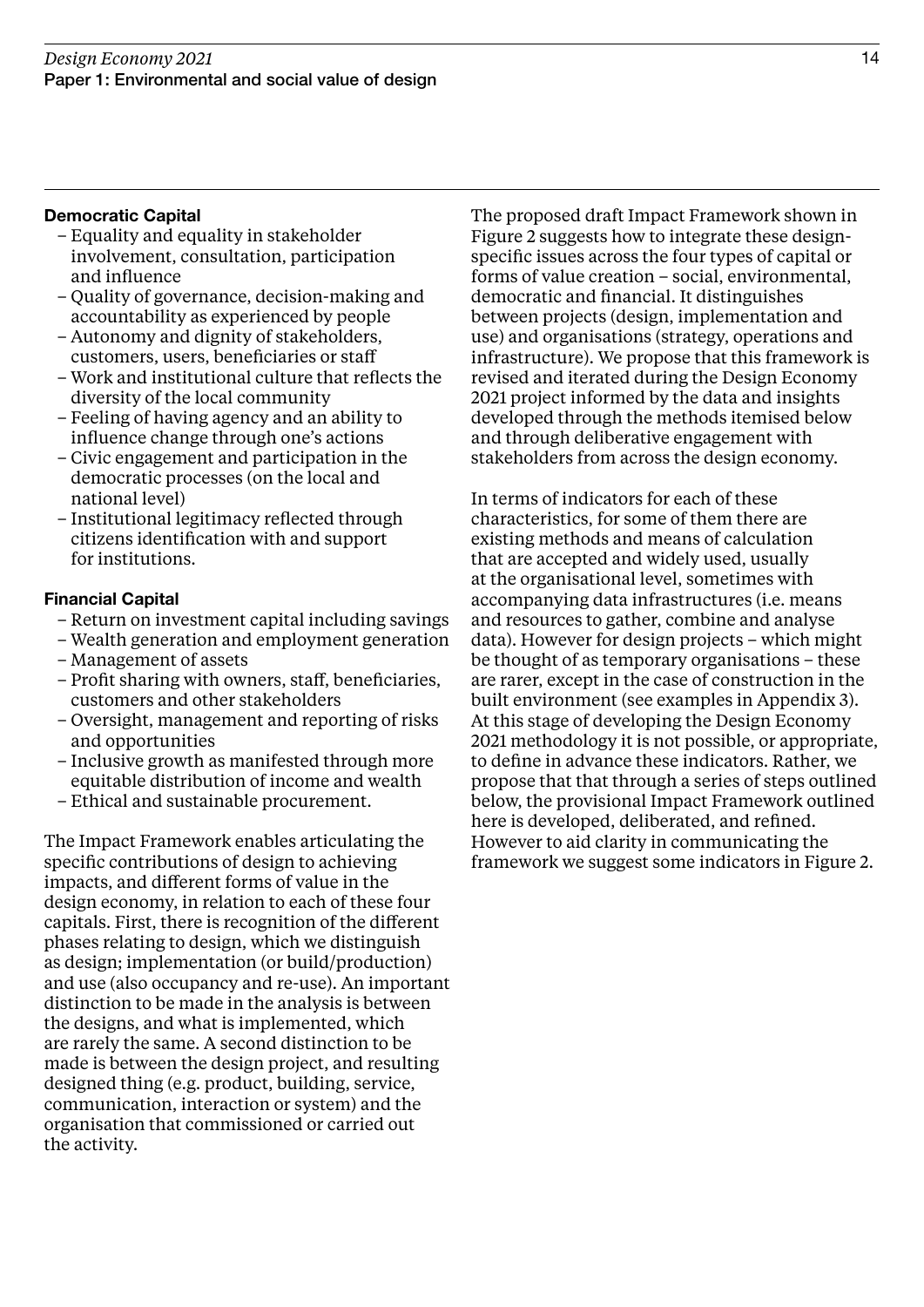### Democratic Capital

- Equality and equality in stakeholder involvement, consultation, participation and influence
- Quality of governance, decision-making and accountability as experienced by people
- Autonomy and dignity of stakeholders, customers, users, beneficiaries or staff
- Work and institutional culture that reflects the diversity of the local community
- Feeling of having agency and an ability to influence change through one's actions
- Civic engagement and participation in the democratic processes (on the local and national level)
- Institutional legitimacy reflected through citizens identification with and support for institutions.

### Financial Capital

- Return on investment capital including savings
- Wealth generation and employment generation
- Management of assets
- Profit sharing with owners, staff, beneficiaries, customers and other stakeholders
- Oversight, management and reporting of risks and opportunities
- Inclusive growth as manifested through more equitable distribution of income and wealth
- Ethical and sustainable procurement.

The Impact Framework enables articulating the specific contributions of design to achieving impacts, and different forms of value in the design economy, in relation to each of these four capitals. First, there is recognition of the different phases relating to design, which we distinguish as design; implementation (or build/production) and use (also occupancy and re-use). An important distinction to be made in the analysis is between the designs, and what is implemented, which are rarely the same. A second distinction to be made is between the design project, and resulting designed thing (e.g. product, building, service, communication, interaction or system) and the organisation that commissioned or carried out the activity.

The proposed draft Impact Framework shown in Figure 2 suggests how to integrate these designspecific issues across the four types of capital or forms of value creation – social, environmental, democratic and financial. It distinguishes between projects (design, implementation and use) and organisations (strategy, operations and infrastructure). We propose that this framework is revised and iterated during the Design Economy 2021 project informed by the data and insights developed through the methods itemised below and through deliberative engagement with stakeholders from across the design economy.

In terms of indicators for each of these characteristics, for some of them there are existing methods and means of calculation that are accepted and widely used, usually at the organisational level, sometimes with accompanying data infrastructures (i.e. means and resources to gather, combine and analyse data). However for design projects – which might be thought of as temporary organisations – these are rarer, except in the case of construction in the built environment (see examples in Appendix 3). At this stage of developing the Design Economy 2021 methodology it is not possible, or appropriate, to define in advance these indicators. Rather, we propose that that through a series of steps outlined below, the provisional Impact Framework outlined here is developed, deliberated, and refined. However to aid clarity in communicating the framework we suggest some indicators in Figure 2.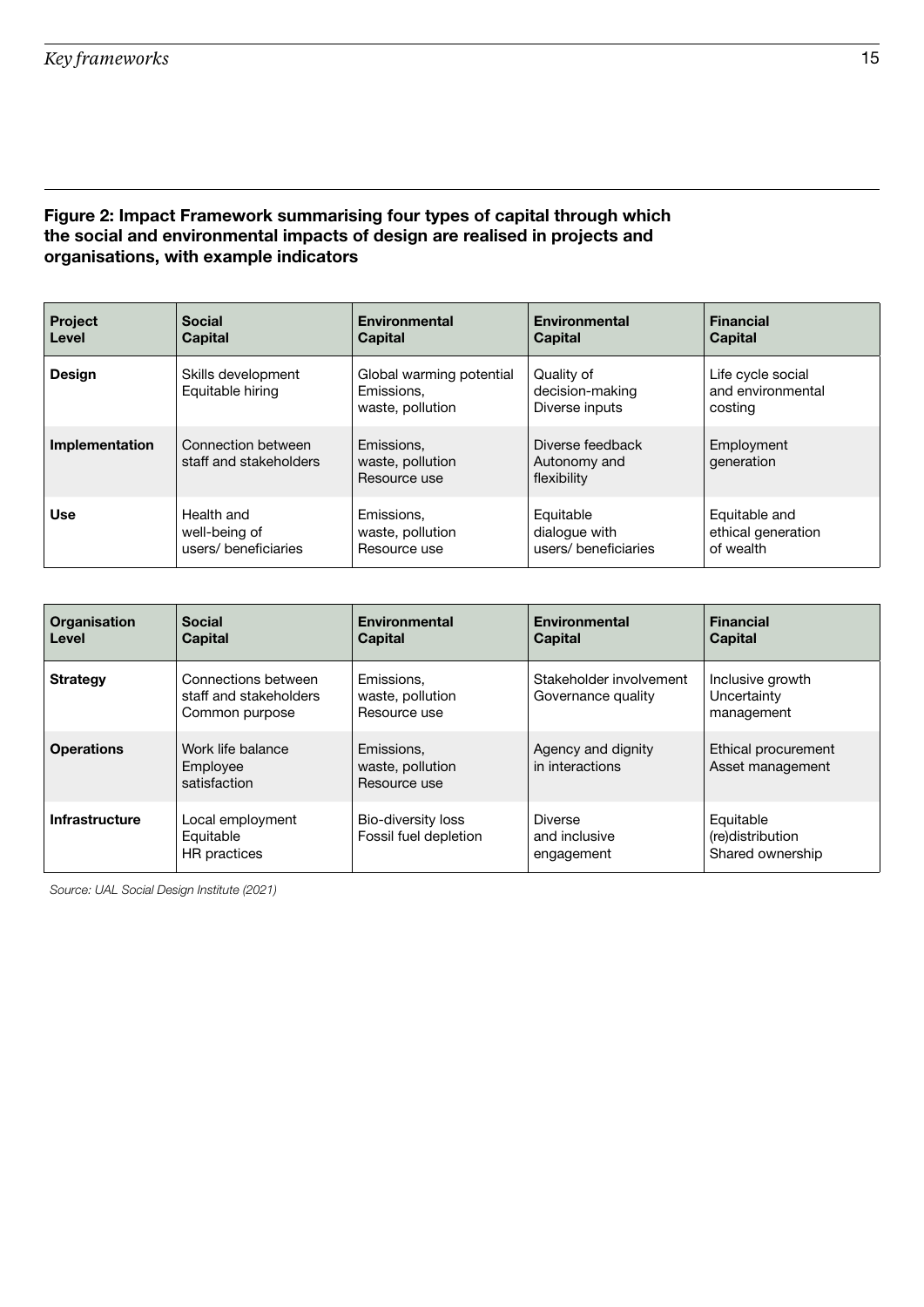### Figure 2: Impact Framework summarising four types of capital through which the social and environmental impacts of design are realised in projects and organisations, with example indicators

| <b>Project</b> | <b>Social</b>                                | <b>Environmental</b>                                       | <b>Environmental</b>                            | <b>Financial</b>                                  |
|----------------|----------------------------------------------|------------------------------------------------------------|-------------------------------------------------|---------------------------------------------------|
| Level          | <b>Capital</b>                               | <b>Capital</b>                                             | <b>Capital</b>                                  | <b>Capital</b>                                    |
| <b>Design</b>  | Skills development<br>Equitable hiring       | Global warming potential<br>Emissions.<br>waste, pollution | Quality of<br>decision-making<br>Diverse inputs | Life cycle social<br>and environmental<br>costing |
| Implementation | Connection between<br>staff and stakeholders | Emissions,<br>waste, pollution<br>Resource use             | Diverse feedback<br>Autonomy and<br>flexibility | Employment<br>generation                          |
| <b>Use</b>     | Health and                                   | Emissions.                                                 | Equitable                                       | Equitable and                                     |
|                | well-being of                                | waste, pollution                                           | dialogue with                                   | ethical generation                                |
|                | users/beneficiaries                          | Resource use                                               | users/beneficiaries                             | of wealth                                         |

| <b>Organisation</b><br>Level | <b>Social</b><br><b>Capital</b>                                 | <b>Environmental</b><br><b>Capital</b>         | Environmental<br><b>Capital</b>               | <b>Financial</b><br><b>Capital</b>                |
|------------------------------|-----------------------------------------------------------------|------------------------------------------------|-----------------------------------------------|---------------------------------------------------|
| <b>Strategy</b>              | Connections between<br>staff and stakeholders<br>Common purpose | Emissions.<br>waste, pollution<br>Resource use | Stakeholder involvement<br>Governance quality | Inclusive growth<br>Uncertainty<br>management     |
| <b>Operations</b>            | Work life balance<br>Employee<br>satisfaction                   | Emissions.<br>waste, pollution<br>Resource use | Agency and dignity<br>in interactions         | Ethical procurement<br>Asset management           |
| <b>Infrastructure</b>        | Local employment<br>Equitable<br>HR practices                   | Bio-diversity loss<br>Fossil fuel depletion    | <b>Diverse</b><br>and inclusive<br>engagement | Equitable<br>(re)distribution<br>Shared ownership |

Source: UAL Social Design Institute (2021)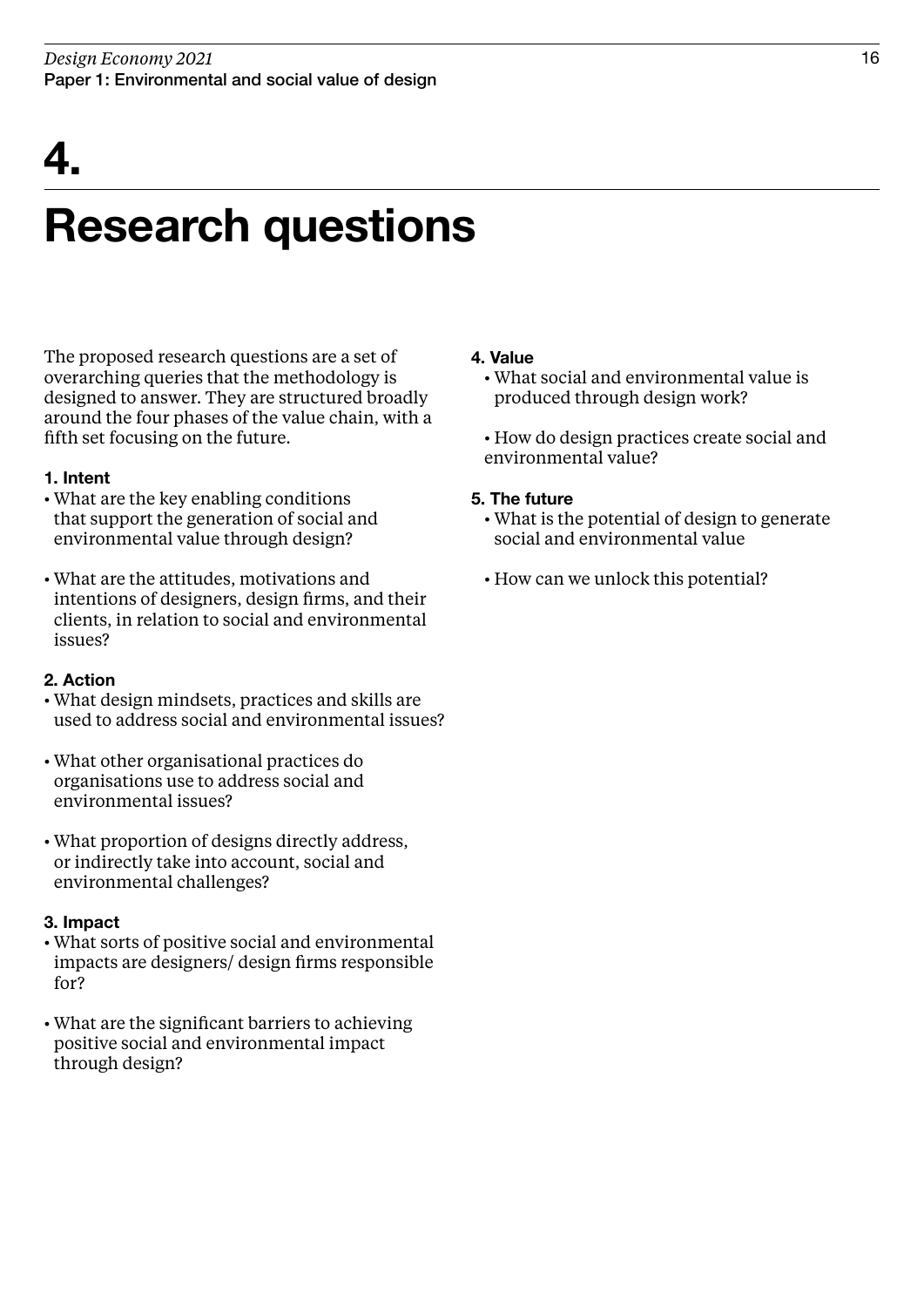## 4.

### Research questions

The proposed research questions are a set of overarching queries that the methodology is designed to answer. They are structured broadly around the four phases of the value chain, with a fifth set focusing on the future.

### 1. Intent

- What are the key enabling conditions that support the generation of social and environmental value through design?
- What are the attitudes, motivations and intentions of designers, design firms, and their clients, in relation to social and environmental issues?

### 2. Action

- What design mindsets, practices and skills are used to address social and environmental issues?
- What other organisational practices do organisations use to address social and environmental issues?
- What proportion of designs directly address, or indirectly take into account, social and environmental challenges?

### 3. Impact

- What sorts of positive social and environmental impacts are designers/ design firms responsible for?
- What are the significant barriers to achieving positive social and environmental impact through design?

### 4. Value

- What social and environmental value is produced through design work?
- How do design practices create social and environmental value?

### 5. The future

- What is the potential of design to generate social and environmental value
- How can we unlock this potential?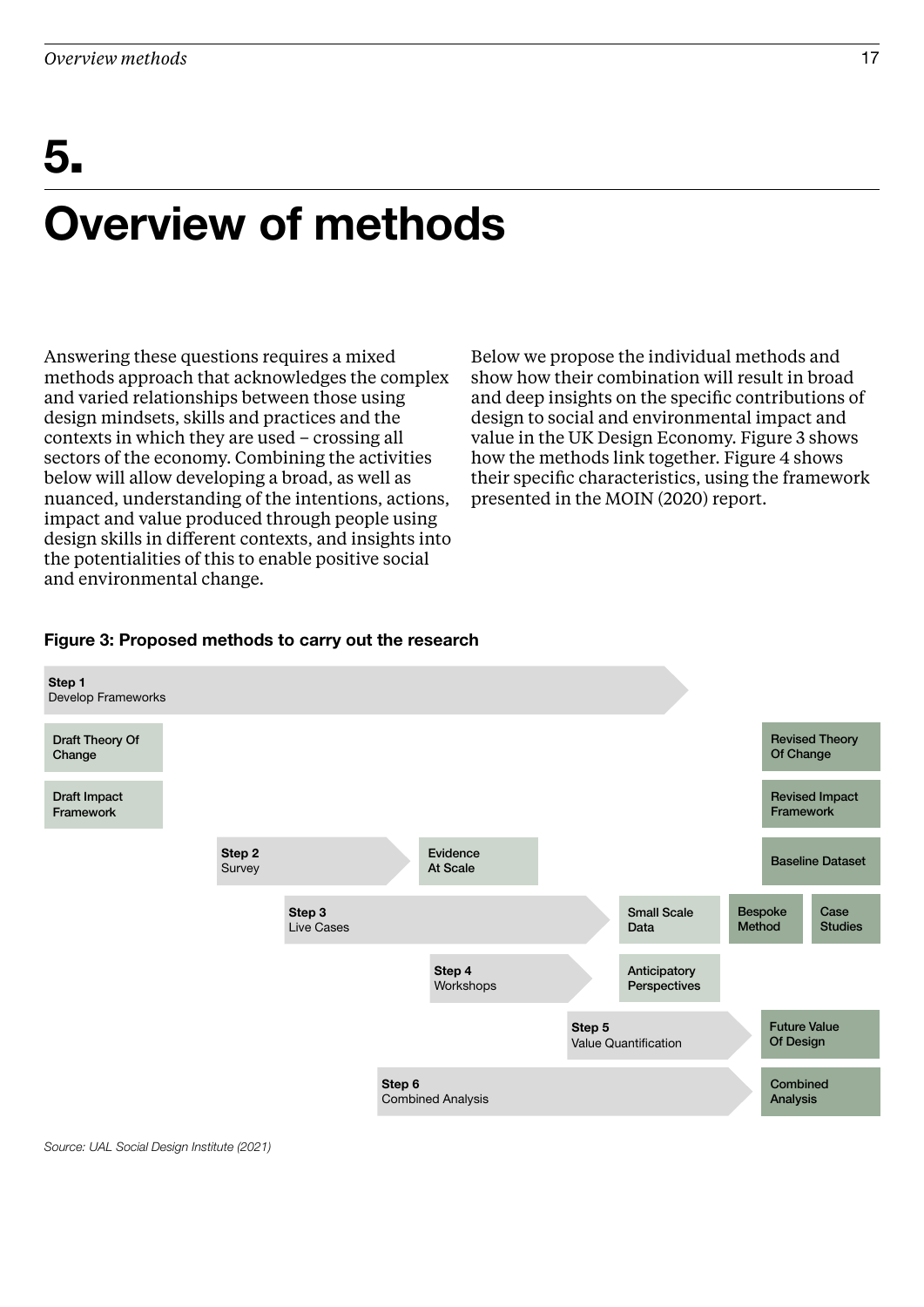## Overview of methods 5.

Answering these questions requires a mixed methods approach that acknowledges the complex and varied relationships between those using design mindsets, skills and practices and the contexts in which they are used – crossing all sectors of the economy. Combining the activities below will allow developing a broad, as well as nuanced, understanding of the intentions, actions, impact and value produced through people using design skills in different contexts, and insights into the potentialities of this to enable positive social and environmental change.

Below we propose the individual methods and show how their combination will result in broad and deep insights on the specific contributions of design to social and environmental impact and value in the UK Design Economy. Figure 3 shows how the methods link together. Figure 4 shows their specific characteristics, using the framework presented in the MOIN (2020) report.

### Figure 3: Proposed methods to carry out the research



Source: UAL Social Design Institute (2021)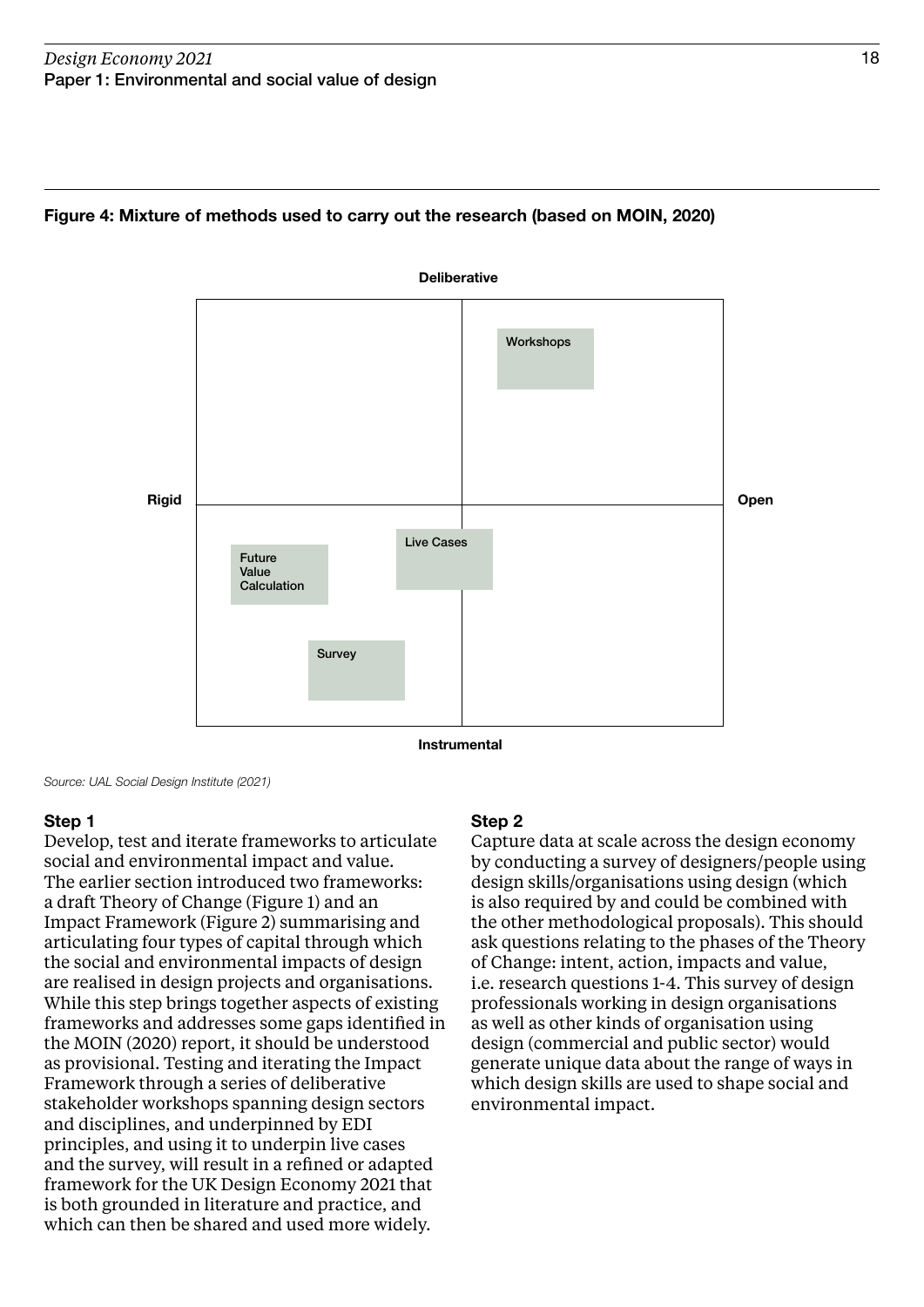

### Figure 4: Mixture of methods used to carry out the research (based on MOIN, 2020)

Source: UAL Social Design Institute (2021)

### Step 1

Develop, test and iterate frameworks to articulate social and environmental impact and value. The earlier section introduced two frameworks: a draft Theory of Change (Figure 1) and an Impact Framework (Figure 2) summarising and articulating four types of capital through which the social and environmental impacts of design are realised in design projects and organisations. While this step brings together aspects of existing frameworks and addresses some gaps identified in the MOIN (2020) report, it should be understood as provisional. Testing and iterating the Impact Framework through a series of deliberative stakeholder workshops spanning design sectors and disciplines, and underpinned by EDI principles, and using it to underpin live cases and the survey, will result in a refined or adapted framework for the UK Design Economy 2021 that is both grounded in literature and practice, and which can then be shared and used more widely.

### Step 2

Capture data at scale across the design economy by conducting a survey of designers/people using design skills/organisations using design (which is also required by and could be combined with the other methodological proposals). This should ask questions relating to the phases of the Theory of Change: intent, action, impacts and value, i.e. research questions 1-4. This survey of design professionals working in design organisations as well as other kinds of organisation using design (commercial and public sector) would generate unique data about the range of ways in which design skills are used to shape social and environmental impact.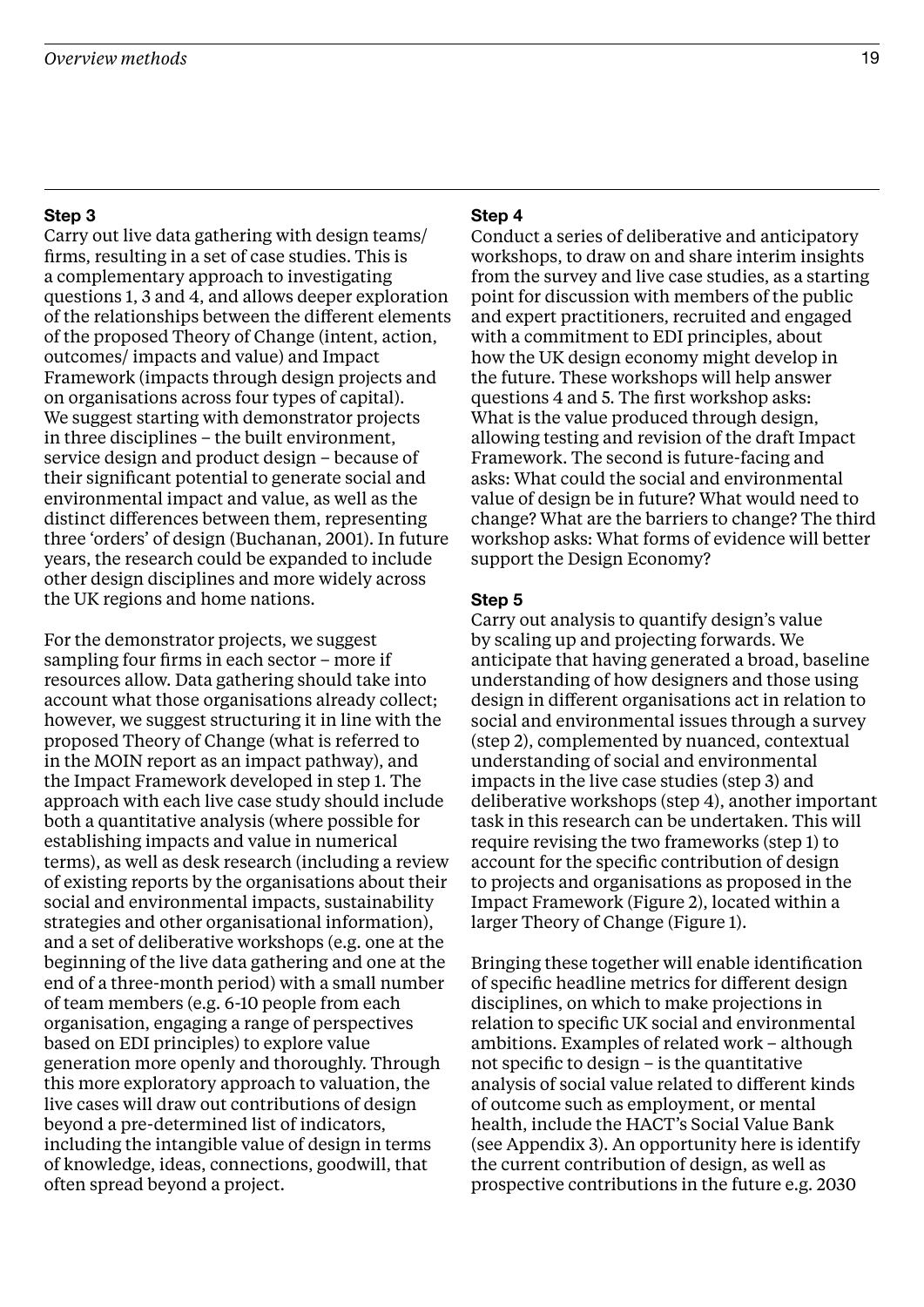### Step 3

Carry out live data gathering with design teams/ firms, resulting in a set of case studies. This is a complementary approach to investigating questions 1, 3 and 4, and allows deeper exploration of the relationships between the different elements of the proposed Theory of Change (intent, action, outcomes/ impacts and value) and Impact Framework (impacts through design projects and on organisations across four types of capital). We suggest starting with demonstrator projects in three disciplines – the built environment, service design and product design – because of their significant potential to generate social and environmental impact and value, as well as the distinct differences between them, representing three 'orders' of design (Buchanan, 2001). In future years, the research could be expanded to include other design disciplines and more widely across the UK regions and home nations.

For the demonstrator projects, we suggest sampling four firms in each sector – more if resources allow. Data gathering should take into account what those organisations already collect; however, we suggest structuring it in line with the proposed Theory of Change (what is referred to in the MOIN report as an impact pathway), and the Impact Framework developed in step 1. The approach with each live case study should include both a quantitative analysis (where possible for establishing impacts and value in numerical terms), as well as desk research (including a review of existing reports by the organisations about their social and environmental impacts, sustainability strategies and other organisational information), and a set of deliberative workshops (e.g. one at the beginning of the live data gathering and one at the end of a three-month period) with a small number of team members (e.g. 6-10 people from each organisation, engaging a range of perspectives based on EDI principles) to explore value generation more openly and thoroughly. Through this more exploratory approach to valuation, the live cases will draw out contributions of design beyond a pre-determined list of indicators, including the intangible value of design in terms of knowledge, ideas, connections, goodwill, that often spread beyond a project.

### Step 4

Conduct a series of deliberative and anticipatory workshops, to draw on and share interim insights from the survey and live case studies, as a starting point for discussion with members of the public and expert practitioners, recruited and engaged with a commitment to EDI principles, about how the UK design economy might develop in the future. These workshops will help answer questions 4 and 5. The first workshop asks: What is the value produced through design, allowing testing and revision of the draft Impact Framework. The second is future-facing and asks: What could the social and environmental value of design be in future? What would need to change? What are the barriers to change? The third workshop asks: What forms of evidence will better support the Design Economy?

### Step 5

Carry out analysis to quantify design's value by scaling up and projecting forwards. We anticipate that having generated a broad, baseline understanding of how designers and those using design in different organisations act in relation to social and environmental issues through a survey (step 2), complemented by nuanced, contextual understanding of social and environmental impacts in the live case studies (step 3) and deliberative workshops (step 4), another important task in this research can be undertaken. This will require revising the two frameworks (step 1) to account for the specific contribution of design to projects and organisations as proposed in the Impact Framework (Figure 2), located within a larger Theory of Change (Figure 1).

Bringing these together will enable identification of specific headline metrics for different design disciplines, on which to make projections in relation to specific UK social and environmental ambitions. Examples of related work – although not specific to design – is the quantitative analysis of social value related to different kinds of outcome such as employment, or mental health, include the HACT's Social Value Bank (see Appendix 3). An opportunity here is identify the current contribution of design, as well as prospective contributions in the future e.g. 2030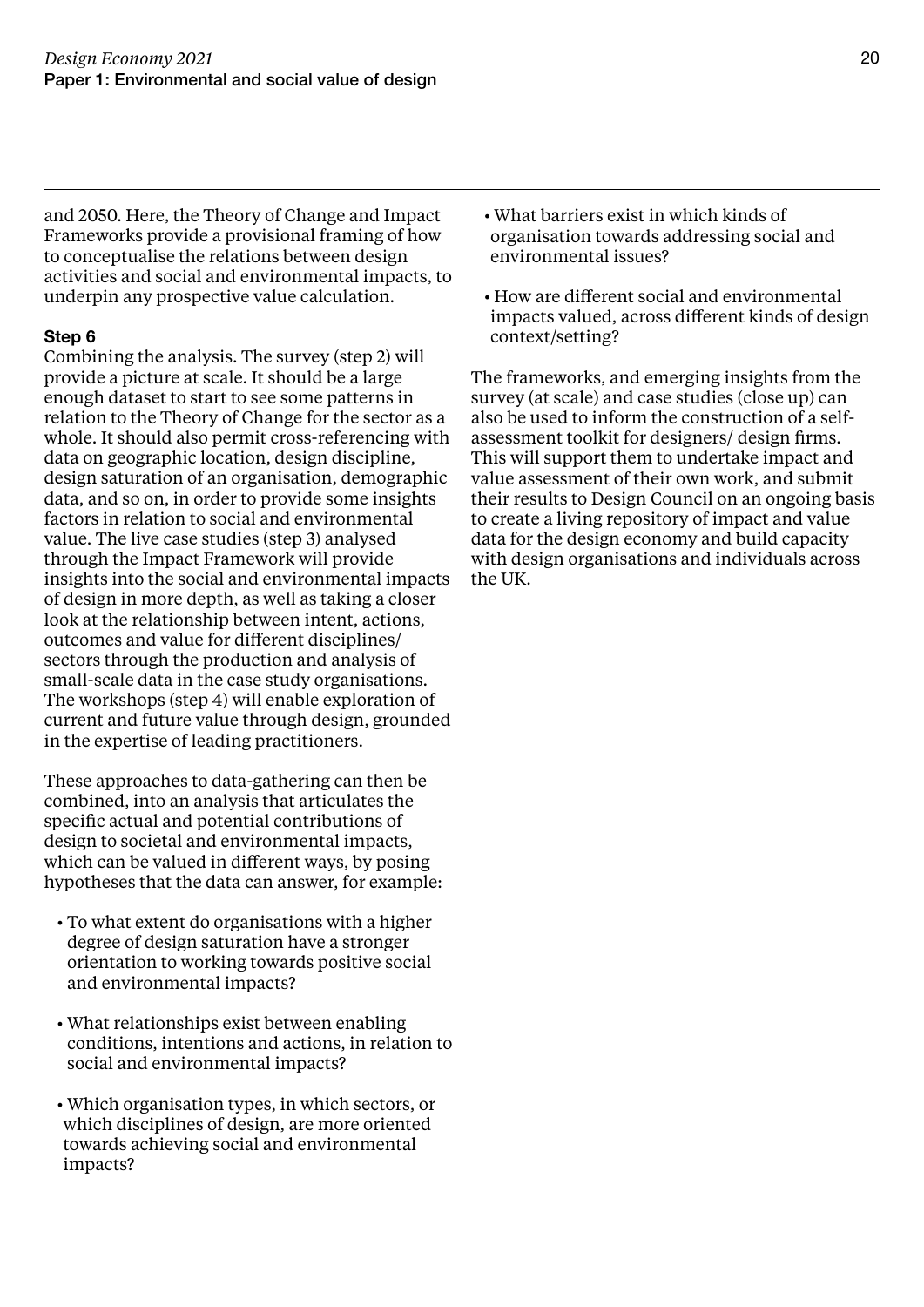and 2050. Here, the Theory of Change and Impact Frameworks provide a provisional framing of how to conceptualise the relations between design activities and social and environmental impacts, to underpin any prospective value calculation.

### Step 6

Combining the analysis. The survey (step 2) will provide a picture at scale. It should be a large enough dataset to start to see some patterns in relation to the Theory of Change for the sector as a whole. It should also permit cross-referencing with data on geographic location, design discipline, design saturation of an organisation, demographic data, and so on, in order to provide some insights factors in relation to social and environmental value. The live case studies (step 3) analysed through the Impact Framework will provide insights into the social and environmental impacts of design in more depth, as well as taking a closer look at the relationship between intent, actions, outcomes and value for different disciplines/ sectors through the production and analysis of small-scale data in the case study organisations. The workshops (step 4) will enable exploration of current and future value through design, grounded in the expertise of leading practitioners.

These approaches to data-gathering can then be combined, into an analysis that articulates the specific actual and potential contributions of design to societal and environmental impacts, which can be valued in different ways, by posing hypotheses that the data can answer, for example:

- To what extent do organisations with a higher degree of design saturation have a stronger orientation to working towards positive social and environmental impacts?
- What relationships exist between enabling conditions, intentions and actions, in relation to social and environmental impacts?
- Which organisation types, in which sectors, or which disciplines of design, are more oriented towards achieving social and environmental impacts?
- What barriers exist in which kinds of organisation towards addressing social and environmental issues?
- How are different social and environmental impacts valued, across different kinds of design context/setting?

The frameworks, and emerging insights from the survey (at scale) and case studies (close up) can also be used to inform the construction of a selfassessment toolkit for designers/ design firms. This will support them to undertake impact and value assessment of their own work, and submit their results to Design Council on an ongoing basis to create a living repository of impact and value data for the design economy and build capacity with design organisations and individuals across the UK.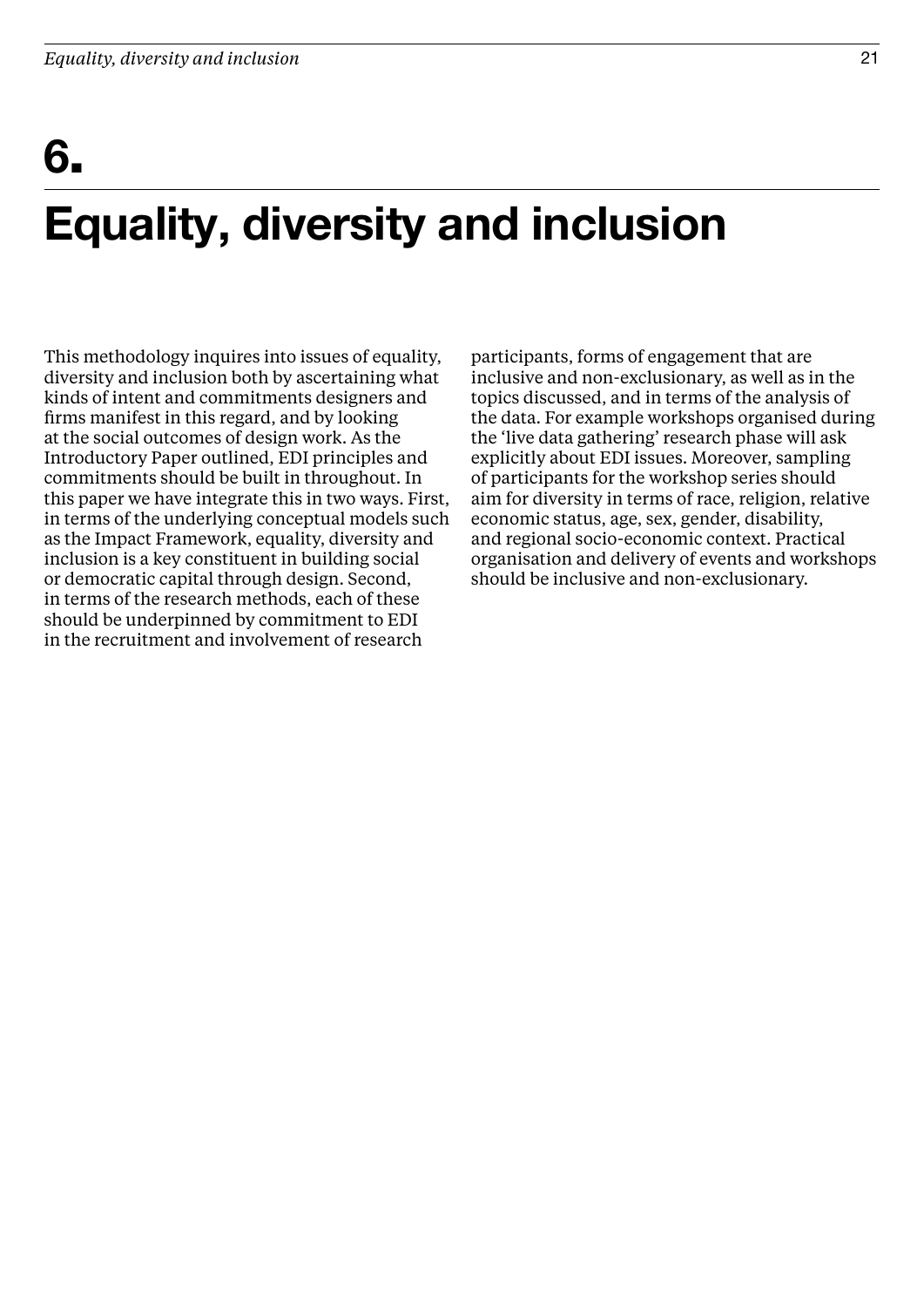# 6.

## Equality, diversity and inclusion

This methodology inquires into issues of equality, diversity and inclusion both by ascertaining what kinds of intent and commitments designers and firms manifest in this regard, and by looking at the social outcomes of design work. As the Introductory Paper outlined, EDI principles and commitments should be built in throughout. In this paper we have integrate this in two ways. First, in terms of the underlying conceptual models such as the Impact Framework, equality, diversity and inclusion is a key constituent in building social or democratic capital through design. Second, in terms of the research methods, each of these should be underpinned by commitment to EDI in the recruitment and involvement of research

participants, forms of engagement that are inclusive and non-exclusionary, as well as in the topics discussed, and in terms of the analysis of the data. For example workshops organised during the 'live data gathering' research phase will ask explicitly about EDI issues. Moreover, sampling of participants for the workshop series should aim for diversity in terms of race, religion, relative economic status, age, sex, gender, disability, and regional socio-economic context. Practical organisation and delivery of events and workshops should be inclusive and non-exclusionary.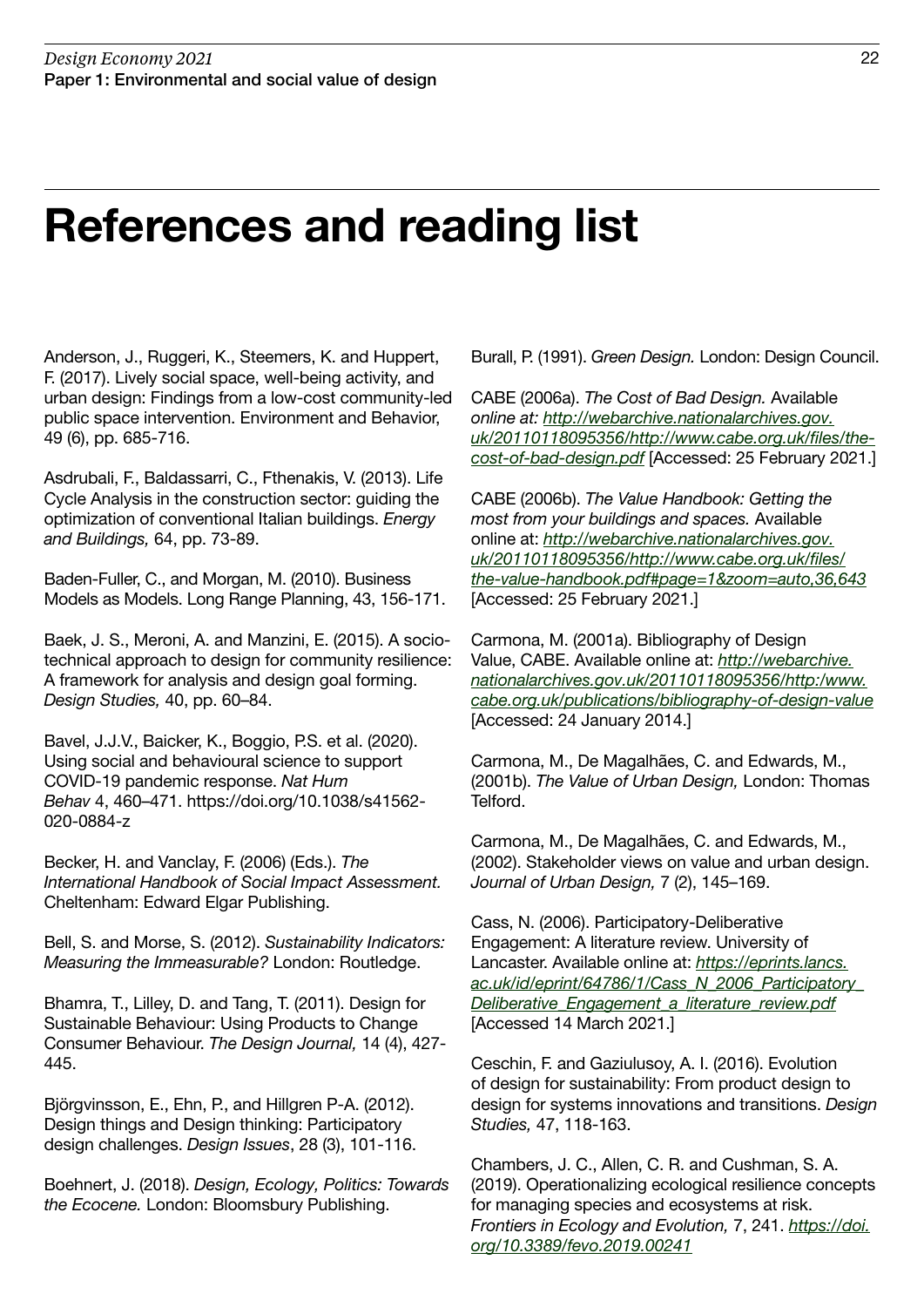### References and reading list

Anderson, J., Ruggeri, K., Steemers, K. and Huppert, F. (2017). Lively social space, well-being activity, and urban design: Findings from a low-cost community-led public space intervention. Environment and Behavior, 49 (6), pp. 685-716.

Asdrubali, F., Baldassarri, C., Fthenakis, V. (2013). Life Cycle Analysis in the construction sector: guiding the optimization of conventional Italian buildings. Energy and Buildings, 64, pp. 73-89.

Baden-Fuller, C., and Morgan, M. (2010). Business Models as Models. Long Range Planning, 43, 156-171.

Baek, J. S., Meroni, A. and Manzini, E. (2015). A sociotechnical approach to design for community resilience: A framework for analysis and design goal forming. Design Studies, 40, pp. 60–84.

Bavel, J.J.V., Baicker, K., Boggio, P.S. et al. (2020). Using social and behavioural science to support COVID-19 pandemic response. Nat Hum Behav 4, 460–471. https://doi.org/10.1038/s41562- 020-0884-z

Becker, H. and Vanclay, F. (2006) (Eds.). The International Handbook of Social Impact Assessment. Cheltenham: Edward Elgar Publishing.

Bell, S. and Morse, S. (2012). Sustainability Indicators: Measuring the Immeasurable? London: Routledge.

Bhamra, T., Lilley, D. and Tang, T. (2011). Design for Sustainable Behaviour: Using Products to Change Consumer Behaviour. The Design Journal, 14 (4), 427- 445.

Björgvinsson, E., Ehn, P., and Hillgren P-A. (2012). Design things and Design thinking: Participatory design challenges. Design Issues, 28 (3), 101-116.

Boehnert, J. (2018). Design, Ecology, Politics: Towards the Ecocene. London: Bloomsbury Publishing.

Burall, P. (1991). Green Design. London: Design Council.

CABE (2006a). The Cost of Bad Design. Available online at: [http://webarchive.nationalarchives.gov.](http://webarchive.nationalarchives.gov.uk/20110118095356/http://www.cabe.org.uk/files/the-cost-of-bad-design.pdf) [uk/20110118095356/http://www.cabe.org.uk/files/the](http://webarchive.nationalarchives.gov.uk/20110118095356/http://www.cabe.org.uk/files/the-cost-of-bad-design.pdf)[cost-of-bad-design.pdf](http://webarchive.nationalarchives.gov.uk/20110118095356/http://www.cabe.org.uk/files/the-cost-of-bad-design.pdf) [Accessed: 25 February 2021.]

CABE (2006b). The Value Handbook: Getting the most from your buildings and spaces. Available online at: [http://webarchive.nationalarchives.gov.](http://webarchive.nationalarchives.gov.uk/20110118095356/http://www.cabe.org.uk/files/the-value-handbook.pdf#page=1&zoom=auto,36,643) [uk/20110118095356/http://www.cabe.org.uk/files/](http://webarchive.nationalarchives.gov.uk/20110118095356/http://www.cabe.org.uk/files/the-value-handbook.pdf#page=1&zoom=auto,36,643) [the-value-handbook.pdf#page=1&zoom=auto,36,643](http://webarchive.nationalarchives.gov.uk/20110118095356/http://www.cabe.org.uk/files/the-value-handbook.pdf#page=1&zoom=auto,36,643) [Accessed: 25 February 2021.]

Carmona, M. (2001a). Bibliography of Design Value, CABE. Available online at: [http://webarchive.](http://webarchive.nationalarchives.gov.uk/20110118095356/http:/www.cabe.org.uk/publications/bibliography-of-design-value) [nationalarchives.gov.uk/20110118095356/http:/www.](http://webarchive.nationalarchives.gov.uk/20110118095356/http:/www.cabe.org.uk/publications/bibliography-of-design-value) [cabe.org.uk/publications/bibliography-of-design-value](http://webarchive.nationalarchives.gov.uk/20110118095356/http:/www.cabe.org.uk/publications/bibliography-of-design-value) [Accessed: 24 January 2014.]

Carmona, M., De Magalhães, C. and Edwards, M., (2001b). The Value of Urban Design, London: Thomas Telford.

Carmona, M., De Magalhães, C. and Edwards, M., (2002). Stakeholder views on value and urban design. Journal of Urban Design, 7 (2), 145–169.

Cass, N. (2006). Participatory-Deliberative Engagement: A literature review. University of Lancaster. Available online at: [https://eprints.lancs.](https://eprints.lancs.ac.uk/id/eprint/64786/1/Cass_N_2006_Participatory_Deliberative_Engagement_a_literature_review.pdf) [ac.uk/id/eprint/64786/1/Cass\\_N\\_2006\\_Participatory\\_](https://eprints.lancs.ac.uk/id/eprint/64786/1/Cass_N_2006_Participatory_Deliberative_Engagement_a_literature_review.pdf) Deliberative Engagement a literature review.pdf [Accessed 14 March 2021.]

Ceschin, F. and Gaziulusoy, A. I. (2016). Evolution of design for sustainability: From product design to design for systems innovations and transitions. Design Studies, 47, 118-163.

Chambers, J. C., Allen, C. R. and Cushman, S. A. (2019). Operationalizing ecological resilience concepts for managing species and ecosystems at risk. Frontiers in Ecology and Evolution, 7, 241. [https://doi.](https://doi.org/10.3389/fevo.2019.00241) [org/10.3389/fevo.2019.00241](https://doi.org/10.3389/fevo.2019.00241)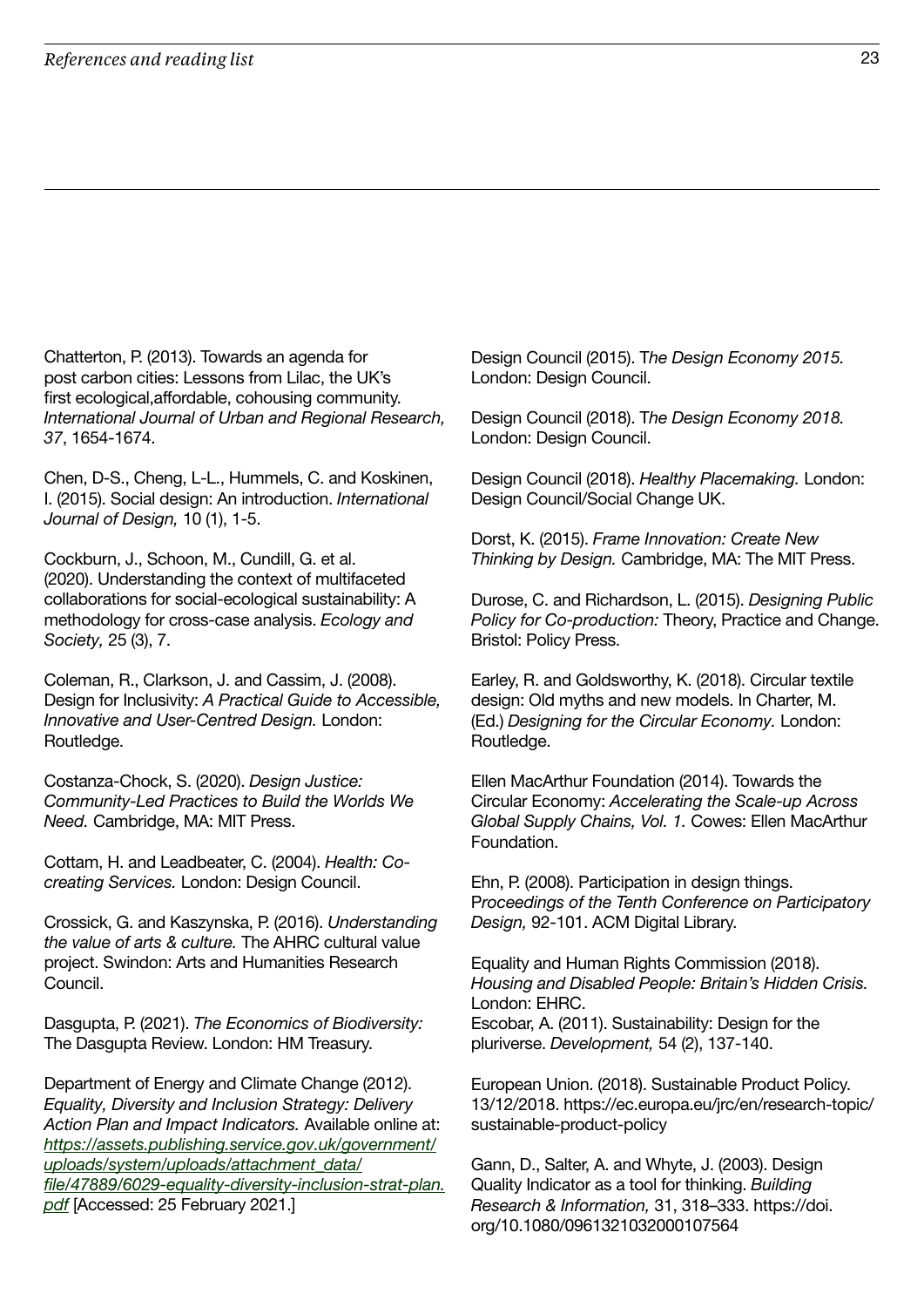Chatterton, P. (2013). Towards an agenda for post carbon cities: Lessons from Lilac, the UK's first ecological,affordable, cohousing community. International Journal of Urban and Regional Research, 37, 1654-1674.

Chen, D-S., Cheng, L-L., Hummels, C. and Koskinen, I. (2015). Social design: An introduction. International Journal of Design, 10 (1), 1-5.

Cockburn, J., Schoon, M., Cundill, G. et al. (2020). Understanding the context of multifaceted collaborations for social-ecological sustainability: A methodology for cross-case analysis. Ecology and Society, 25 (3), 7.

Coleman, R., Clarkson, J. and Cassim, J. (2008). Design for Inclusivity: A Practical Guide to Accessible, Innovative and User-Centred Design. London: Routledge.

Costanza-Chock, S. (2020). Design Justice: Community-Led Practices to Build the Worlds We Need. Cambridge, MA: MIT Press.

Cottam, H. and Leadbeater, C. (2004). Health: Cocreating Services. London: Design Council.

Crossick, G. and Kaszynska, P. (2016). Understanding the value of arts & culture. The AHRC cultural value project. Swindon: Arts and Humanities Research Council.

Dasgupta, P. (2021). The Economics of Biodiversity: The Dasgupta Review. London: HM Treasury.

Department of Energy and Climate Change (2012). Equality, Diversity and Inclusion Strategy: Delivery Action Plan and Impact Indicators. Available online at: [https://assets.publishing.service.gov.uk/government/](https://assets.publishing.service.gov.uk/government/uploads/system/uploads/attachment_data/file/47889/6029-equality-diversity-inclusion-strat-plan.pdf) [uploads/system/uploads/attachment\\_data/](https://assets.publishing.service.gov.uk/government/uploads/system/uploads/attachment_data/file/47889/6029-equality-diversity-inclusion-strat-plan.pdf) [file/47889/6029-equality-diversity-inclusion-strat-plan.](https://assets.publishing.service.gov.uk/government/uploads/system/uploads/attachment_data/file/47889/6029-equality-diversity-inclusion-strat-plan.pdf) [pdf](https://assets.publishing.service.gov.uk/government/uploads/system/uploads/attachment_data/file/47889/6029-equality-diversity-inclusion-strat-plan.pdf) [Accessed: 25 February 2021.]

Design Council (2015). The Design Economy 2015. London: Design Council.

Design Council (2018). The Design Economy 2018. London: Design Council.

Design Council (2018). Healthy Placemaking. London: Design Council/Social Change UK.

Dorst, K. (2015). Frame Innovation: Create New Thinking by Design. Cambridge, MA: The MIT Press.

Durose, C. and Richardson, L. (2015). Designing Public Policy for Co-production: Theory, Practice and Change. Bristol: Policy Press.

Earley, R. and Goldsworthy, K. (2018). Circular textile design: Old myths and new models. In Charter, M. (Ed.) Designing for the Circular Economy. London: Routledge.

Ellen MacArthur Foundation (2014). Towards the Circular Economy: Accelerating the Scale-up Across Global Supply Chains, Vol. 1. Cowes: Ellen MacArthur Foundation.

Ehn, P. (2008). Participation in design things. Proceedings of the Tenth Conference on Participatory Design, 92-101. ACM Digital Library.

Equality and Human Rights Commission (2018). Housing and Disabled People: Britain's Hidden Crisis. London: EHRC. Escobar, A. (2011). Sustainability: Design for the pluriverse. Development, 54 (2), 137-140.

European Union. (2018). Sustainable Product Policy. 13/12/2018. https://ec.europa.eu/jrc/en/research-topic/ sustainable-product-policy

Gann, D., Salter, A. and Whyte, J. (2003). Design Quality Indicator as a tool for thinking. Building Research & Information, 31, 318–333. https://doi. org/10.1080/0961321032000107564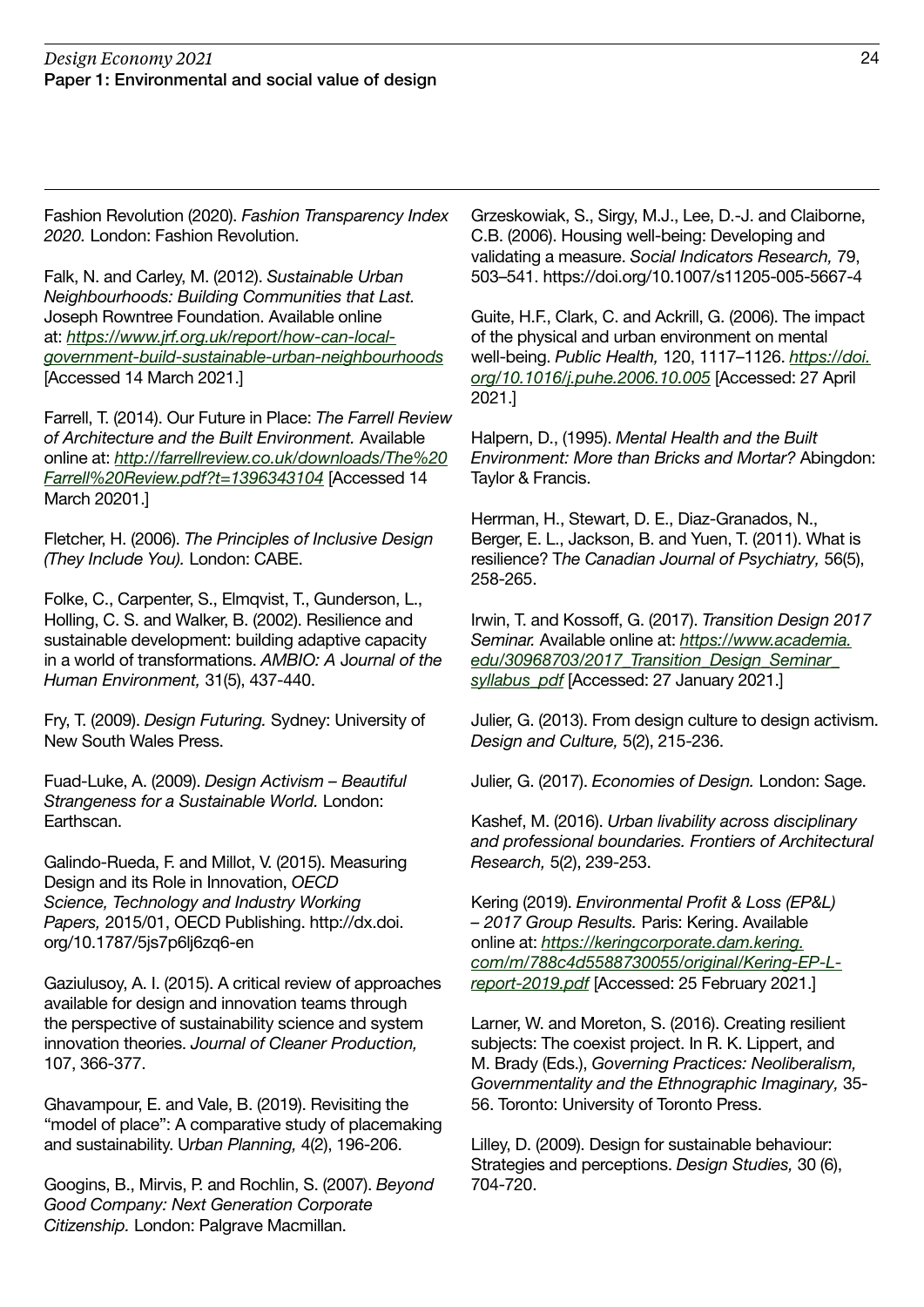Fashion Revolution (2020). Fashion Transparency Index 2020. London: Fashion Revolution.

Falk, N. and Carley, M. (2012). Sustainable Urban Neighbourhoods: Building Communities that Last. Joseph Rowntree Foundation. Available online at: [https://www.jrf.org.uk/report/how-can-local](https://www.jrf.org.uk/report/how-can-local-government-build-sustainable-urban-neighbourhoods)[government-build-sustainable-urban-neighbourhoods](https://www.jrf.org.uk/report/how-can-local-government-build-sustainable-urban-neighbourhoods) [Accessed 14 March 2021.]

Farrell, T. (2014). Our Future in Place: The Farrell Review of Architecture and the Built Environment. Available online at: [http://farrellreview.co.uk/downloads/The%20](http://farrellreview.co.uk/downloads/The%20Farrell%20Review.pdf?t=1396343104) [Farrell%20Review.pdf?t=1396343104](http://farrellreview.co.uk/downloads/The%20Farrell%20Review.pdf?t=1396343104) [Accessed 14 March 20201.]

Fletcher, H. (2006). The Principles of Inclusive Design (They Include You). London: CABE.

Folke, C., Carpenter, S., Elmqvist, T., Gunderson, L., Holling, C. S. and Walker, B. (2002). Resilience and sustainable development: building adaptive capacity in a world of transformations. AMBIO: A Journal of the Human Environment, 31(5), 437-440.

Fry, T. (2009). Design Futuring. Sydney: University of New South Wales Press.

Fuad-Luke, A. (2009). Design Activism – Beautiful Strangeness for a Sustainable World. London: Earthscan.

Galindo-Rueda, F. and Millot, V. (2015). Measuring Design and its Role in Innovation, OECD Science, Technology and Industry Working Papers, 2015/01, OECD Publishing. http://dx.doi. org/10.1787/5js7p6lj6zq6-en

Gaziulusoy, A. I. (2015). A critical review of approaches available for design and innovation teams through the perspective of sustainability science and system innovation theories. Journal of Cleaner Production, 107, 366-377.

Ghavampour, E. and Vale, B. (2019). Revisiting the "model of place": A comparative study of placemaking and sustainability. Urban Planning, 4(2), 196-206.

Googins, B., Mirvis, P. and Rochlin, S. (2007). Beyond Good Company: Next Generation Corporate Citizenship. London: Palgrave Macmillan.

Grzeskowiak, S., Sirgy, M.J., Lee, D.-J. and Claiborne, C.B. (2006). Housing well-being: Developing and validating a measure. Social Indicators Research, 79, 503–541. https://doi.org/10.1007/s11205-005-5667-4

Guite, H.F., Clark, C. and Ackrill, G. (2006). The impact of the physical and urban environment on mental well-being. Public Health, 120, 1117–1126. [https://doi.](https://doi.org/10.1016/j.puhe.2006.10.005) [org/10.1016/j.puhe.2006.10.005](https://doi.org/10.1016/j.puhe.2006.10.005) [Accessed: 27 April 2021.]

Halpern, D., (1995). Mental Health and the Built Environment: More than Bricks and Mortar? Abingdon: Taylor & Francis.

Herrman, H., Stewart, D. E., Diaz-Granados, N., Berger, E. L., Jackson, B. and Yuen, T. (2011). What is resilience? The Canadian Journal of Psychiatry, 56(5), 258-265.

Irwin, T. and Kossoff, G. (2017). Transition Design 2017 Seminar. Available online at: [https://www.academia.](https://www.academia.edu/30968703/2017_Transition_Design_Seminar_syllabus_pdf) edu/30968703/2017 Transition Design Seminar [syllabus\\_pdf](https://www.academia.edu/30968703/2017_Transition_Design_Seminar_syllabus_pdf) [Accessed: 27 January 2021.]

Julier, G. (2013). From design culture to design activism. Design and Culture, 5(2), 215-236.

Julier, G. (2017). Economies of Design. London: Sage.

Kashef, M. (2016). Urban livability across disciplinary and professional boundaries. Frontiers of Architectural Research, 5(2), 239-253.

Kering (2019). Environmental Profit & Loss (EP&L) – 2017 Group Results. Paris: Kering. Available online at: [https://keringcorporate.dam.kering.](https://keringcorporate.dam.kering.com/m/788c4d5588730055/original/Kering-EP-L-report-2019.pdf) [com/m/788c4d5588730055/original/Kering-EP-L](https://keringcorporate.dam.kering.com/m/788c4d5588730055/original/Kering-EP-L-report-2019.pdf)[report-2019.pdf](https://keringcorporate.dam.kering.com/m/788c4d5588730055/original/Kering-EP-L-report-2019.pdf) [Accessed: 25 February 2021.]

Larner, W. and Moreton, S. (2016). Creating resilient subjects: The coexist project. In R. K. Lippert, and M. Brady (Eds.), Governing Practices: Neoliberalism, Governmentality and the Ethnographic Imaginary, 35- 56. Toronto: University of Toronto Press.

Lilley, D. (2009). Design for sustainable behaviour: Strategies and perceptions. Design Studies, 30 (6), 704-720.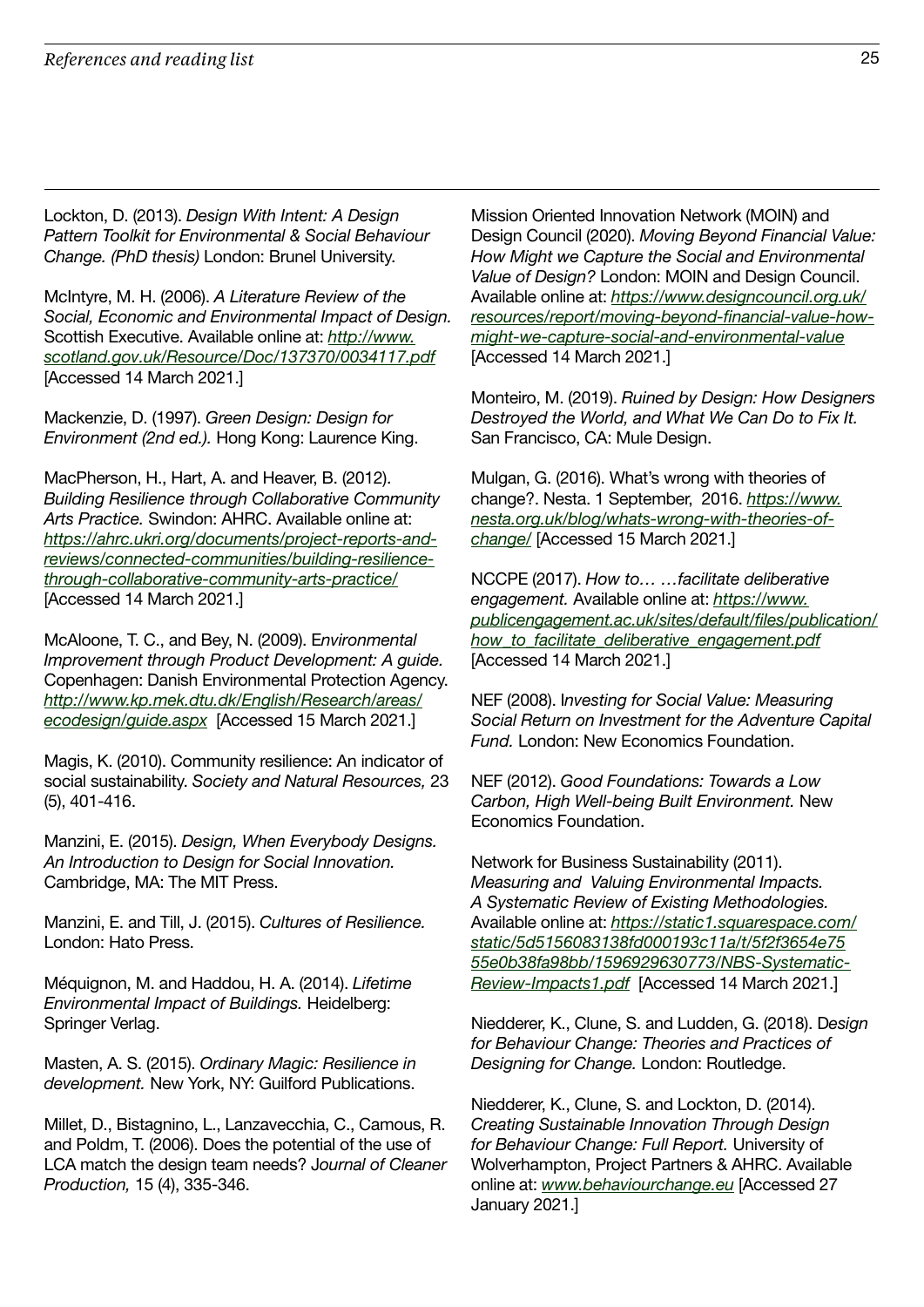Lockton, D. (2013). Design With Intent: A Design Pattern Toolkit for Environmental & Social Behaviour Change. (PhD thesis) London: Brunel University.

McIntyre, M. H. (2006). A Literature Review of the Social, Economic and Environmental Impact of Design. Scottish Executive. Available online at: [http://www.](http://www.scotland.gov.uk/Resource/Doc/137370/0034117.pdf) [scotland.gov.uk/Resource/Doc/137370/0034117.pdf](http://www.scotland.gov.uk/Resource/Doc/137370/0034117.pdf) [Accessed 14 March 2021.]

Mackenzie, D. (1997). Green Design: Design for Environment (2nd ed.). Hong Kong: Laurence King.

MacPherson, H., Hart, A. and Heaver, B. (2012). Building Resilience through Collaborative Community Arts Practice. Swindon: AHRC. Available online at: [https://ahrc.ukri.org/documents/project-reports-and](https://ahrc.ukri.org/documents/project-reports-and-reviews/connected-communities/building-resilience-through-collaborative-community-arts-practice/)[reviews/connected-communities/building-resilience](https://ahrc.ukri.org/documents/project-reports-and-reviews/connected-communities/building-resilience-through-collaborative-community-arts-practice/)[through-collaborative-community-arts-practice/](https://ahrc.ukri.org/documents/project-reports-and-reviews/connected-communities/building-resilience-through-collaborative-community-arts-practice/) [Accessed 14 March 2021.]

McAloone, T. C., and Bey, N. (2009). Environmental Improvement through Product Development: A guide. Copenhagen: Danish Environmental Protection Agency. [http://www.kp.mek.dtu.dk/English/Research/areas/](http://www.kp.mek.dtu.dk/English/Research/areas/ecodesign/guide.aspx) [ecodesign/guide.aspx](http://www.kp.mek.dtu.dk/English/Research/areas/ecodesign/guide.aspx) [Accessed 15 March 2021.]

Magis, K. (2010). Community resilience: An indicator of social sustainability. Society and Natural Resources, 23 (5), 401-416.

Manzini, E. (2015). Design, When Everybody Designs. An Introduction to Design for Social Innovation. Cambridge, MA: The MIT Press.

Manzini, E. and Till, J. (2015). Cultures of Resilience. London: Hato Press.

Méquignon, M. and Haddou, H. A. (2014). Lifetime Environmental Impact of Buildings. Heidelberg: Springer Verlag.

Masten, A. S. (2015). Ordinary Magic: Resilience in development. New York, NY: Guilford Publications.

Millet, D., Bistagnino, L., Lanzavecchia, C., Camous, R. and Poldm, T. (2006). Does the potential of the use of LCA match the design team needs? Journal of Cleaner Production, 15 (4), 335-346.

Mission Oriented Innovation Network (MOIN) and Design Council (2020). Moving Beyond Financial Value: How Might we Capture the Social and Environmental Value of Design? London: MOIN and Design Council. Available online at: [https://www.designcouncil.org.uk/](https://www.designcouncil.org.uk/resources/report/moving-beyond-financial-value-how-might-we-capture-social-and-environmental-value) [resources/report/moving-beyond-financial-value-how](https://www.designcouncil.org.uk/resources/report/moving-beyond-financial-value-how-might-we-capture-social-and-environmental-value)[might-we-capture-social-and-environmental-value](https://www.designcouncil.org.uk/resources/report/moving-beyond-financial-value-how-might-we-capture-social-and-environmental-value) [Accessed 14 March 2021.]

Monteiro, M. (2019). Ruined by Design: How Designers Destroyed the World, and What We Can Do to Fix It. San Francisco, CA: Mule Design.

Mulgan, G. (2016). What's wrong with theories of change?. Nesta. 1 September, 2016. [https://www.](https://www.nesta.org.uk/blog/whats-wrong-with-theories-of-change/) [nesta.org.uk/blog/whats-wrong-with-theories-of](https://www.nesta.org.uk/blog/whats-wrong-with-theories-of-change/)[change/](https://www.nesta.org.uk/blog/whats-wrong-with-theories-of-change/) [Accessed 15 March 2021.]

NCCPE (2017). How to… …facilitate deliberative engagement. Available online at: [https://www.](https://www.publicengagement.ac.uk/sites/default/files/publication/how_to_facilitate_deliberative_engagement.pdf) [publicengagement.ac.uk/sites/default/files/publication/](https://www.publicengagement.ac.uk/sites/default/files/publication/how_to_facilitate_deliberative_engagement.pdf) how to facilitate deliberative engagement.pdf [Accessed 14 March 2021.]

NEF (2008). Investing for Social Value: Measuring Social Return on Investment for the Adventure Capital Fund. London: New Economics Foundation.

NEF (2012). Good Foundations: Towards a Low Carbon, High Well-being Built Environment. New Economics Foundation.

Network for Business Sustainability (2011). Measuring and Valuing Environmental Impacts. A Systematic Review of Existing Methodologies. Available online at: [https://static1.squarespace.com/](https://static1.squarespace.com/static/5d5156083138fd000193c11a/t/5f2f3654e7555e0b38fa98bb/1596929630773/NBS-Systematic-Review-Impacts1.pdf) [static/5d5156083138fd000193c11a/t/5f2f3654e75](https://static1.squarespace.com/static/5d5156083138fd000193c11a/t/5f2f3654e7555e0b38fa98bb/1596929630773/NBS-Systematic-Review-Impacts1.pdf) [55e0b38fa98bb/1596929630773/NBS-Systematic-](https://static1.squarespace.com/static/5d5156083138fd000193c11a/t/5f2f3654e7555e0b38fa98bb/1596929630773/NBS-Systematic-Review-Impacts1.pdf)[Review-Impacts1.pdf](https://static1.squarespace.com/static/5d5156083138fd000193c11a/t/5f2f3654e7555e0b38fa98bb/1596929630773/NBS-Systematic-Review-Impacts1.pdf) [Accessed 14 March 2021.]

Niedderer, K., Clune, S. and Ludden, G. (2018). Design for Behaviour Change: Theories and Practices of Designing for Change. London: Routledge.

Niedderer, K., Clune, S. and Lockton, D. (2014). Creating Sustainable Innovation Through Design for Behaviour Change: Full Report. University of Wolverhampton, Project Partners & AHRC. Available online at: [www.behaviourchange.eu](http://www.behaviourchange.eu) [Accessed 27 January 2021.]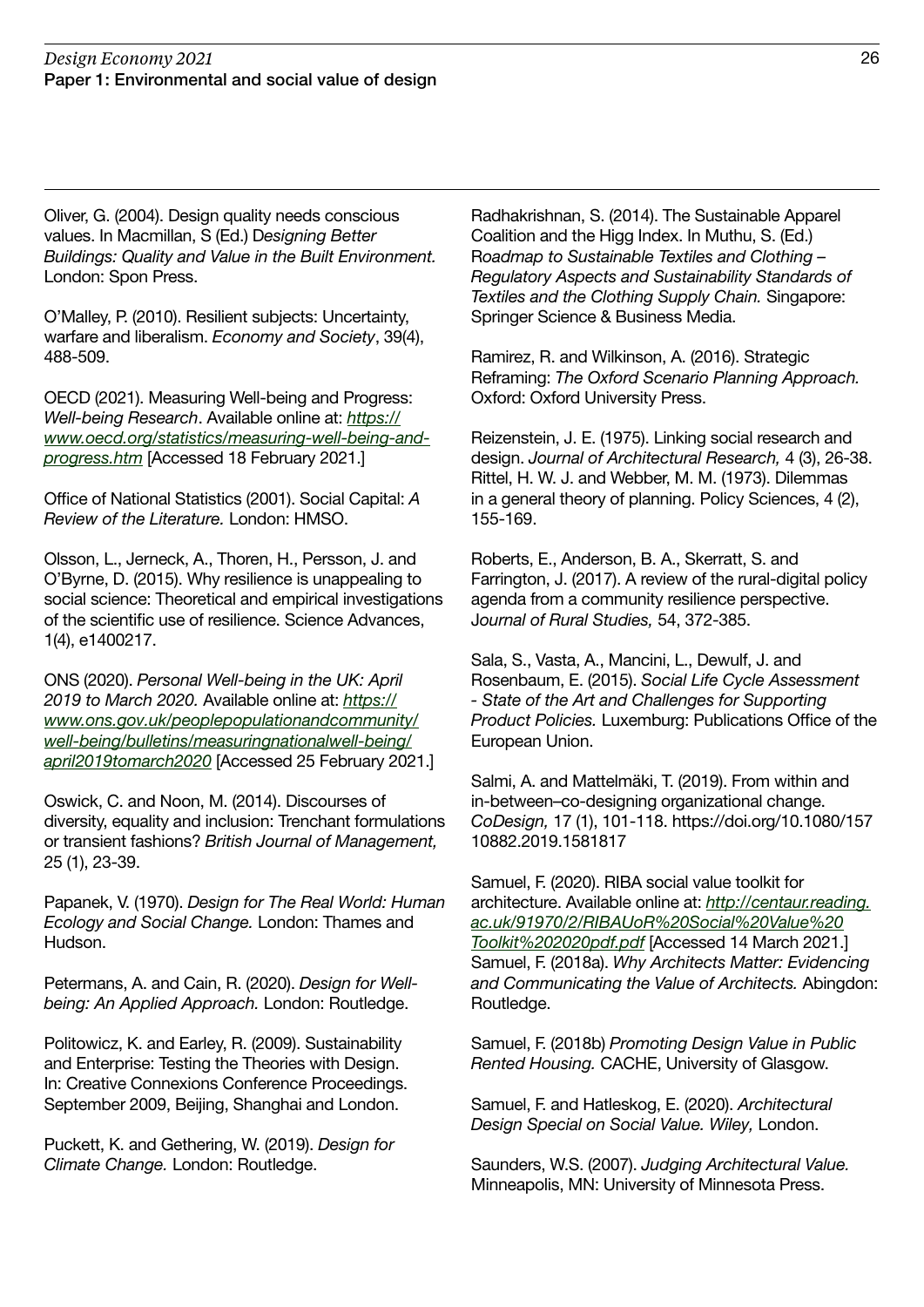Oliver, G. (2004). Design quality needs conscious values. In Macmillan, S (Ed.) Designing Better Buildings: Quality and Value in the Built Environment. London: Spon Press.

O'Malley, P. (2010). Resilient subjects: Uncertainty, warfare and liberalism. Economy and Society, 39(4), 488-509.

OECD (2021). Measuring Well-being and Progress: Well-being Research. Available online at: [https://](https://www.oecd.org/statistics/measuring-well-being-and-progress.htm) [www.oecd.org/statistics/measuring-well-being-and](https://www.oecd.org/statistics/measuring-well-being-and-progress.htm)[progress.htm](https://www.oecd.org/statistics/measuring-well-being-and-progress.htm) [Accessed 18 February 2021.]

Office of National Statistics (2001). Social Capital: A Review of the Literature. London: HMSO.

Olsson, L., Jerneck, A., Thoren, H., Persson, J. and O'Byrne, D. (2015). Why resilience is unappealing to social science: Theoretical and empirical investigations of the scientific use of resilience. Science Advances, 1(4), e1400217.

ONS (2020). Personal Well-being in the UK: April 2019 to March 2020. Available online at: [https://](https://www.ons.gov.uk/peoplepopulationandcommunity/well-being/bulletins/measuringnationalwell-being/april2019tomarch2020) [www.ons.gov.uk/peoplepopulationandcommunity/](https://www.ons.gov.uk/peoplepopulationandcommunity/well-being/bulletins/measuringnationalwell-being/april2019tomarch2020) [well-being/bulletins/measuringnationalwell-being/](https://www.ons.gov.uk/peoplepopulationandcommunity/well-being/bulletins/measuringnationalwell-being/april2019tomarch2020) [april2019tomarch2020](https://www.ons.gov.uk/peoplepopulationandcommunity/well-being/bulletins/measuringnationalwell-being/april2019tomarch2020) [Accessed 25 February 2021.]

Oswick, C. and Noon, M. (2014). Discourses of diversity, equality and inclusion: Trenchant formulations or transient fashions? British Journal of Management, 25 (1), 23-39.

Papanek, V. (1970). Design for The Real World: Human Ecology and Social Change. London: Thames and Hudson.

Petermans, A. and Cain, R. (2020). Design for Wellbeing: An Applied Approach. London: Routledge.

Politowicz, K. and Earley, R. (2009). Sustainability and Enterprise: Testing the Theories with Design. In: Creative Connexions Conference Proceedings. September 2009, Beijing, Shanghai and London.

Puckett, K. and Gethering, W. (2019). Design for Climate Change. London: Routledge.

Radhakrishnan, S. (2014). The Sustainable Apparel Coalition and the Higg Index. In Muthu, S. (Ed.) Roadmap to Sustainable Textiles and Clothing – Regulatory Aspects and Sustainability Standards of Textiles and the Clothing Supply Chain. Singapore: Springer Science & Business Media.

Ramirez, R. and Wilkinson, A. (2016). Strategic Reframing: The Oxford Scenario Planning Approach. Oxford: Oxford University Press.

Reizenstein, J. E. (1975). Linking social research and design. Journal of Architectural Research, 4 (3), 26-38. Rittel, H. W. J. and Webber, M. M. (1973). Dilemmas in a general theory of planning. Policy Sciences, 4 (2), 155-169.

Roberts, E., Anderson, B. A., Skerratt, S. and Farrington, J. (2017). A review of the rural-digital policy agenda from a community resilience perspective. Journal of Rural Studies, 54, 372-385.

Sala, S., Vasta, A., Mancini, L., Dewulf, J. and Rosenbaum, E. (2015). Social Life Cycle Assessment - State of the Art and Challenges for Supporting Product Policies. Luxemburg: Publications Office of the European Union.

Salmi, A. and Mattelmäki, T. (2019). From within and in-between–co-designing organizational change. CoDesign, 17 (1), 101-118. https://doi.org/10.1080/157 10882.2019.1581817

Samuel, F. (2020). RIBA social value toolkit for architecture. Available online at: [http://centaur.reading.](http://centaur.reading.ac.uk/91970/2/RIBAUoR%20Social%20Value%20Toolkit%202020pdf.pdf) [ac.uk/91970/2/RIBAUoR%20Social%20Value%20](http://centaur.reading.ac.uk/91970/2/RIBAUoR%20Social%20Value%20Toolkit%202020pdf.pdf) [Toolkit%202020pdf.pdf](http://centaur.reading.ac.uk/91970/2/RIBAUoR%20Social%20Value%20Toolkit%202020pdf.pdf) [Accessed 14 March 2021.] Samuel, F. (2018a). Why Architects Matter: Evidencing and Communicating the Value of Architects. Abingdon: Routledge.

Samuel, F. (2018b) Promoting Design Value in Public Rented Housing. CACHE, University of Glasgow.

Samuel, F. and Hatleskog, E. (2020). Architectural Design Special on Social Value. Wiley, London.

Saunders, W.S. (2007). Judging Architectural Value. Minneapolis, MN: University of Minnesota Press.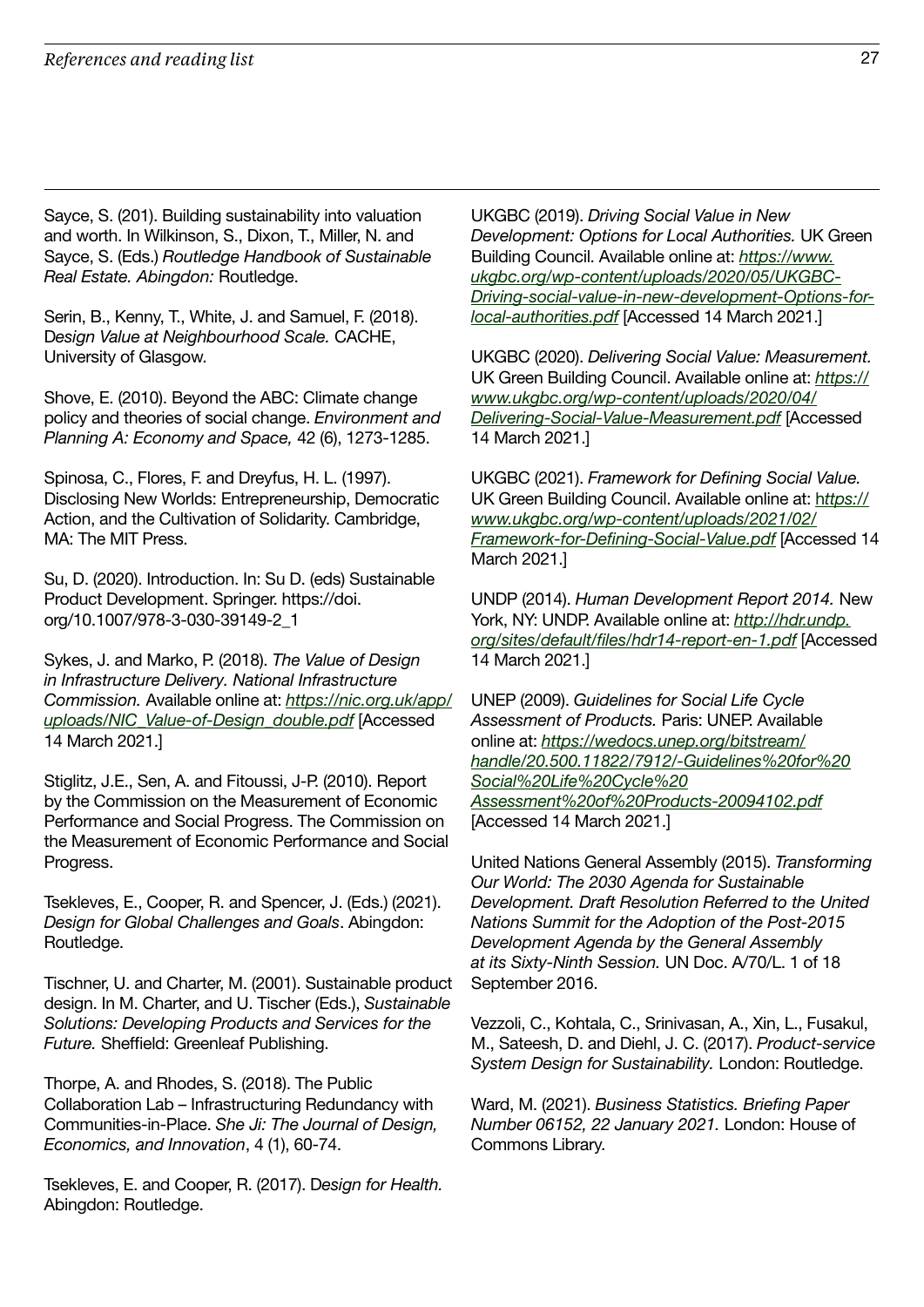Sayce, S. (201). Building sustainability into valuation and worth. In Wilkinson, S., Dixon, T., Miller, N. and Sayce, S. (Eds.) Routledge Handbook of Sustainable Real Estate. Abingdon: Routledge.

Serin, B., Kenny, T., White, J. and Samuel, F. (2018). Design Value at Neighbourhood Scale. CACHE, University of Glasgow.

Shove, E. (2010). Beyond the ABC: Climate change policy and theories of social change. Environment and Planning A: Economy and Space, 42 (6), 1273-1285.

Spinosa, C., Flores, F. and Dreyfus, H. L. (1997). Disclosing New Worlds: Entrepreneurship, Democratic Action, and the Cultivation of Solidarity. Cambridge, MA: The MIT Press.

Su, D. (2020). Introduction. In: Su D. (eds) Sustainable Product Development. Springer. https://doi. org/10.1007/978-3-030-39149-2\_1

Sykes, J. and Marko, P. (2018). The Value of Design in Infrastructure Delivery. National Infrastructure Commission. Available online at: [https://nic.org.uk/app/](https://nic.org.uk/app/uploads/NIC_Value-of-Design_double.pdf) [uploads/NIC\\_Value-of-Design\\_double.pdf](https://nic.org.uk/app/uploads/NIC_Value-of-Design_double.pdf) [Accessed 14 March 2021.]

Stiglitz, J.E., Sen, A. and Fitoussi, J-P. (2010). Report by the Commission on the Measurement of Economic Performance and Social Progress. The Commission on the Measurement of Economic Performance and Social Progress.

Tsekleves, E., Cooper, R. and Spencer, J. (Eds.) (2021). Design for Global Challenges and Goals. Abingdon: Routledge.

Tischner, U. and Charter, M. (2001). Sustainable product design. In M. Charter, and U. Tischer (Eds.), Sustainable Solutions: Developing Products and Services for the Future. Sheffield: Greenleaf Publishing.

Thorpe, A. and Rhodes, S. (2018). The Public Collaboration Lab – Infrastructuring Redundancy with Communities-in-Place. She Ji: The Journal of Design, Economics, and Innovation, 4 (1), 60-74.

Tsekleves, E. and Cooper, R. (2017). Design for Health. Abingdon: Routledge.

UKGBC (2019). Driving Social Value in New Development: Options for Local Authorities. UK Green Building Council. Available online at: [https://www.](https://www.ukgbc.org/wp-content/uploads/2020/05/UKGBC-Driving-social-value-in-new-development-Options-for-local-authorities.pdf) [ukgbc.org/wp-content/uploads/2020/05/UKGBC-](https://www.ukgbc.org/wp-content/uploads/2020/05/UKGBC-Driving-social-value-in-new-development-Options-for-local-authorities.pdf)[Driving-social-value-in-new-development-Options-for](https://www.ukgbc.org/wp-content/uploads/2020/05/UKGBC-Driving-social-value-in-new-development-Options-for-local-authorities.pdf)[local-authorities.pdf](https://www.ukgbc.org/wp-content/uploads/2020/05/UKGBC-Driving-social-value-in-new-development-Options-for-local-authorities.pdf) [Accessed 14 March 2021.]

UKGBC (2020). Delivering Social Value: Measurement. UK Green Building Council. Available online at: [https://](https://www.ukgbc.org/wp-content/uploads/2020/04/Delivering-Social-Value-Measurement.pdf) [www.ukgbc.org/wp-content/uploads/2020/04/](https://www.ukgbc.org/wp-content/uploads/2020/04/Delivering-Social-Value-Measurement.pdf) [Delivering-Social-Value-Measurement.pdf](https://www.ukgbc.org/wp-content/uploads/2020/04/Delivering-Social-Value-Measurement.pdf) [Accessed 14 March 2021.]

UKGBC (2021). Framework for Defining Social Value. UK Green Building Council. Available online at: h[ttps://](https://www.ukgbc.org/wp-content/uploads/2021/02/Framework-for-Defining-Social-Value.pdf) [www.ukgbc.org/wp-content/uploads/2021/02/](https://www.ukgbc.org/wp-content/uploads/2021/02/Framework-for-Defining-Social-Value.pdf) [Framework-for-Defining-Social-Value.pdf](https://www.ukgbc.org/wp-content/uploads/2021/02/Framework-for-Defining-Social-Value.pdf) [Accessed 14 March 2021.]

UNDP (2014). Human Development Report 2014. New York, NY: UNDP. Available online at: [http://hdr.undp.](http://hdr.undp.org/sites/default/files/hdr14-report-en-1.pdf) [org/sites/default/files/hdr14-report-en-1.pdf](http://hdr.undp.org/sites/default/files/hdr14-report-en-1.pdf) [Accessed 14 March 2021.]

UNEP (2009). Guidelines for Social Life Cycle Assessment of Products. Paris: UNEP. Available online at: [https://wedocs.unep.org/bitstream/](https://wedocs.unep.org/bitstream/handle/20.500.11822/7912/-Guidelines%20for%20Social%20Life%20Cycle%20
Assessment%20of%20Products-20094102.pdf) [handle/20.500.11822/7912/-Guidelines%20for%20](https://wedocs.unep.org/bitstream/handle/20.500.11822/7912/-Guidelines%20for%20Social%20Life%20Cycle%20
Assessment%20of%20Products-20094102.pdf) [Social%20Life%20Cycle%20](https://wedocs.unep.org/bitstream/handle/20.500.11822/7912/-Guidelines%20for%20Social%20Life%20Cycle%20
Assessment%20of%20Products-20094102.pdf) [Assessment%20of%20Products-20094102.pdf](https://wedocs.unep.org/bitstream/handle/20.500.11822/7912/-Guidelines%20for%20Social%20Life%20Cycle%20
Assessment%20of%20Products-20094102.pdf) [Accessed 14 March 2021.]

United Nations General Assembly (2015). Transforming Our World: The 2030 Agenda for Sustainable Development. Draft Resolution Referred to the United Nations Summit for the Adoption of the Post-2015 Development Agenda by the General Assembly at its Sixty-Ninth Session. UN Doc. A/70/L. 1 of 18 September 2016.

Vezzoli, C., Kohtala, C., Srinivasan, A., Xin, L., Fusakul, M., Sateesh, D. and Diehl, J. C. (2017). Product-service System Design for Sustainability. London: Routledge.

Ward, M. (2021). Business Statistics. Briefing Paper Number 06152, 22 January 2021. London: House of Commons Library.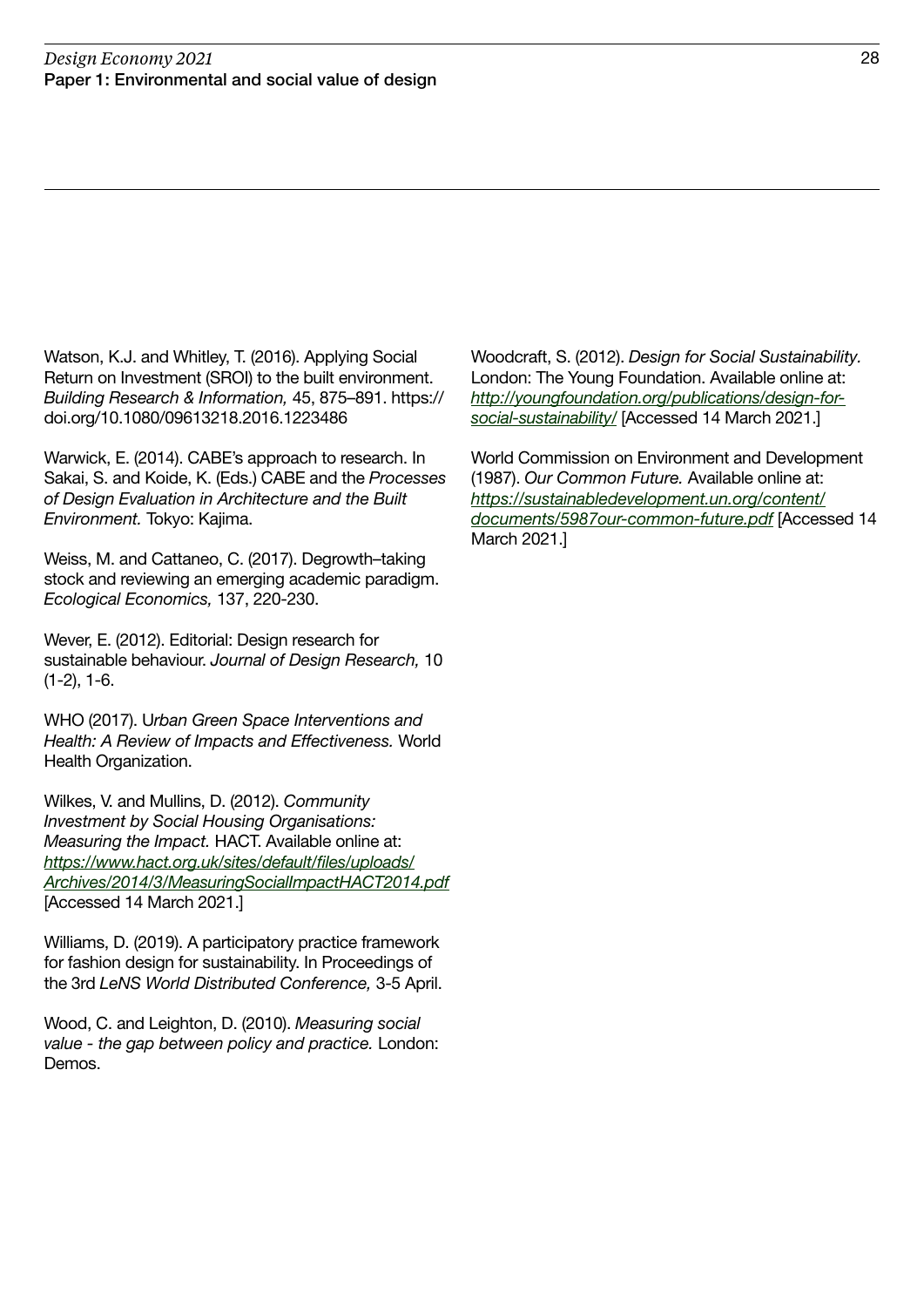Watson, K.J. and Whitley, T. (2016). Applying Social Return on Investment (SROI) to the built environment. Building Research & Information, 45, 875–891. https:// doi.org/10.1080/09613218.2016.1223486

Warwick, E. (2014). CABE's approach to research. In Sakai, S. and Koide, K. (Eds.) CABE and the Processes of Design Evaluation in Architecture and the Built Environment. Tokyo: Kajima.

Weiss, M. and Cattaneo, C. (2017). Degrowth–taking stock and reviewing an emerging academic paradigm. Ecological Economics, 137, 220-230.

Wever, E. (2012). Editorial: Design research for sustainable behaviour. Journal of Design Research, 10 (1-2), 1-6.

WHO (2017). Urban Green Space Interventions and Health: A Review of Impacts and Effectiveness. World Health Organization.

Wilkes, V. and Mullins, D. (2012). Community Investment by Social Housing Organisations: Measuring the Impact. HACT. Available online at: [https://www.hact.org.uk/sites/default/files/uploads/](https://www.hact.org.uk/sites/default/files/uploads/Archives/2014/3/MeasuringSocialImpactHACT2014.pdf) [Archives/2014/3/MeasuringSocialImpactHACT2014.pdf](https://www.hact.org.uk/sites/default/files/uploads/Archives/2014/3/MeasuringSocialImpactHACT2014.pdf) [Accessed 14 March 2021.]

Williams, D. (2019). A participatory practice framework for fashion design for sustainability. In Proceedings of the 3rd LeNS World Distributed Conference, 3-5 April.

Wood, C. and Leighton, D. (2010). Measuring social value - the gap between policy and practice. London: Demos.

Woodcraft, S. (2012). Design for Social Sustainability. London: The Young Foundation. Available online at: [http://youngfoundation.org/publications/design-for](http://youngfoundation.org/publications/design-for-social-sustainability/)[social-sustainability/](http://youngfoundation.org/publications/design-for-social-sustainability/) [Accessed 14 March 2021.]

World Commission on Environment and Development (1987). Our Common Future. Available online at: [https://sustainabledevelopment.un.org/content/](https://sustainabledevelopment.un.org/content/documents/5987our-common-future.pdf) [documents/5987our-common-future.pdf](https://sustainabledevelopment.un.org/content/documents/5987our-common-future.pdf) [Accessed 14 March 2021.]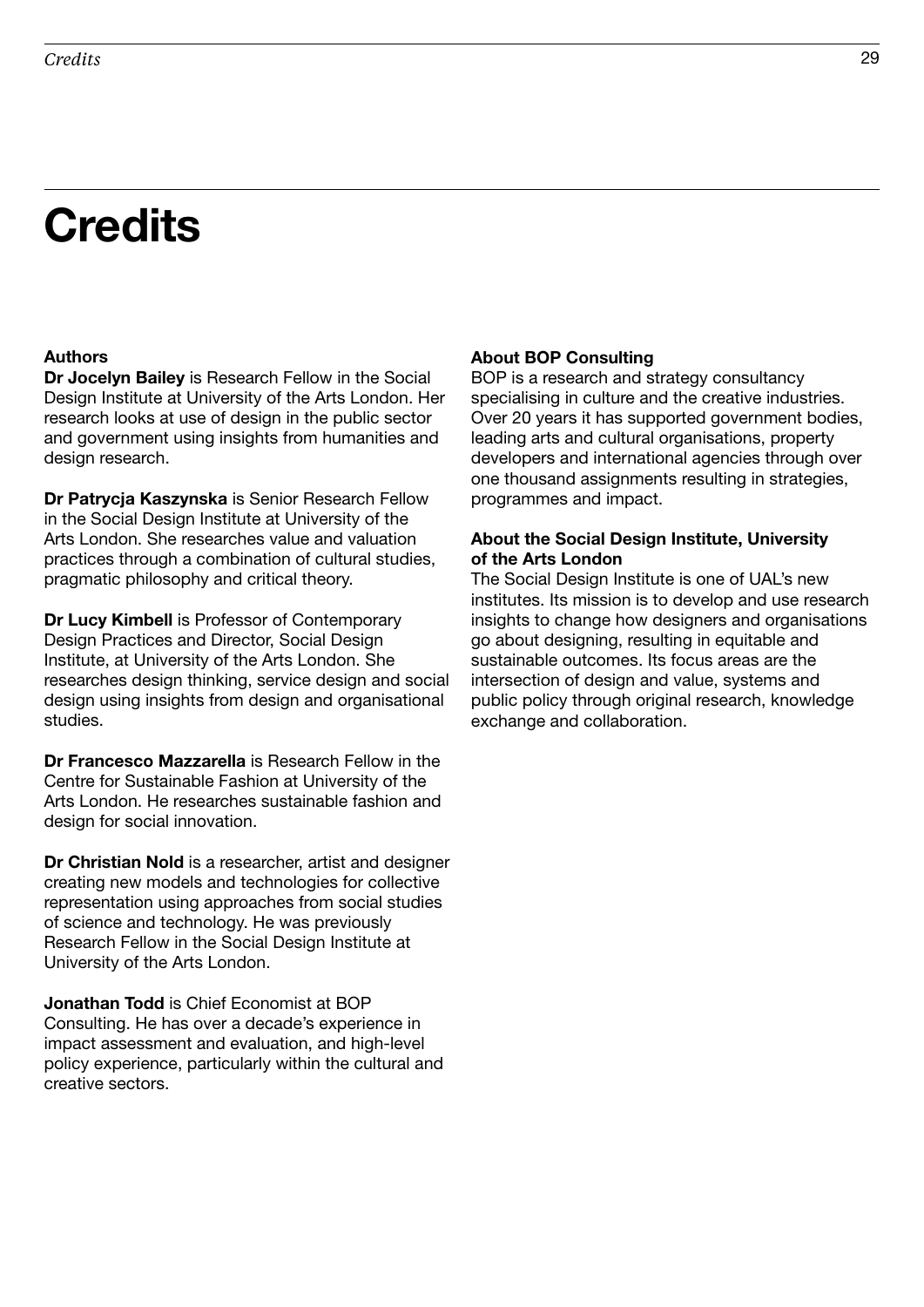### **Credits**

### Authors

Dr Jocelyn Bailey is Research Fellow in the Social Design Institute at University of the Arts London. Her research looks at use of design in the public sector and government using insights from humanities and design research.

Dr Patrycja Kaszynska is Senior Research Fellow in the Social Design Institute at University of the Arts London. She researches value and valuation practices through a combination of cultural studies, pragmatic philosophy and critical theory.

Dr Lucy Kimbell is Professor of Contemporary Design Practices and Director, Social Design Institute, at University of the Arts London. She researches design thinking, service design and social design using insights from design and organisational studies.

Dr Francesco Mazzarella is Research Fellow in the Centre for Sustainable Fashion at University of the Arts London. He researches sustainable fashion and design for social innovation.

Dr Christian Nold is a researcher, artist and designer creating new models and technologies for collective representation using approaches from social studies of science and technology. He was previously Research Fellow in the Social Design Institute at University of the Arts London.

Jonathan Todd is Chief Economist at BOP Consulting. He has over a decade's experience in impact assessment and evaluation, and high-level policy experience, particularly within the cultural and creative sectors.

### About BOP Consulting

BOP is a research and strategy consultancy specialising in culture and the creative industries. Over 20 years it has supported government bodies, leading arts and cultural organisations, property developers and international agencies through over one thousand assignments resulting in strategies, programmes and impact.

### About the Social Design Institute, University of the Arts London

The Social Design Institute is one of UAL's new institutes. Its mission is to develop and use research insights to change how designers and organisations go about designing, resulting in equitable and sustainable outcomes. Its focus areas are the intersection of design and value, systems and public policy through original research, knowledge exchange and collaboration.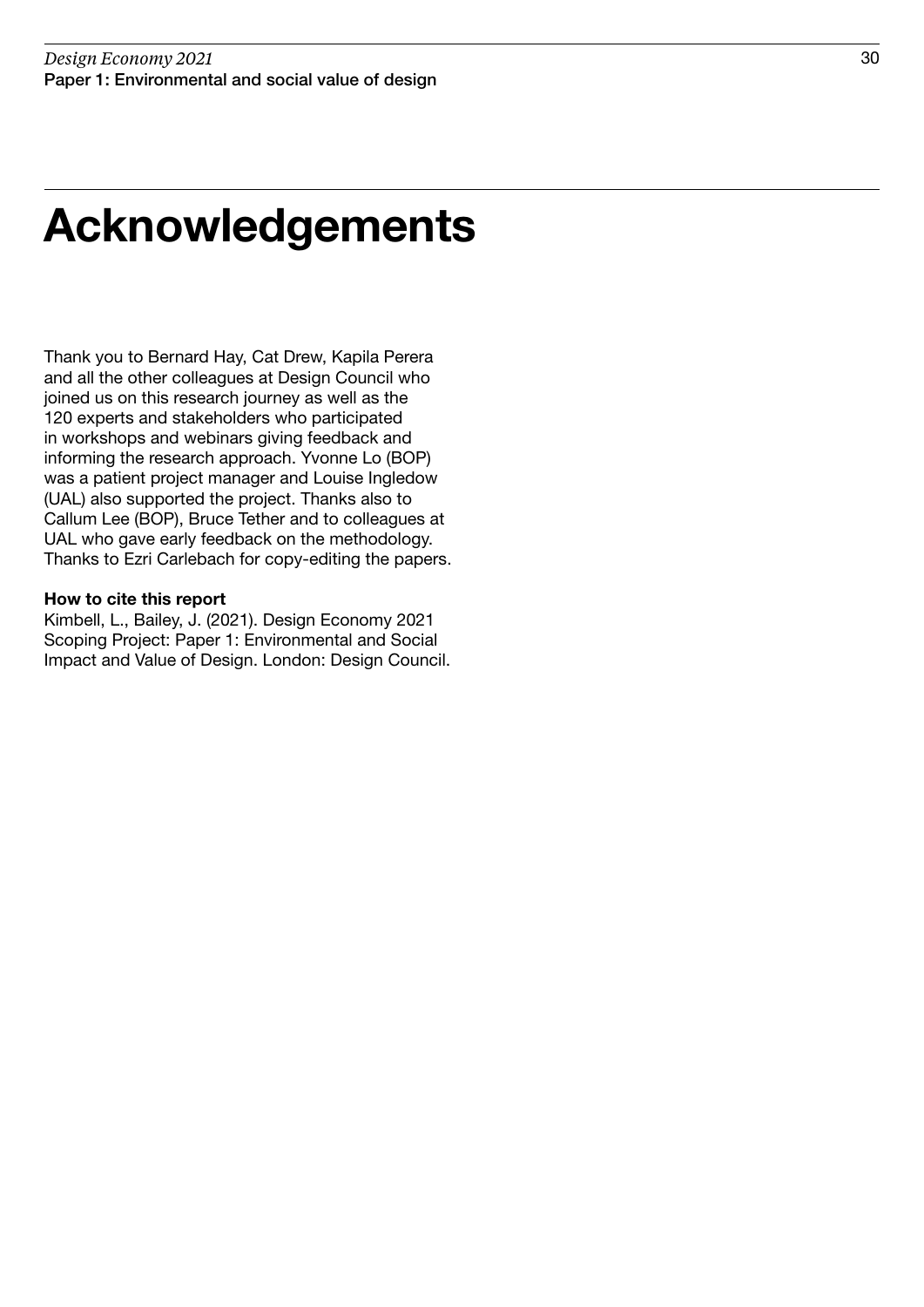### Acknowledgements

Thank you to Bernard Hay, Cat Drew, Kapila Perera and all the other colleagues at Design Council who joined us on this research journey as well as the 120 experts and stakeholders who participated in workshops and webinars giving feedback and informing the research approach. Yvonne Lo (BOP) was a patient project manager and Louise Ingledow (UAL) also supported the project. Thanks also to Callum Lee (BOP), Bruce Tether and to colleagues at UAL who gave early feedback on the methodology. Thanks to Ezri Carlebach for copy-editing the papers.

### How to cite this report

Kimbell, L., Bailey, J. (2021). Design Economy 2021 Scoping Project: Paper 1: Environmental and Social Impact and Value of Design. London: Design Council.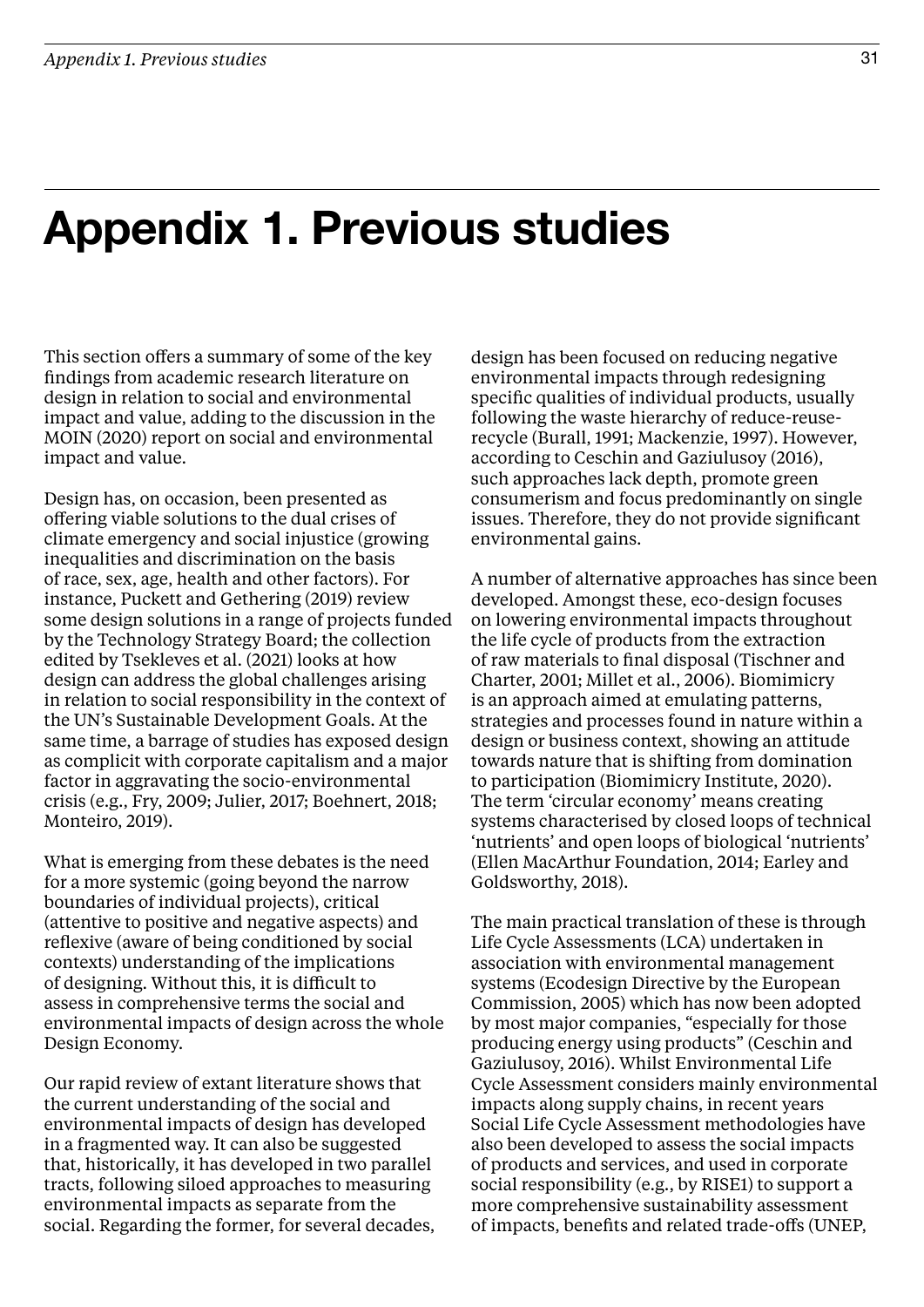### Appendix 1. Previous studies

This section offers a summary of some of the key findings from academic research literature on design in relation to social and environmental impact and value, adding to the discussion in the MOIN (2020) report on social and environmental impact and value.

Design has, on occasion, been presented as offering viable solutions to the dual crises of climate emergency and social injustice (growing inequalities and discrimination on the basis of race, sex, age, health and other factors). For instance, Puckett and Gethering (2019) review some design solutions in a range of projects funded by the Technology Strategy Board; the collection edited by Tsekleves et al. (2021) looks at how design can address the global challenges arising in relation to social responsibility in the context of the UN's Sustainable Development Goals. At the same time, a barrage of studies has exposed design as complicit with corporate capitalism and a major factor in aggravating the socio-environmental crisis (e.g., Fry, 2009; Julier, 2017; Boehnert, 2018; Monteiro, 2019).

What is emerging from these debates is the need for a more systemic (going beyond the narrow boundaries of individual projects), critical (attentive to positive and negative aspects) and reflexive (aware of being conditioned by social contexts) understanding of the implications of designing. Without this, it is difficult to assess in comprehensive terms the social and environmental impacts of design across the whole Design Economy.

Our rapid review of extant literature shows that the current understanding of the social and environmental impacts of design has developed in a fragmented way. It can also be suggested that, historically, it has developed in two parallel tracts, following siloed approaches to measuring environmental impacts as separate from the social. Regarding the former, for several decades,

design has been focused on reducing negative environmental impacts through redesigning specific qualities of individual products, usually following the waste hierarchy of reduce-reuserecycle (Burall, 1991; Mackenzie, 1997). However, according to Ceschin and Gaziulusoy (2016), such approaches lack depth, promote green consumerism and focus predominantly on single issues. Therefore, they do not provide significant environmental gains.

A number of alternative approaches has since been developed. Amongst these, eco-design focuses on lowering environmental impacts throughout the life cycle of products from the extraction of raw materials to final disposal (Tischner and Charter, 2001; Millet et al., 2006). Biomimicry is an approach aimed at emulating patterns, strategies and processes found in nature within a design or business context, showing an attitude towards nature that is shifting from domination to participation (Biomimicry Institute, 2020). The term 'circular economy' means creating systems characterised by closed loops of technical 'nutrients' and open loops of biological 'nutrients' (Ellen MacArthur Foundation, 2014; Earley and Goldsworthy, 2018).

The main practical translation of these is through Life Cycle Assessments (LCA) undertaken in association with environmental management systems (Ecodesign Directive by the European Commission, 2005) which has now been adopted by most major companies, "especially for those producing energy using products" (Ceschin and Gaziulusoy, 2016). Whilst Environmental Life Cycle Assessment considers mainly environmental impacts along supply chains, in recent years Social Life Cycle Assessment methodologies have also been developed to assess the social impacts of products and services, and used in corporate social responsibility (e.g., by RISE1) to support a more comprehensive sustainability assessment of impacts, benefits and related trade-offs (UNEP,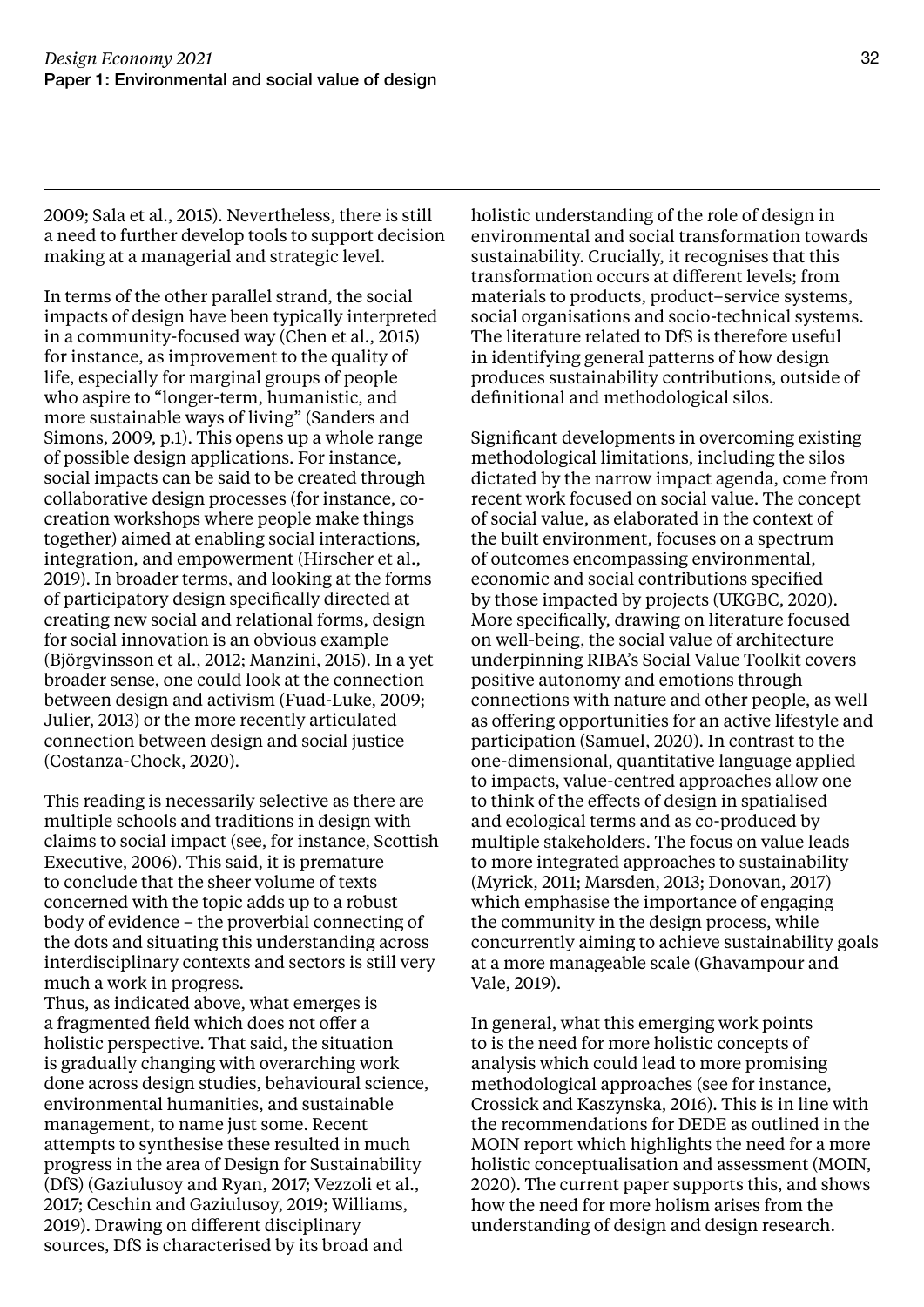2009; Sala et al., 2015). Nevertheless, there is still a need to further develop tools to support decision making at a managerial and strategic level.

In terms of the other parallel strand, the social impacts of design have been typically interpreted in a community-focused way (Chen et al., 2015) for instance, as improvement to the quality of life, especially for marginal groups of people who aspire to "longer-term, humanistic, and more sustainable ways of living" (Sanders and Simons, 2009, p.1). This opens up a whole range of possible design applications. For instance, social impacts can be said to be created through collaborative design processes (for instance, cocreation workshops where people make things together) aimed at enabling social interactions, integration, and empowerment (Hirscher et al., 2019). In broader terms, and looking at the forms of participatory design specifically directed at creating new social and relational forms, design for social innovation is an obvious example (Björgvinsson et al., 2012; Manzini, 2015). In a yet broader sense, one could look at the connection between design and activism (Fuad-Luke, 2009; Julier, 2013) or the more recently articulated connection between design and social justice (Costanza-Chock, 2020).

This reading is necessarily selective as there are multiple schools and traditions in design with claims to social impact (see, for instance, Scottish Executive, 2006). This said, it is premature to conclude that the sheer volume of texts concerned with the topic adds up to a robust body of evidence – the proverbial connecting of the dots and situating this understanding across interdisciplinary contexts and sectors is still very much a work in progress.

Thus, as indicated above, what emerges is a fragmented field which does not offer a holistic perspective. That said, the situation is gradually changing with overarching work done across design studies, behavioural science, environmental humanities, and sustainable management, to name just some. Recent attempts to synthesise these resulted in much progress in the area of Design for Sustainability (DfS) (Gaziulusoy and Ryan, 2017; Vezzoli et al., 2017; Ceschin and Gaziulusoy, 2019; Williams, 2019). Drawing on different disciplinary sources, DfS is characterised by its broad and

holistic understanding of the role of design in environmental and social transformation towards sustainability. Crucially, it recognises that this transformation occurs at different levels; from materials to products, product–service systems, social organisations and socio-technical systems. The literature related to DfS is therefore useful in identifying general patterns of how design produces sustainability contributions, outside of definitional and methodological silos.

Significant developments in overcoming existing methodological limitations, including the silos dictated by the narrow impact agenda, come from recent work focused on social value. The concept of social value, as elaborated in the context of the built environment, focuses on a spectrum of outcomes encompassing environmental, economic and social contributions specified by those impacted by projects (UKGBC, 2020). More specifically, drawing on literature focused on well-being, the social value of architecture underpinning RIBA's Social Value Toolkit covers positive autonomy and emotions through connections with nature and other people, as well as offering opportunities for an active lifestyle and participation (Samuel, 2020). In contrast to the one-dimensional, quantitative language applied to impacts, value-centred approaches allow one to think of the effects of design in spatialised and ecological terms and as co-produced by multiple stakeholders. The focus on value leads to more integrated approaches to sustainability (Myrick, 2011; Marsden, 2013; Donovan, 2017) which emphasise the importance of engaging the community in the design process, while concurrently aiming to achieve sustainability goals at a more manageable scale (Ghavampour and Vale, 2019).

In general, what this emerging work points to is the need for more holistic concepts of analysis which could lead to more promising methodological approaches (see for instance, Crossick and Kaszynska, 2016). This is in line with the recommendations for DEDE as outlined in the MOIN report which highlights the need for a more holistic conceptualisation and assessment (MOIN, 2020). The current paper supports this, and shows how the need for more holism arises from the understanding of design and design research.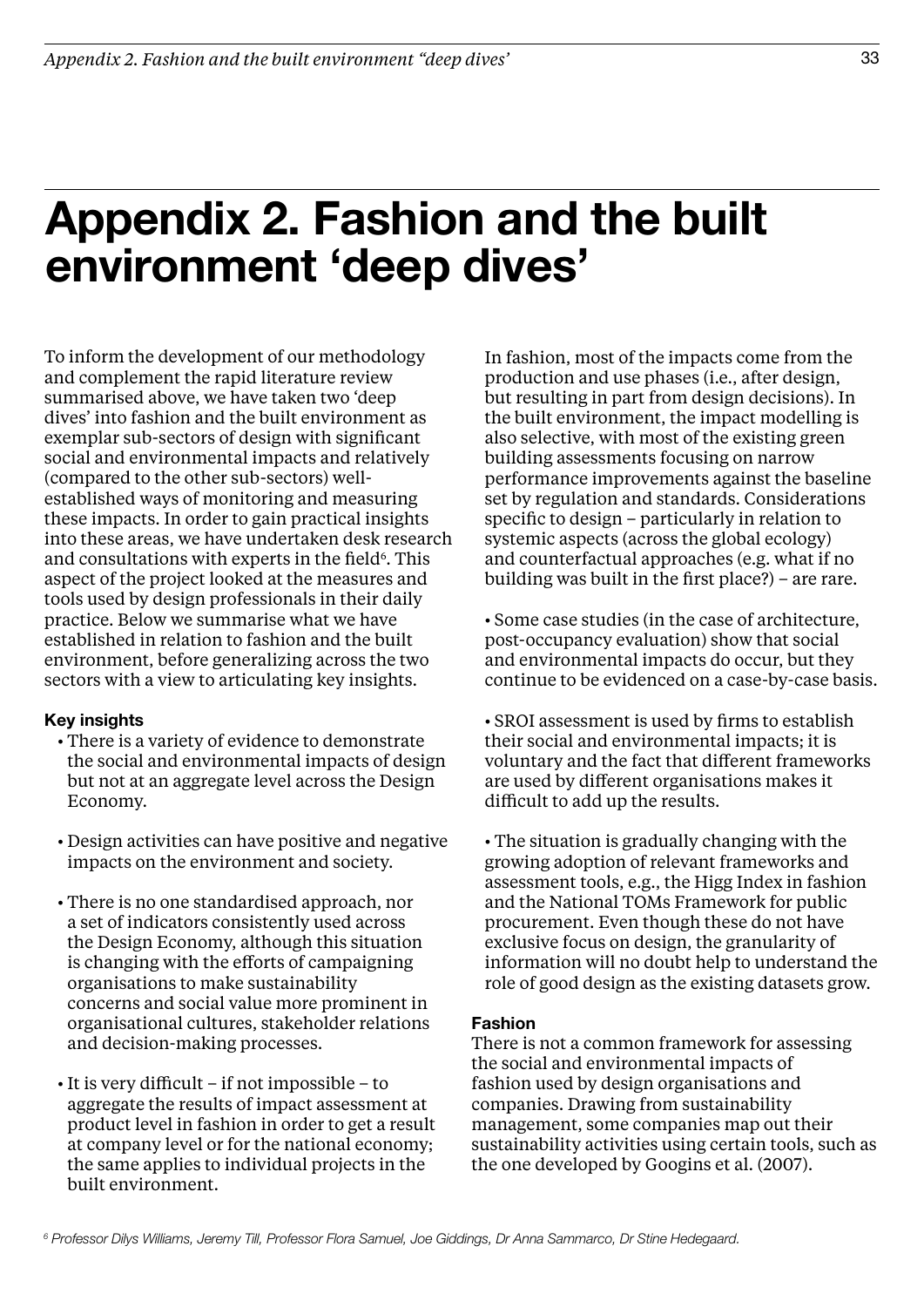### Appendix 2. Fashion and the built environment 'deep dives'

To inform the development of our methodology and complement the rapid literature review summarised above, we have taken two 'deep dives' into fashion and the built environment as exemplar sub-sectors of design with significant social and environmental impacts and relatively (compared to the other sub-sectors) wellestablished ways of monitoring and measuring these impacts. In order to gain practical insights into these areas, we have undertaken desk research and consultations with experts in the field<sup>6</sup>. This aspect of the project looked at the measures and tools used by design professionals in their daily practice. Below we summarise what we have established in relation to fashion and the built environment, before generalizing across the two sectors with a view to articulating key insights.

### Key insights

- There is a variety of evidence to demonstrate the social and environmental impacts of design but not at an aggregate level across the Design Economy.
- Design activities can have positive and negative impacts on the environment and society.
- There is no one standardised approach, nor a set of indicators consistently used across the Design Economy, although this situation is changing with the efforts of campaigning organisations to make sustainability concerns and social value more prominent in organisational cultures, stakeholder relations and decision-making processes.
- It is very difficult if not impossible to aggregate the results of impact assessment at product level in fashion in order to get a result at company level or for the national economy; the same applies to individual projects in the built environment.

In fashion, most of the impacts come from the production and use phases (i.e., after design, but resulting in part from design decisions). In the built environment, the impact modelling is also selective, with most of the existing green building assessments focusing on narrow performance improvements against the baseline set by regulation and standards. Considerations specific to design – particularly in relation to systemic aspects (across the global ecology) and counterfactual approaches (e.g. what if no building was built in the first place?) – are rare.

• Some case studies (in the case of architecture, post-occupancy evaluation) show that social and environmental impacts do occur, but they continue to be evidenced on a case-by-case basis.

• SROI assessment is used by firms to establish their social and environmental impacts; it is voluntary and the fact that different frameworks are used by different organisations makes it difficult to add up the results.

• The situation is gradually changing with the growing adoption of relevant frameworks and assessment tools, e.g., the Higg Index in fashion and the National TOMs Framework for public procurement. Even though these do not have exclusive focus on design, the granularity of information will no doubt help to understand the role of good design as the existing datasets grow.

### Fashion

There is not a common framework for assessing the social and environmental impacts of fashion used by design organisations and companies. Drawing from sustainability management, some companies map out their sustainability activities using certain tools, such as the one developed by Googins et al. (2007).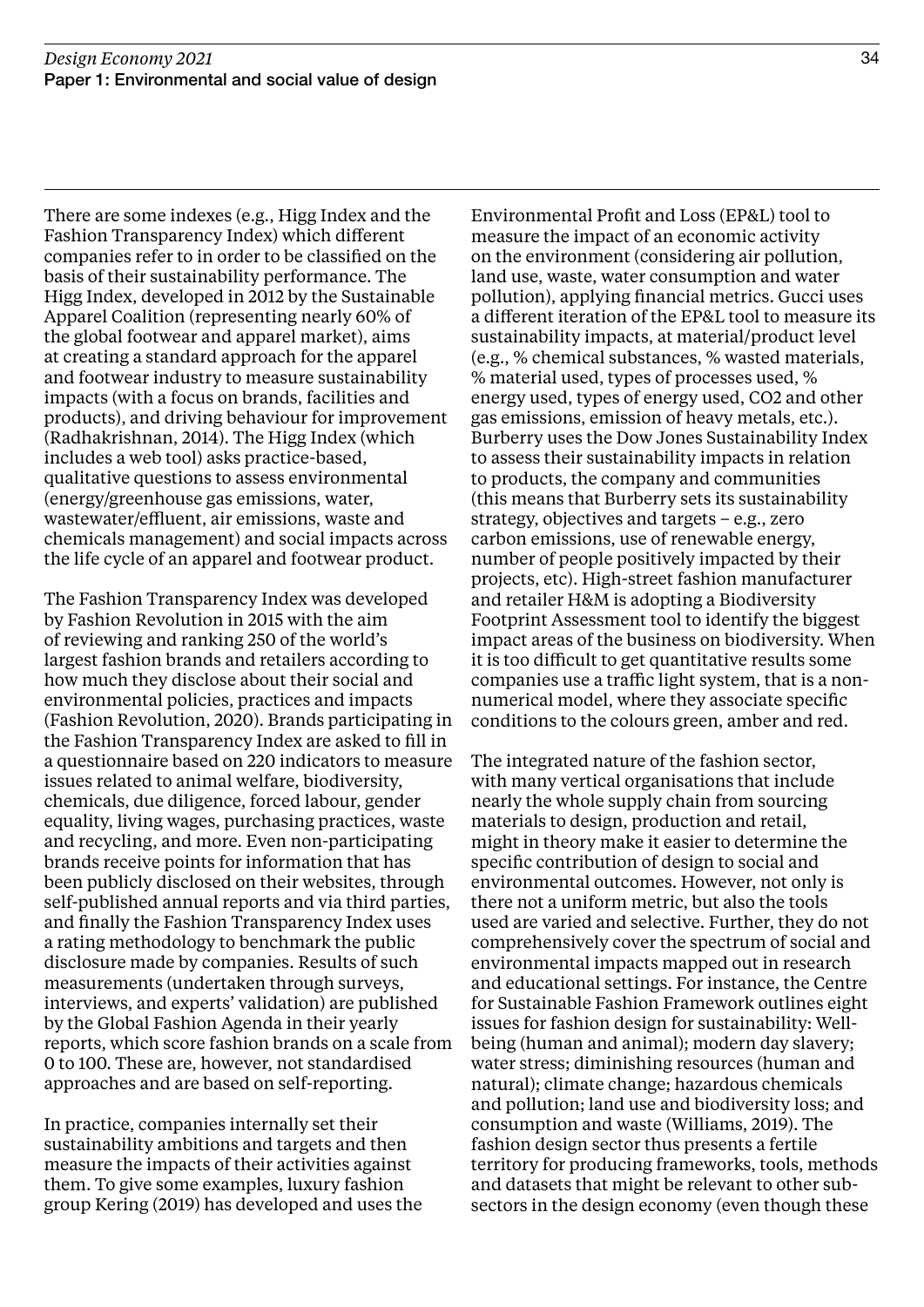There are some indexes (e.g., Higg Index and the Fashion Transparency Index) which different companies refer to in order to be classified on the basis of their sustainability performance. The Higg Index, developed in 2012 by the Sustainable Apparel Coalition (representing nearly 60% of the global footwear and apparel market), aims at creating a standard approach for the apparel and footwear industry to measure sustainability impacts (with a focus on brands, facilities and products), and driving behaviour for improvement (Radhakrishnan, 2014). The Higg Index (which includes a web tool) asks practice-based, qualitative questions to assess environmental (energy/greenhouse gas emissions, water, wastewater/effluent, air emissions, waste and chemicals management) and social impacts across the life cycle of an apparel and footwear product.

The Fashion Transparency Index was developed by Fashion Revolution in 2015 with the aim of reviewing and ranking 250 of the world's largest fashion brands and retailers according to how much they disclose about their social and environmental policies, practices and impacts (Fashion Revolution, 2020). Brands participating in the Fashion Transparency Index are asked to fill in a questionnaire based on 220 indicators to measure issues related to animal welfare, biodiversity, chemicals, due diligence, forced labour, gender equality, living wages, purchasing practices, waste and recycling, and more. Even non-participating brands receive points for information that has been publicly disclosed on their websites, through self-published annual reports and via third parties, and finally the Fashion Transparency Index uses a rating methodology to benchmark the public disclosure made by companies. Results of such measurements (undertaken through surveys, interviews, and experts' validation) are published by the Global Fashion Agenda in their yearly reports, which score fashion brands on a scale from 0 to 100. These are, however, not standardised approaches and are based on self-reporting.

In practice, companies internally set their sustainability ambitions and targets and then measure the impacts of their activities against them. To give some examples, luxury fashion group Kering (2019) has developed and uses the

Environmental Profit and Loss (EP&L) tool to measure the impact of an economic activity on the environment (considering air pollution, land use, waste, water consumption and water pollution), applying financial metrics. Gucci uses a different iteration of the EP&L tool to measure its sustainability impacts, at material/product level (e.g., % chemical substances, % wasted materials, % material used, types of processes used, % energy used, types of energy used, CO2 and other gas emissions, emission of heavy metals, etc.). Burberry uses the Dow Jones Sustainability Index to assess their sustainability impacts in relation to products, the company and communities (this means that Burberry sets its sustainability strategy, objectives and targets – e.g., zero carbon emissions, use of renewable energy, number of people positively impacted by their projects, etc). High-street fashion manufacturer and retailer H&M is adopting a Biodiversity Footprint Assessment tool to identify the biggest impact areas of the business on biodiversity. When it is too difficult to get quantitative results some companies use a traffic light system, that is a nonnumerical model, where they associate specific conditions to the colours green, amber and red.

The integrated nature of the fashion sector, with many vertical organisations that include nearly the whole supply chain from sourcing materials to design, production and retail, might in theory make it easier to determine the specific contribution of design to social and environmental outcomes. However, not only is there not a uniform metric, but also the tools used are varied and selective. Further, they do not comprehensively cover the spectrum of social and environmental impacts mapped out in research and educational settings. For instance, the Centre for Sustainable Fashion Framework outlines eight issues for fashion design for sustainability: Wellbeing (human and animal); modern day slavery; water stress; diminishing resources (human and natural); climate change; hazardous chemicals and pollution; land use and biodiversity loss; and consumption and waste (Williams, 2019). The fashion design sector thus presents a fertile territory for producing frameworks, tools, methods and datasets that might be relevant to other subsectors in the design economy (even though these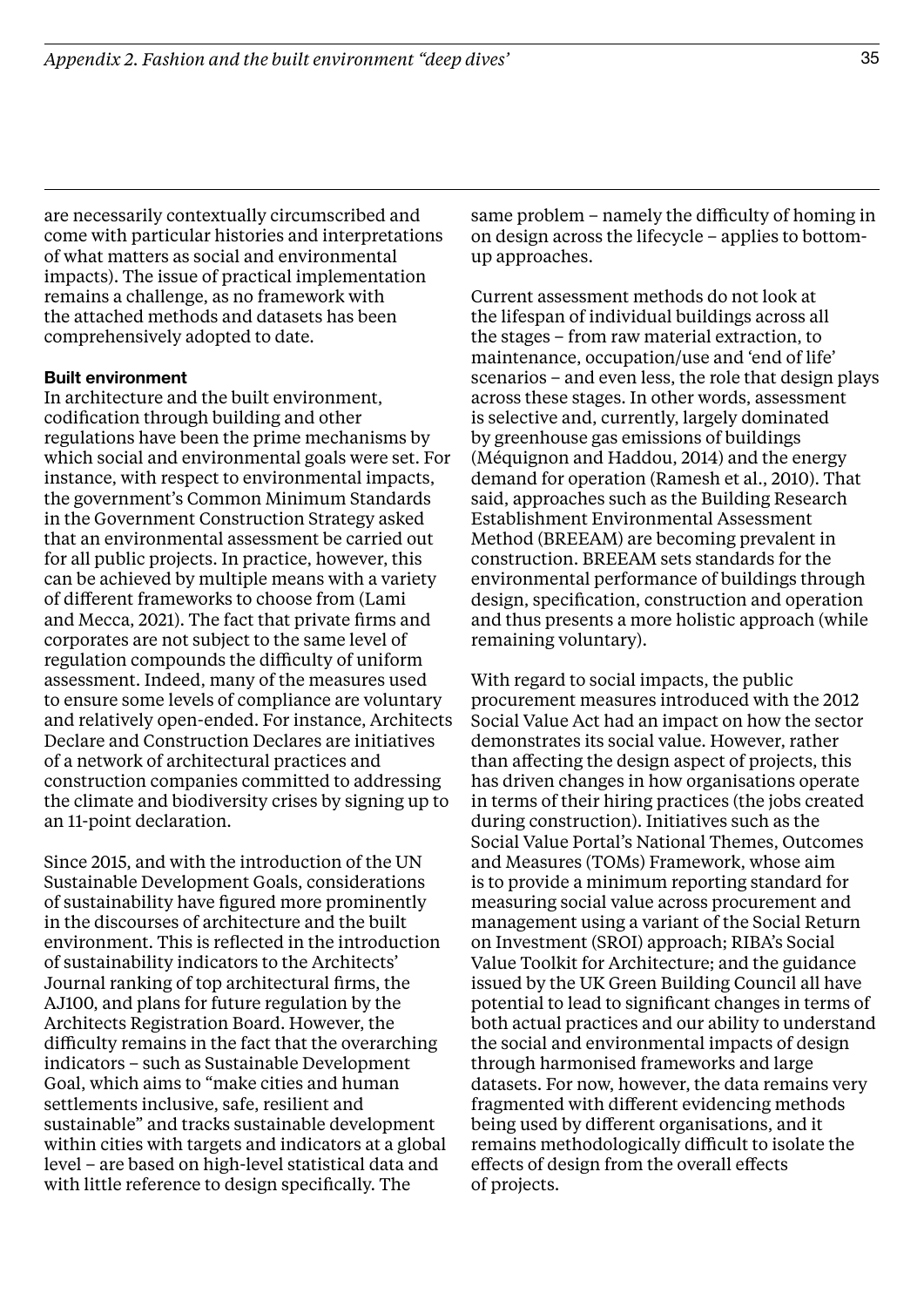are necessarily contextually circumscribed and come with particular histories and interpretations of what matters as social and environmental impacts). The issue of practical implementation remains a challenge, as no framework with the attached methods and datasets has been comprehensively adopted to date.

#### Built environment

In architecture and the built environment, codification through building and other regulations have been the prime mechanisms by which social and environmental goals were set. For instance, with respect to environmental impacts, the government's Common Minimum Standards in the Government Construction Strategy asked that an environmental assessment be carried out for all public projects. In practice, however, this can be achieved by multiple means with a variety of different frameworks to choose from (Lami and Mecca, 2021). The fact that private firms and corporates are not subject to the same level of regulation compounds the difficulty of uniform assessment. Indeed, many of the measures used to ensure some levels of compliance are voluntary and relatively open-ended. For instance, Architects Declare and Construction Declares are initiatives of a network of architectural practices and construction companies committed to addressing the climate and biodiversity crises by signing up to an 11-point declaration.

Since 2015, and with the introduction of the UN Sustainable Development Goals, considerations of sustainability have figured more prominently in the discourses of architecture and the built environment. This is reflected in the introduction of sustainability indicators to the Architects' Journal ranking of top architectural firms, the AJ100, and plans for future regulation by the Architects Registration Board. However, the difficulty remains in the fact that the overarching indicators – such as Sustainable Development Goal, which aims to "make cities and human settlements inclusive, safe, resilient and sustainable" and tracks sustainable development within cities with targets and indicators at a global level – are based on high-level statistical data and with little reference to design specifically. The

same problem – namely the difficulty of homing in on design across the lifecycle – applies to bottomup approaches.

Current assessment methods do not look at the lifespan of individual buildings across all the stages – from raw material extraction, to maintenance, occupation/use and 'end of life' scenarios – and even less, the role that design plays across these stages. In other words, assessment is selective and, currently, largely dominated by greenhouse gas emissions of buildings (Méquignon and Haddou, 2014) and the energy demand for operation (Ramesh et al., 2010). That said, approaches such as the Building Research Establishment Environmental Assessment Method (BREEAM) are becoming prevalent in construction. BREEAM sets standards for the environmental performance of buildings through design, specification, construction and operation and thus presents a more holistic approach (while remaining voluntary).

With regard to social impacts, the public procurement measures introduced with the 2012 Social Value Act had an impact on how the sector demonstrates its social value. However, rather than affecting the design aspect of projects, this has driven changes in how organisations operate in terms of their hiring practices (the jobs created during construction). Initiatives such as the Social Value Portal's National Themes, Outcomes and Measures (TOMs) Framework, whose aim is to provide a minimum reporting standard for measuring social value across procurement and management using a variant of the Social Return on Investment (SROI) approach; RIBA's Social Value Toolkit for Architecture; and the guidance issued by the UK Green Building Council all have potential to lead to significant changes in terms of both actual practices and our ability to understand the social and environmental impacts of design through harmonised frameworks and large datasets. For now, however, the data remains very fragmented with different evidencing methods being used by different organisations, and it remains methodologically difficult to isolate the effects of design from the overall effects of projects.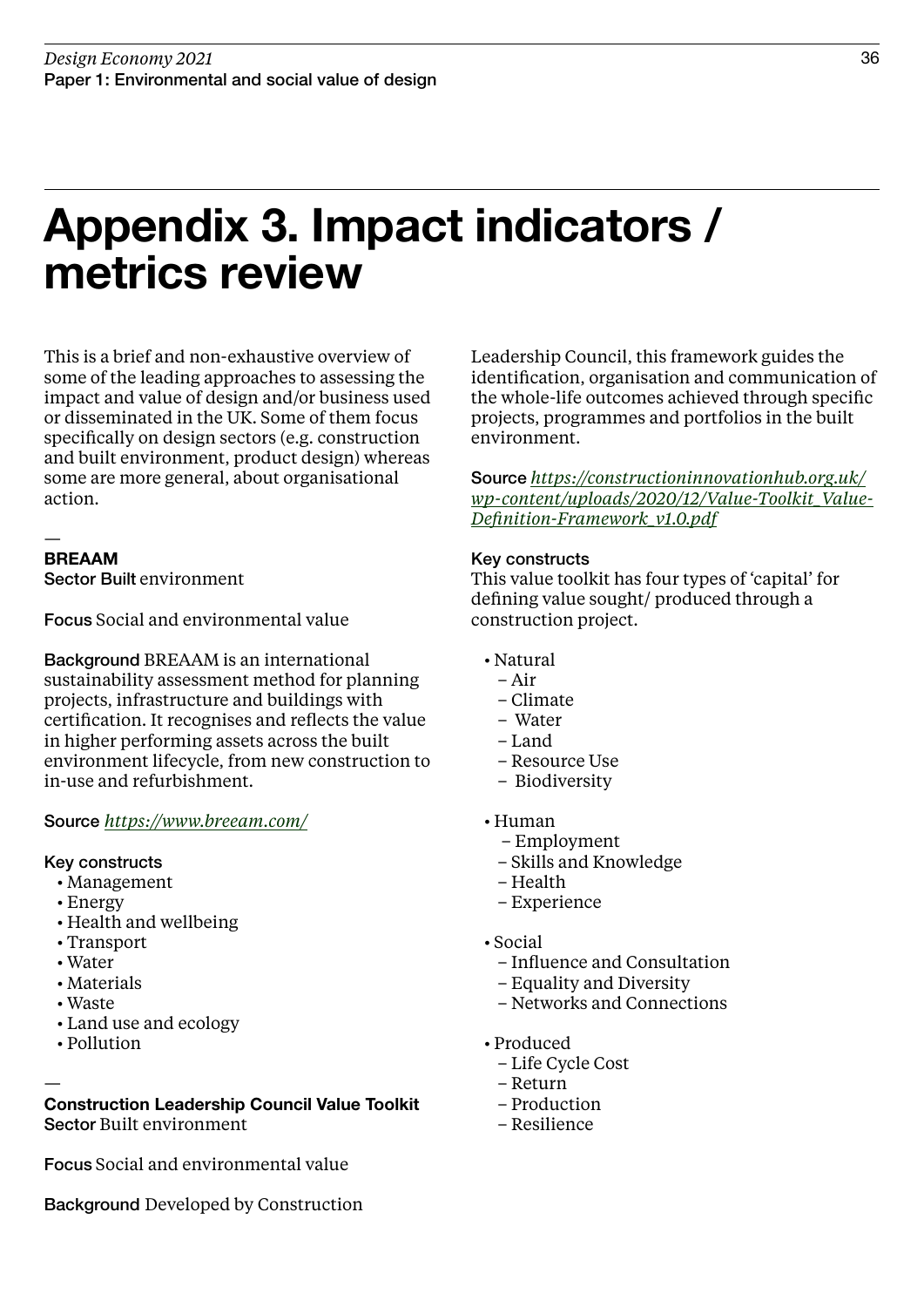### Appendix 3. Impact indicators / metrics review

This is a brief and non-exhaustive overview of some of the leading approaches to assessing the impact and value of design and/or business used or disseminated in the UK. Some of them focus specifically on design sectors (e.g. construction and built environment, product design) whereas some are more general, about organisational action.

#### — BREAAM

Sector Built environment

Focus Social and environmental value

Background BREAAM is an international sustainability assessment method for planning projects, infrastructure and buildings with certification. It recognises and reflects the value in higher performing assets across the built environment lifecycle, from new construction to in-use and refurbishment.

### Source *<https://www.breeam.com/>*

### Key constructs

- Management
- Energy
- Health and wellbeing
- Transport
- Water
- Materials
- Waste
- Land use and ecology
- Pollution

— Construction Leadership Council Value Toolkit Sector Built environment

Focus Social and environmental value

Background Developed by Construction

Leadership Council, this framework guides the identification, organisation and communication of the whole-life outcomes achieved through specific projects, programmes and portfolios in the built environment.

Source *[https://constructioninnovationhub.org.uk/](https://constructioninnovationhub.org.uk/wp-content/uploads/2020/12/Value-Toolkit_Value-Definition-Framework_v1.0.pdf) [wp-content/uploads/2020/12/Value-Toolkit\\_Value-](https://constructioninnovationhub.org.uk/wp-content/uploads/2020/12/Value-Toolkit_Value-Definition-Framework_v1.0.pdf)[Definition-Framework\\_v1.0.pdf](https://constructioninnovationhub.org.uk/wp-content/uploads/2020/12/Value-Toolkit_Value-Definition-Framework_v1.0.pdf)*

### Key constructs

This value toolkit has four types of 'capital' for defining value sought/ produced through a construction project.

- Natural
	- Air
	- Climate
	- Water
	- Land
	- Resource Use
	- Biodiversity
- Human
	- Employment
	- Skills and Knowledge
	- Health
	- Experience
- Social
	- Influence and Consultation
	- Equality and Diversity
	- Networks and Connections
- Produced
	- Life Cycle Cost
	- Return
	- Production
	- Resilience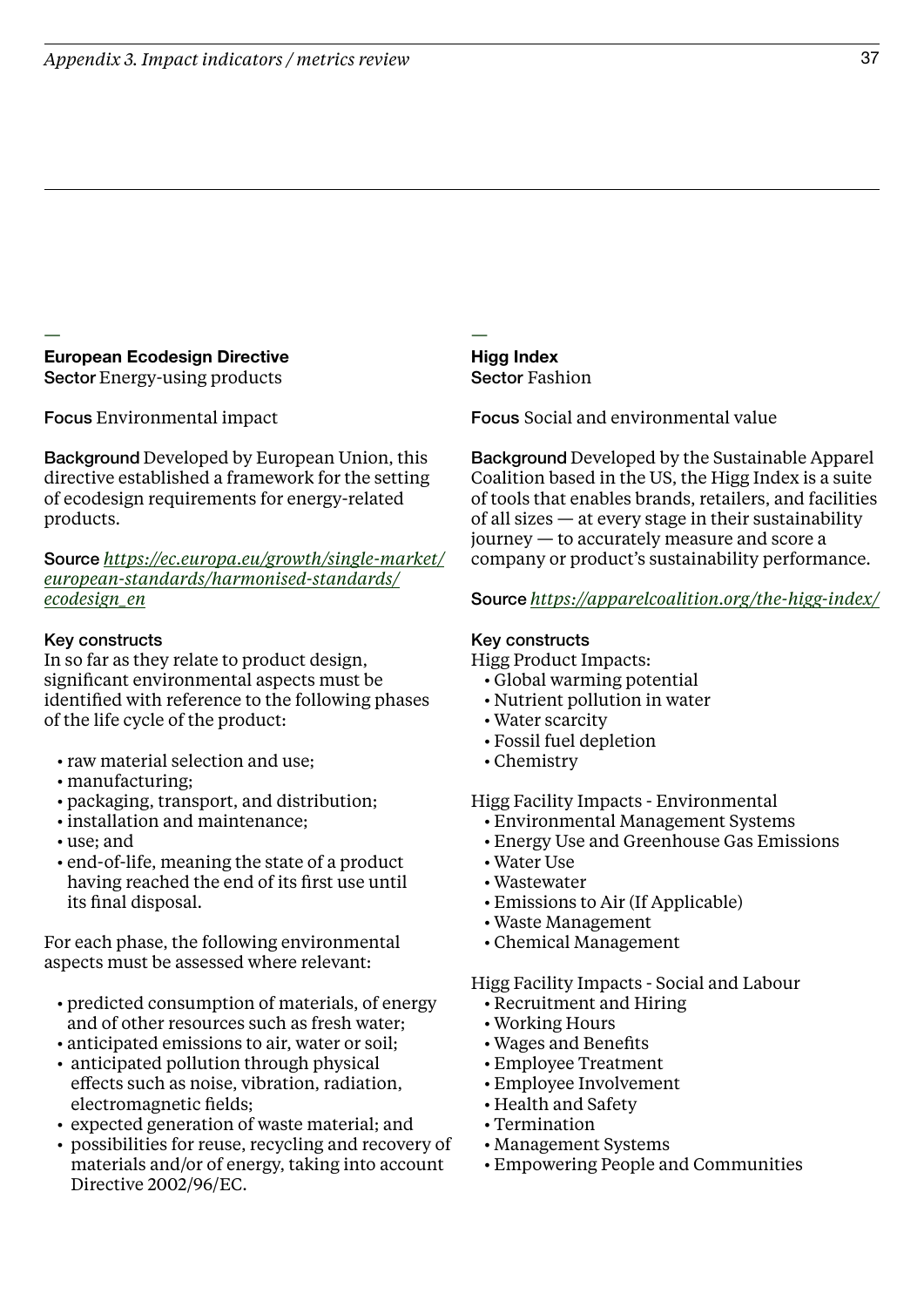### European Ecodesign Directive Sector Energy-using products — —

Focus Environmental impact

Background Developed by European Union, this directive established a framework for the setting of ecodesign requirements for energy-related products.

Source *[https://ec.europa.eu/growth/single-market/](https://ec.europa.eu/growth/single-market/european-standards/harmonised-standards/ecodesign_en) [european-standards/harmonised-standards/](https://ec.europa.eu/growth/single-market/european-standards/harmonised-standards/ecodesign_en) [ecodesign\\_en](https://ec.europa.eu/growth/single-market/european-standards/harmonised-standards/ecodesign_en)*

### Key constructs

In so far as they relate to product design, significant environmental aspects must be identified with reference to the following phases of the life cycle of the product:

- raw material selection and use;
- manufacturing;
- packaging, transport, and distribution;
- installation and maintenance;
- use; and
- end-of-life, meaning the state of a product having reached the end of its first use until its final disposal.

For each phase, the following environmental aspects must be assessed where relevant:

- predicted consumption of materials, of energy and of other resources such as fresh water;
- anticipated emissions to air, water or soil;
- anticipated pollution through physical effects such as noise, vibration, radiation, electromagnetic fields;
- expected generation of waste material; and
- possibilities for reuse, recycling and recovery of materials and/or of energy, taking into account Directive 2002/96/EC.

Higg Index Sector Fashion

Focus Social and environmental value

Background Developed by the Sustainable Apparel Coalition based in the US, the Higg Index is a suite of tools that enables brands, retailers, and facilities of all sizes — at every stage in their sustainability journey — to accurately measure and score a company or product's sustainability performance.

### Source *[https://apparelcoalition.org/the-higg-index/](https://apparelcoalition.org/the-higg-index/
)*

### Key constructs

Higg Product Impacts:

- Global warming potential
- Nutrient pollution in water
- Water scarcity
- Fossil fuel depletion
- Chemistry

Higg Facility Impacts - Environmental

- Environmental Management Systems
- Energy Use and Greenhouse Gas Emissions
- Water Use
- Wastewater
- Emissions to Air (If Applicable)
- Waste Management
- Chemical Management

Higg Facility Impacts - Social and Labour

- Recruitment and Hiring
- Working Hours
- Wages and Benefits
- Employee Treatment
- Employee Involvement
- Health and Safety
- Termination
- Management Systems
- Empowering People and Communities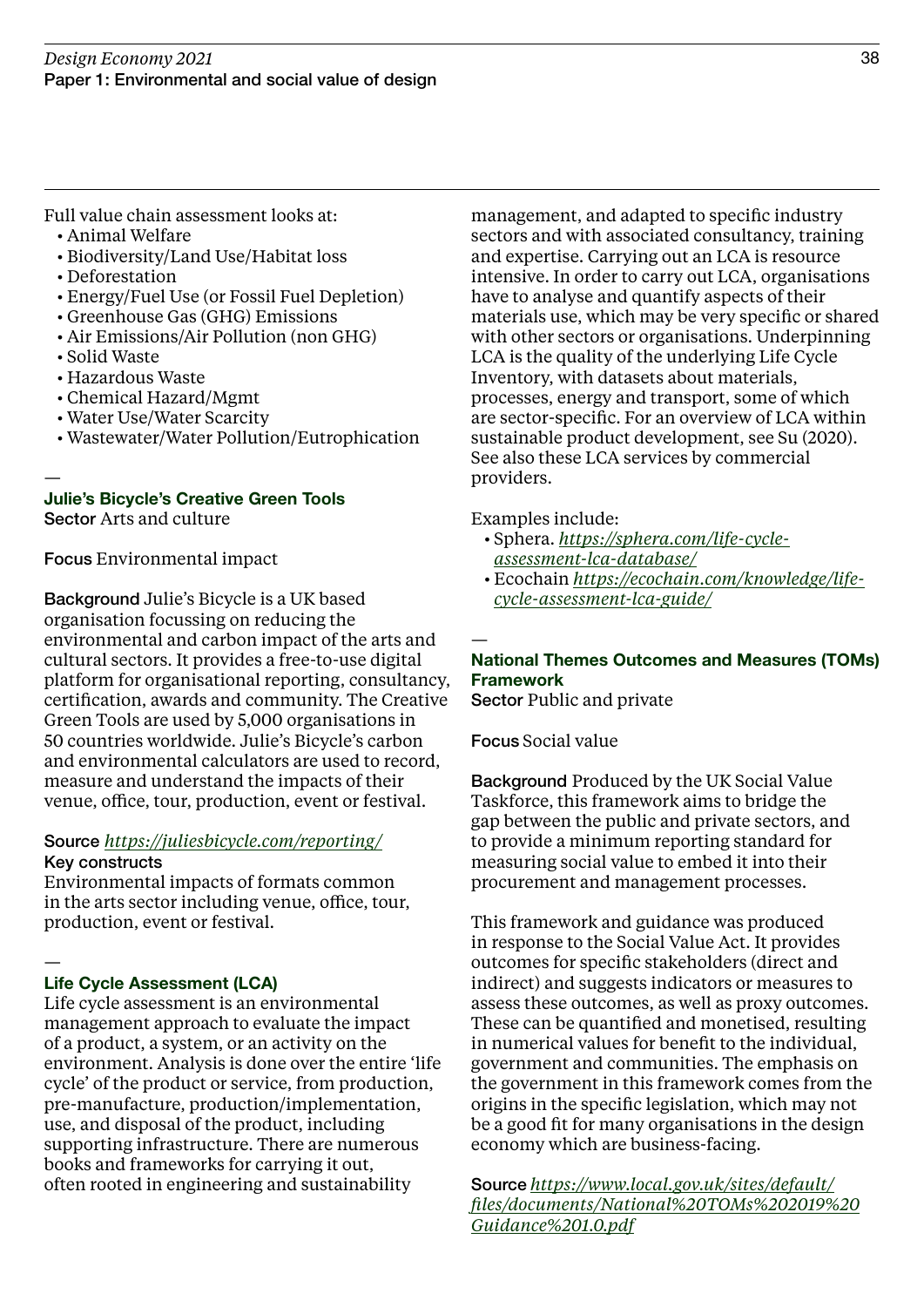Full value chain assessment looks at: • Animal Welfare

- Biodiversity/Land Use/Habitat loss
- Deforestation
- Energy/Fuel Use (or Fossil Fuel Depletion)
- Greenhouse Gas (GHG) Emissions
- Air Emissions/Air Pollution (non GHG)
- Solid Waste

—

- Hazardous Waste
- Chemical Hazard/Mgmt
- Water Use/Water Scarcity
- Wastewater/Water Pollution/Eutrophication

### Julie's Bicycle's Creative Green Tools

Sector Arts and culture

Focus Environmental impact

Background Julie's Bicycle is a UK based organisation focussing on reducing the environmental and carbon impact of the arts and cultural sectors. It provides a free-to-use digital platform for organisational reporting, consultancy, certification, awards and community. The Creative Green Tools are used by 5,000 organisations in 50 countries worldwide. Julie's Bicycle's carbon and environmental calculators are used to record, measure and understand the impacts of their venue, office, tour, production, event or festival.

### Source *<https://juliesbicycle.com/reporting/>* Key constructs

Environmental impacts of formats common in the arts sector including venue, office, tour, production, event or festival.

#### — Life Cycle Assessment (LCA)

Life cycle assessment is an environmental management approach to evaluate the impact of a product, a system, or an activity on the environment. Analysis is done over the entire 'life cycle' of the product or service, from production, pre-manufacture, production/implementation, use, and disposal of the product, including supporting infrastructure. There are numerous books and frameworks for carrying it out, often rooted in engineering and sustainability

management, and adapted to specific industry sectors and with associated consultancy, training and expertise. Carrying out an LCA is resource intensive. In order to carry out LCA, organisations have to analyse and quantify aspects of their materials use, which may be very specific or shared with other sectors or organisations. Underpinning LCA is the quality of the underlying Life Cycle Inventory, with datasets about materials, processes, energy and transport, some of which are sector-specific. For an overview of LCA within sustainable product development, see Su (2020). See also these LCA services by commercial providers.

### Examples include:

- Sphera. *[https://sphera.com/life-cycle](https://sphera.com/life-cycle-assessment-lca-database/)[assessment-lca-database/](https://sphera.com/life-cycle-assessment-lca-database/)*
- Ecochain *[https://ecochain.com/knowledge/life](https://ecochain.com/knowledge/life-cycle-assessment-lca-guide/)[cycle-assessment-lca-guide/](https://ecochain.com/knowledge/life-cycle-assessment-lca-guide/)*

### — National Themes Outcomes and Measures (TOMs) Framework

Sector Public and private

Focus Social value

Background Produced by the UK Social Value Taskforce, this framework aims to bridge the gap between the public and private sectors, and to provide a minimum reporting standard for measuring social value to embed it into their procurement and management processes.

This framework and guidance was produced in response to the Social Value Act. It provides outcomes for specific stakeholders (direct and indirect) and suggests indicators or measures to assess these outcomes, as well as proxy outcomes. These can be quantified and monetised, resulting in numerical values for benefit to the individual, government and communities. The emphasis on the government in this framework comes from the origins in the specific legislation, which may not be a good fit for many organisations in the design economy which are business-facing.

Source *[https://www.local.gov.uk/sites/default/](https://www.local.gov.uk/sites/default/files/documents/National%20TOMs%202019%20Guidance%201.0.pdf) [files/documents/National%20TOMs%202019%20](https://www.local.gov.uk/sites/default/files/documents/National%20TOMs%202019%20Guidance%201.0.pdf) [Guidance%201.0.pdf](https://www.local.gov.uk/sites/default/files/documents/National%20TOMs%202019%20Guidance%201.0.pdf)*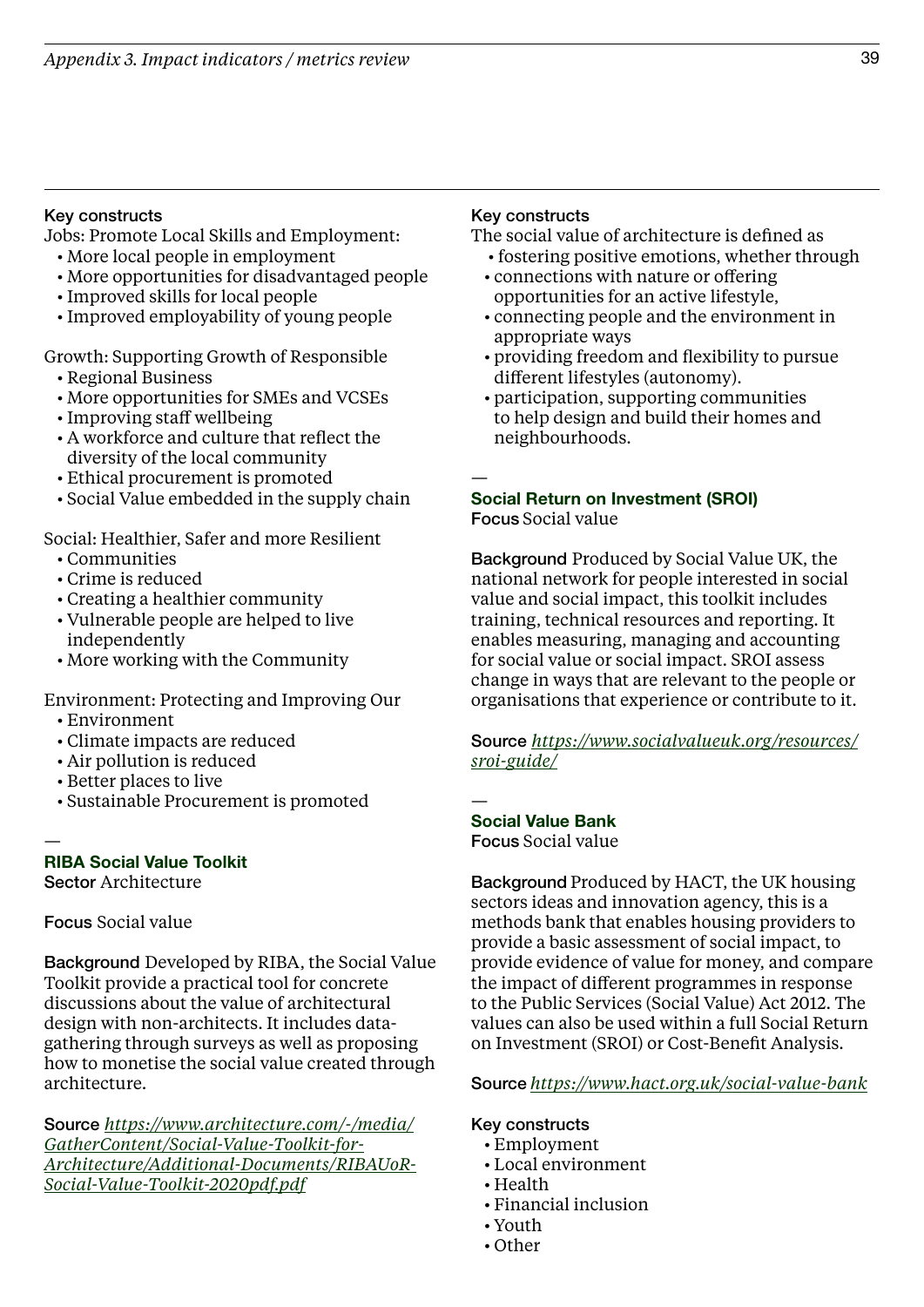### Key constructs

Jobs: Promote Local Skills and Employment:

- More local people in employment
- More opportunities for disadvantaged people
- Improved skills for local people
- Improved employability of young people

Growth: Supporting Growth of Responsible

- Regional Business
- More opportunities for SMEs and VCSEs
- Improving staff wellbeing
- A workforce and culture that reflect the diversity of the local community
- Ethical procurement is promoted
- Social Value embedded in the supply chain

Social: Healthier, Safer and more Resilient

- Communities
- Crime is reduced
- Creating a healthier community
- Vulnerable people are helped to live independently
- More working with the Community

Environment: Protecting and Improving Our

- Environment
- Climate impacts are reduced
- Air pollution is reduced
- Better places to live
- Sustainable Procurement is promoted

—

RIBA Social Value Toolkit

Sector Architecture

### Focus Social value

Background Developed by RIBA, the Social Value Toolkit provide a practical tool for concrete discussions about the value of architectural design with non-architects. It includes datagathering through surveys as well as proposing how to monetise the social value created through architecture.

Source *[https://www.architecture.com/-/media/](https://www.architecture.com/-/media/GatherContent/Social-Value-Toolkit-for-Architecture/Additional-Documents/RIBAUoR-Social-Value-Toolkit-2020pdf.pdf) [GatherContent/Social-Value-Toolkit-for-](https://www.architecture.com/-/media/GatherContent/Social-Value-Toolkit-for-Architecture/Additional-Documents/RIBAUoR-Social-Value-Toolkit-2020pdf.pdf)[Architecture/Additional-Documents/RIBAUoR-](https://www.architecture.com/-/media/GatherContent/Social-Value-Toolkit-for-Architecture/Additional-Documents/RIBAUoR-Social-Value-Toolkit-2020pdf.pdf)[Social-Value-Toolkit-2020pdf.pdf](https://www.architecture.com/-/media/GatherContent/Social-Value-Toolkit-for-Architecture/Additional-Documents/RIBAUoR-Social-Value-Toolkit-2020pdf.pdf)*

### Key constructs

The social value of architecture is defined as

- fostering positive emotions, whether through
- connections with nature or offering opportunities for an active lifestyle,
- connecting people and the environment in appropriate ways
- providing freedom and flexibility to pursue different lifestyles (autonomy).
- participation, supporting communities to help design and build their homes and neighbourhoods.

—

### Social Return on Investment (SROI) Focus Social value

Background Produced by Social Value UK, the national network for people interested in social

value and social impact, this toolkit includes training, technical resources and reporting. It enables measuring, managing and accounting for social value or social impact. SROI assess change in ways that are relevant to the people or organisations that experience or contribute to it.

Source *[https://www.socialvalueuk.org/resources/](https://www.socialvalueuk.org/resources/sroi-guide/) [sroi-guide/](https://www.socialvalueuk.org/resources/sroi-guide/)*

— Social Value Bank

Focus Social value

Background Produced by HACT, the UK housing sectors ideas and innovation agency, this is a methods bank that enables housing providers to provide a basic assessment of social impact, to provide evidence of value for money, and compare the impact of different programmes in response to the Public Services (Social Value) Act 2012. The values can also be used within a full Social Return on Investment (SROI) or Cost-Benefit Analysis.

Source *<https://www.hact.org.uk/social-value-bank>*

### Key constructs

- Employment
- Local environment
- Health
- Financial inclusion
- Youth
- Other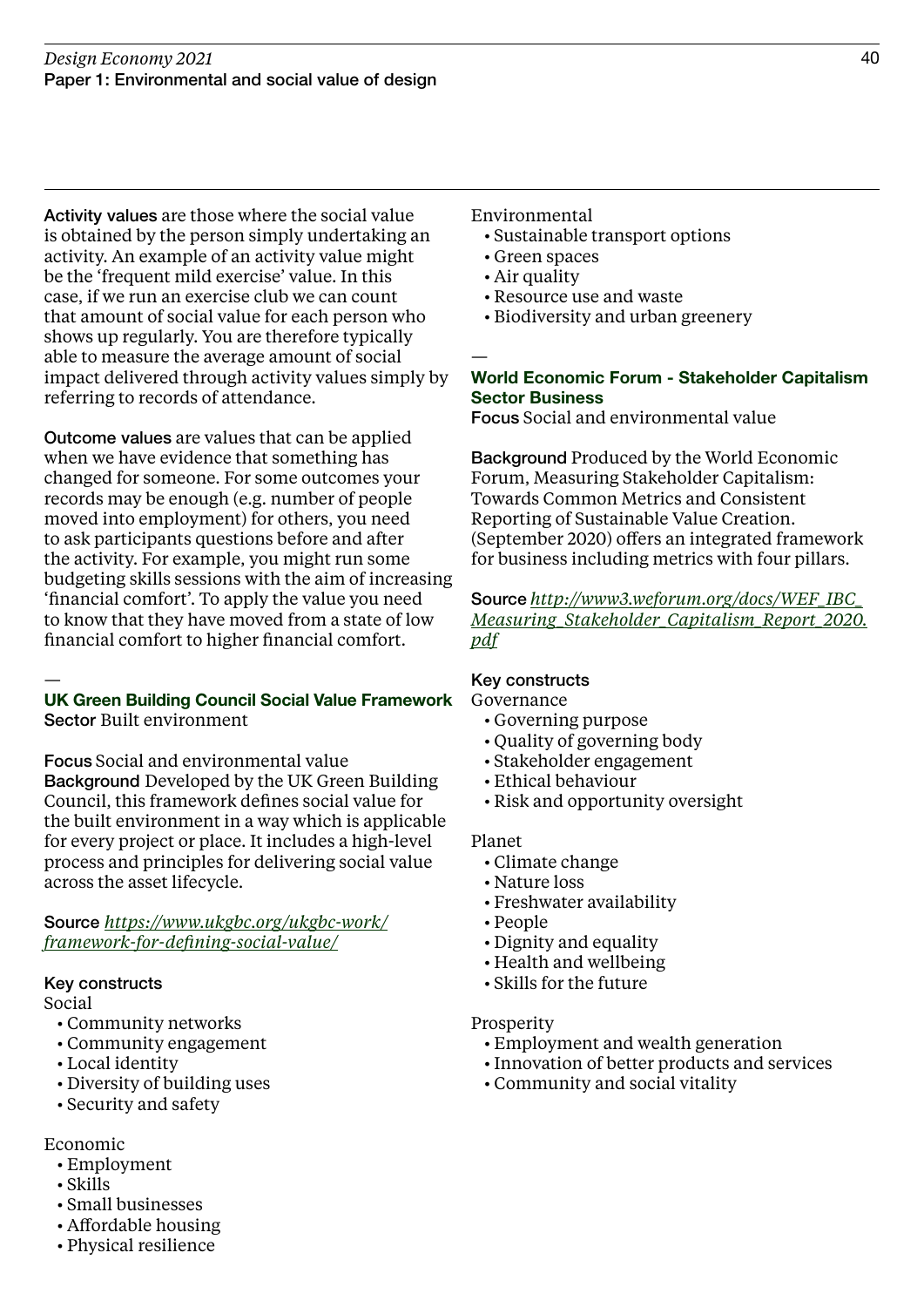Activity values are those where the social value is obtained by the person simply undertaking an activity. An example of an activity value might be the 'frequent mild exercise' value. In this case, if we run an exercise club we can count that amount of social value for each person who shows up regularly. You are therefore typically able to measure the average amount of social impact delivered through activity values simply by referring to records of attendance.

Outcome values are values that can be applied when we have evidence that something has changed for someone. For some outcomes your records may be enough (e.g. number of people moved into employment) for others, you need to ask participants questions before and after the activity. For example, you might run some budgeting skills sessions with the aim of increasing 'financial comfort'. To apply the value you need to know that they have moved from a state of low financial comfort to higher financial comfort.

### — UK Green Building Council Social Value Framework Sector Built environment

Focus Social and environmental value Background Developed by the UK Green Building Council, this framework defines social value for the built environment in a way which is applicable for every project or place. It includes a high-level process and principles for delivering social value across the asset lifecycle.

### Source *[https://www.ukgbc.org/ukgbc-work/](https://www.ukgbc.org/ukgbc-work/framework-for-defining-social-value/) [framework-for-defining-social-value/](https://www.ukgbc.org/ukgbc-work/framework-for-defining-social-value/)*

### Key constructs

Social

- Community networks
- Community engagement
- Local identity
- Diversity of building uses
- Security and safety

### Economic

- Employment
- Skills
- Small businesses
- Affordable housing
- Physical resilience

Environmental

- Sustainable transport options
- Green spaces
- Air quality
- Resource use and waste
- Biodiversity and urban greenery

### — World Economic Forum - Stakeholder Capitalism Sector Business

Focus Social and environmental value

Background Produced by the World Economic Forum, Measuring Stakeholder Capitalism: Towards Common Metrics and Consistent Reporting of Sustainable Value Creation. (September 2020) offers an integrated framework for business including metrics with four pillars.

Source *[http://www3.weforum.org/docs/WEF\\_IBC\\_](http://www3.weforum.org/docs/WEF_IBC_Measuring_Stakeholder_Capitalism_Report_2020.pdf) [Measuring\\_Stakeholder\\_Capitalism\\_Report\\_2020.](http://www3.weforum.org/docs/WEF_IBC_Measuring_Stakeholder_Capitalism_Report_2020.pdf) [pdf](http://www3.weforum.org/docs/WEF_IBC_Measuring_Stakeholder_Capitalism_Report_2020.pdf)*

### Key constructs

Governance

- Governing purpose
- Quality of governing body
- Stakeholder engagement
- Ethical behaviour
- Risk and opportunity oversight

### Planet

- Climate change
- Nature loss
- Freshwater availability
- People
- Dignity and equality
- Health and wellbeing
- Skills for the future

### Prosperity

- Employment and wealth generation
- Innovation of better products and services
- Community and social vitality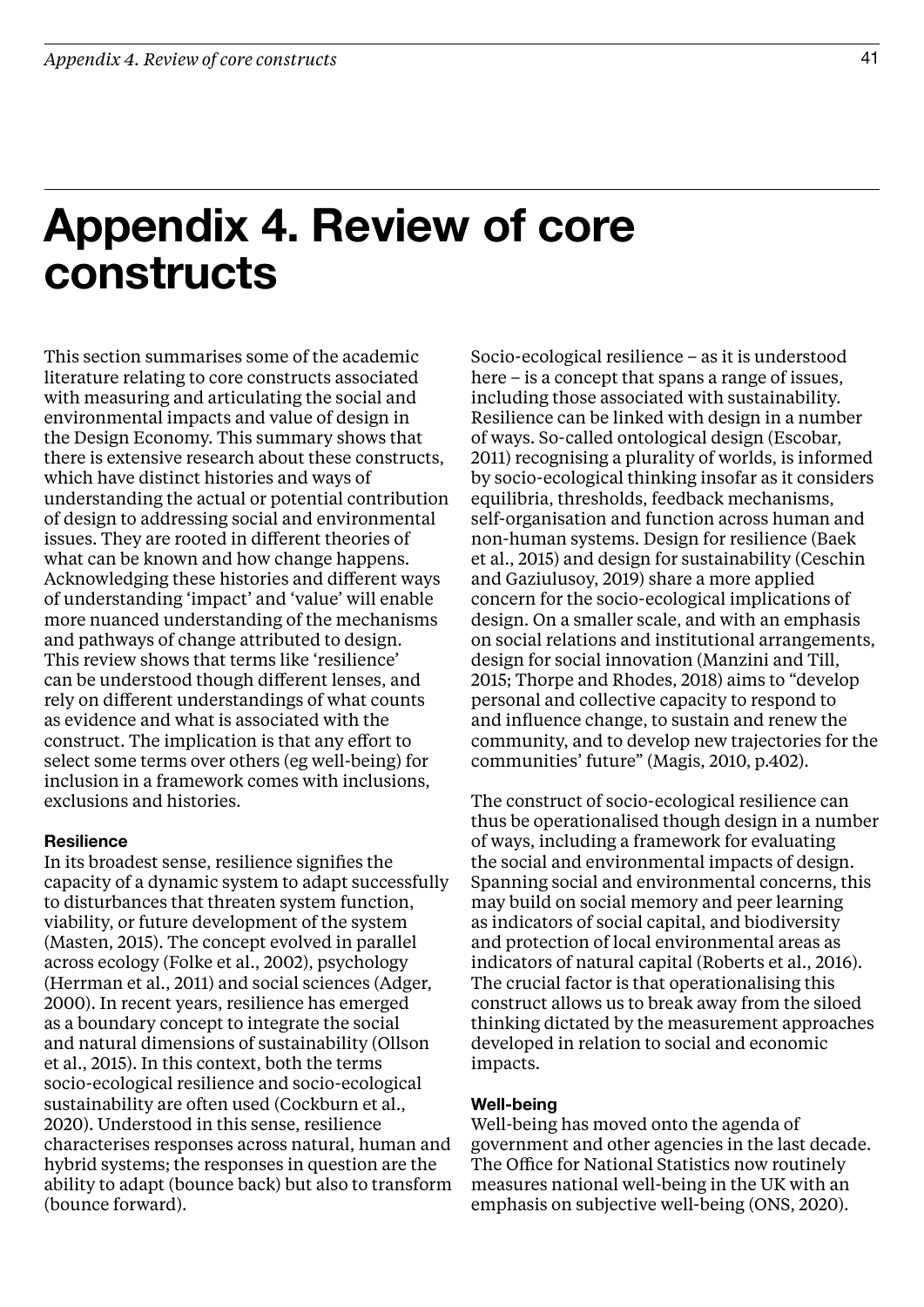### Appendix 4. Review of core constructs

This section summarises some of the academic literature relating to core constructs associated with measuring and articulating the social and environmental impacts and value of design in the Design Economy. This summary shows that there is extensive research about these constructs, which have distinct histories and ways of understanding the actual or potential contribution of design to addressing social and environmental issues. They are rooted in different theories of what can be known and how change happens. Acknowledging these histories and different ways of understanding 'impact' and 'value' will enable more nuanced understanding of the mechanisms and pathways of change attributed to design. This review shows that terms like 'resilience' can be understood though different lenses, and rely on different understandings of what counts as evidence and what is associated with the construct. The implication is that any effort to select some terms over others (eg well-being) for inclusion in a framework comes with inclusions, exclusions and histories.

### Resilience

In its broadest sense, resilience signifies the capacity of a dynamic system to adapt successfully to disturbances that threaten system function, viability, or future development of the system (Masten, 2015). The concept evolved in parallel across ecology (Folke et al., 2002), psychology (Herrman et al., 2011) and social sciences (Adger, 2000). In recent years, resilience has emerged as a boundary concept to integrate the social and natural dimensions of sustainability (Ollson et al., 2015). In this context, both the terms socio-ecological resilience and socio-ecological sustainability are often used (Cockburn et al., 2020). Understood in this sense, resilience characterises responses across natural, human and hybrid systems; the responses in question are the ability to adapt (bounce back) but also to transform (bounce forward).

Socio-ecological resilience – as it is understood here – is a concept that spans a range of issues, including those associated with sustainability. Resilience can be linked with design in a number of ways. So-called ontological design (Escobar, 2011) recognising a plurality of worlds, is informed by socio-ecological thinking insofar as it considers equilibria, thresholds, feedback mechanisms, self-organisation and function across human and non-human systems. Design for resilience (Baek et al., 2015) and design for sustainability (Ceschin and Gaziulusoy, 2019) share a more applied concern for the socio-ecological implications of design. On a smaller scale, and with an emphasis on social relations and institutional arrangements, design for social innovation (Manzini and Till, 2015; Thorpe and Rhodes, 2018) aims to "develop personal and collective capacity to respond to and influence change, to sustain and renew the community, and to develop new trajectories for the communities' future" (Magis, 2010, p.402).

The construct of socio-ecological resilience can thus be operationalised though design in a number of ways, including a framework for evaluating the social and environmental impacts of design. Spanning social and environmental concerns, this may build on social memory and peer learning as indicators of social capital, and biodiversity and protection of local environmental areas as indicators of natural capital (Roberts et al., 2016). The crucial factor is that operationalising this construct allows us to break away from the siloed thinking dictated by the measurement approaches developed in relation to social and economic impacts.

### Well-being

Well-being has moved onto the agenda of government and other agencies in the last decade. The Office for National Statistics now routinely measures national well-being in the UK with an emphasis on subjective well-being (ONS, 2020).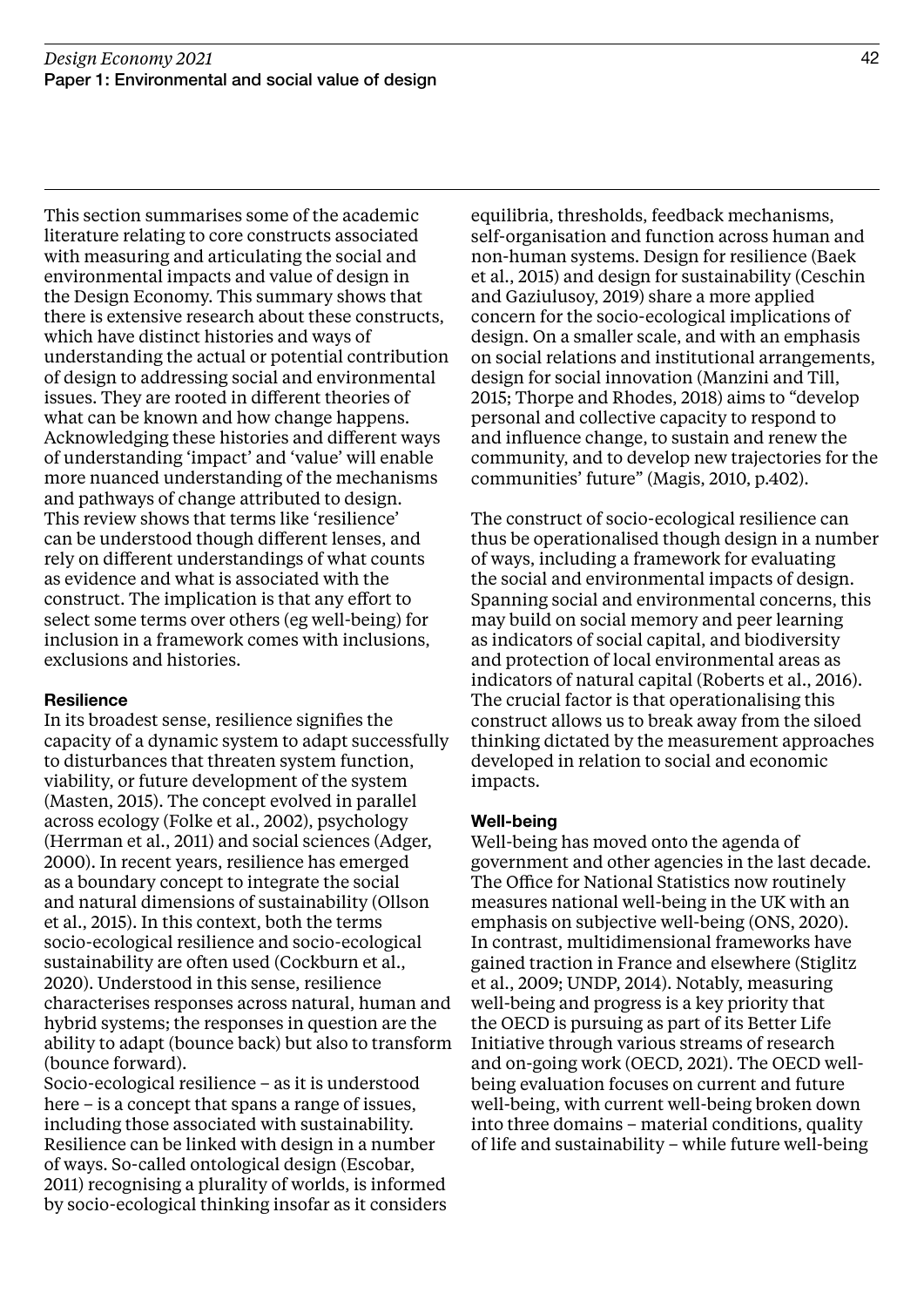This section summarises some of the academic literature relating to core constructs associated with measuring and articulating the social and environmental impacts and value of design in the Design Economy. This summary shows that there is extensive research about these constructs, which have distinct histories and ways of understanding the actual or potential contribution of design to addressing social and environmental issues. They are rooted in different theories of what can be known and how change happens. Acknowledging these histories and different ways of understanding 'impact' and 'value' will enable more nuanced understanding of the mechanisms and pathways of change attributed to design. This review shows that terms like 'resilience' can be understood though different lenses, and rely on different understandings of what counts as evidence and what is associated with the construct. The implication is that any effort to select some terms over others (eg well-being) for inclusion in a framework comes with inclusions, exclusions and histories.

### **Resilience**

In its broadest sense, resilience signifies the capacity of a dynamic system to adapt successfully to disturbances that threaten system function, viability, or future development of the system (Masten, 2015). The concept evolved in parallel across ecology (Folke et al., 2002), psychology (Herrman et al., 2011) and social sciences (Adger, 2000). In recent years, resilience has emerged as a boundary concept to integrate the social and natural dimensions of sustainability (Ollson et al., 2015). In this context, both the terms socio-ecological resilience and socio-ecological sustainability are often used (Cockburn et al., 2020). Understood in this sense, resilience characterises responses across natural, human and hybrid systems; the responses in question are the ability to adapt (bounce back) but also to transform (bounce forward).

Socio-ecological resilience – as it is understood here – is a concept that spans a range of issues, including those associated with sustainability. Resilience can be linked with design in a number of ways. So-called ontological design (Escobar, 2011) recognising a plurality of worlds, is informed by socio-ecological thinking insofar as it considers

equilibria, thresholds, feedback mechanisms, self-organisation and function across human and non-human systems. Design for resilience (Baek et al., 2015) and design for sustainability (Ceschin and Gaziulusoy, 2019) share a more applied concern for the socio-ecological implications of design. On a smaller scale, and with an emphasis on social relations and institutional arrangements, design for social innovation (Manzini and Till, 2015; Thorpe and Rhodes, 2018) aims to "develop personal and collective capacity to respond to and influence change, to sustain and renew the community, and to develop new trajectories for the communities' future" (Magis, 2010, p.402).

The construct of socio-ecological resilience can thus be operationalised though design in a number of ways, including a framework for evaluating the social and environmental impacts of design. Spanning social and environmental concerns, this may build on social memory and peer learning as indicators of social capital, and biodiversity and protection of local environmental areas as indicators of natural capital (Roberts et al., 2016). The crucial factor is that operationalising this construct allows us to break away from the siloed thinking dictated by the measurement approaches developed in relation to social and economic impacts.

#### Well-being

Well-being has moved onto the agenda of government and other agencies in the last decade. The Office for National Statistics now routinely measures national well-being in the UK with an emphasis on subjective well-being (ONS, 2020). In contrast, multidimensional frameworks have gained traction in France and elsewhere (Stiglitz et al., 2009; UNDP, 2014). Notably, measuring well-being and progress is a key priority that the OECD is pursuing as part of its Better Life Initiative through various streams of research and on-going work (OECD, 2021). The OECD wellbeing evaluation focuses on current and future well-being, with current well-being broken down into three domains – material conditions, quality of life and sustainability – while future well-being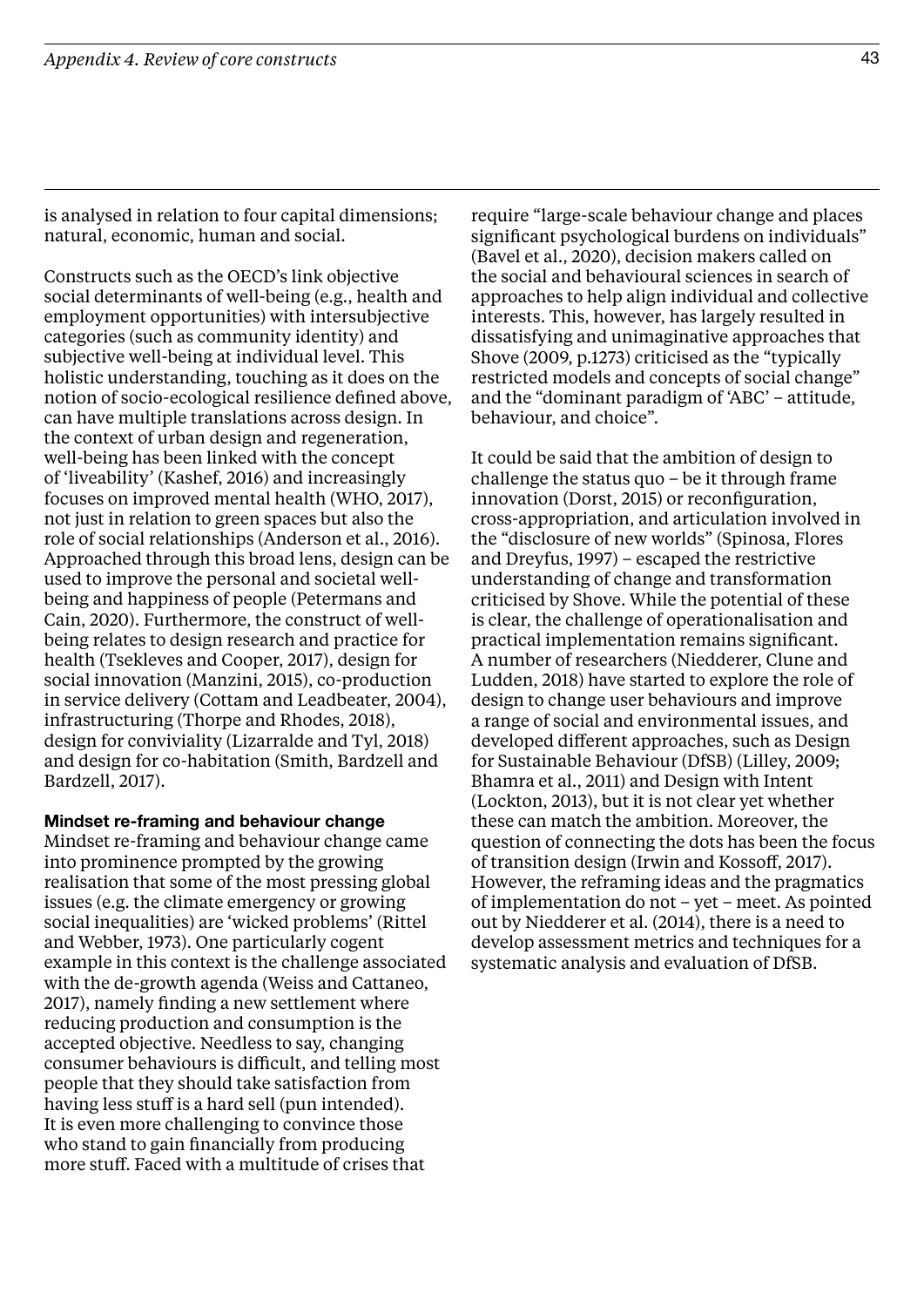is analysed in relation to four capital dimensions; natural, economic, human and social.

Constructs such as the OECD's link objective social determinants of well-being (e.g., health and employment opportunities) with intersubjective categories (such as community identity) and subjective well-being at individual level. This holistic understanding, touching as it does on the notion of socio-ecological resilience defined above, can have multiple translations across design. In the context of urban design and regeneration, well-being has been linked with the concept of 'liveability' (Kashef, 2016) and increasingly focuses on improved mental health (WHO, 2017), not just in relation to green spaces but also the role of social relationships (Anderson et al., 2016). Approached through this broad lens, design can be used to improve the personal and societal wellbeing and happiness of people (Petermans and Cain, 2020). Furthermore, the construct of wellbeing relates to design research and practice for health (Tsekleves and Cooper, 2017), design for social innovation (Manzini, 2015), co-production in service delivery (Cottam and Leadbeater, 2004), infrastructuring (Thorpe and Rhodes, 2018), design for conviviality (Lizarralde and Tyl, 2018) and design for co-habitation (Smith, Bardzell and Bardzell, 2017).

### Mindset re-framing and behaviour change

Mindset re-framing and behaviour change came into prominence prompted by the growing realisation that some of the most pressing global issues (e.g. the climate emergency or growing social inequalities) are 'wicked problems' (Rittel and Webber, 1973). One particularly cogent example in this context is the challenge associated with the de-growth agenda (Weiss and Cattaneo, 2017), namely finding a new settlement where reducing production and consumption is the accepted objective. Needless to say, changing consumer behaviours is difficult, and telling most people that they should take satisfaction from having less stuff is a hard sell (pun intended). It is even more challenging to convince those who stand to gain financially from producing more stuff. Faced with a multitude of crises that

require "large-scale behaviour change and places significant psychological burdens on individuals" (Bavel et al., 2020), decision makers called on the social and behavioural sciences in search of approaches to help align individual and collective interests. This, however, has largely resulted in dissatisfying and unimaginative approaches that Shove (2009, p.1273) criticised as the "typically restricted models and concepts of social change" and the "dominant paradigm of 'ABC' – attitude, behaviour, and choice".

It could be said that the ambition of design to challenge the status quo – be it through frame innovation (Dorst, 2015) or reconfiguration, cross-appropriation, and articulation involved in the "disclosure of new worlds" (Spinosa, Flores and Dreyfus, 1997) – escaped the restrictive understanding of change and transformation criticised by Shove. While the potential of these is clear, the challenge of operationalisation and practical implementation remains significant. A number of researchers (Niedderer, Clune and Ludden, 2018) have started to explore the role of design to change user behaviours and improve a range of social and environmental issues, and developed different approaches, such as Design for Sustainable Behaviour (DfSB) (Lilley, 2009; Bhamra et al., 2011) and Design with Intent (Lockton, 2013), but it is not clear yet whether these can match the ambition. Moreover, the question of connecting the dots has been the focus of transition design (Irwin and Kossoff, 2017). However, the reframing ideas and the pragmatics of implementation do not – yet – meet. As pointed out by Niedderer et al. (2014), there is a need to develop assessment metrics and techniques for a systematic analysis and evaluation of DfSB.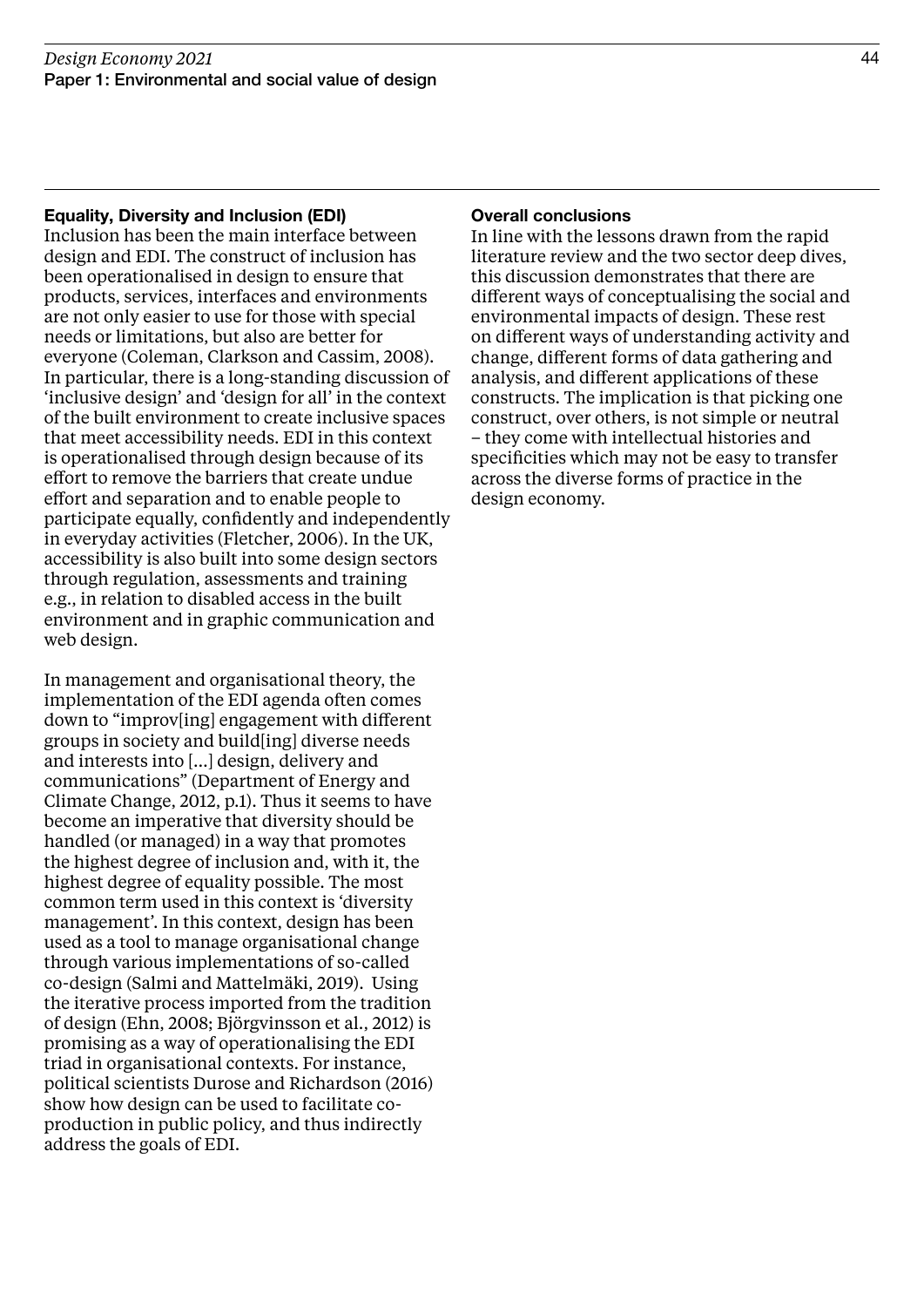### Equality, Diversity and Inclusion (EDI)

Inclusion has been the main interface between design and EDI. The construct of inclusion has been operationalised in design to ensure that products, services, interfaces and environments are not only easier to use for those with special needs or limitations, but also are better for everyone (Coleman, Clarkson and Cassim, 2008). In particular, there is a long-standing discussion of 'inclusive design' and 'design for all' in the context of the built environment to create inclusive spaces that meet accessibility needs. EDI in this context is operationalised through design because of its effort to remove the barriers that create undue effort and separation and to enable people to participate equally, confidently and independently in everyday activities (Fletcher, 2006). In the UK, accessibility is also built into some design sectors through regulation, assessments and training e.g., in relation to disabled access in the built environment and in graphic communication and web design.

In management and organisational theory, the implementation of the EDI agenda often comes down to "improv[ing] engagement with different groups in society and build[ing] diverse needs and interests into […] design, delivery and communications" (Department of Energy and Climate Change, 2012, p.1). Thus it seems to have become an imperative that diversity should be handled (or managed) in a way that promotes the highest degree of inclusion and, with it, the highest degree of equality possible. The most common term used in this context is 'diversity management'. In this context, design has been used as a tool to manage organisational change through various implementations of so-called co-design (Salmi and Mattelmäki, 2019). Using the iterative process imported from the tradition of design (Ehn, 2008; Björgvinsson et al., 2012) is promising as a way of operationalising the EDI triad in organisational contexts. For instance, political scientists Durose and Richardson (2016) show how design can be used to facilitate coproduction in public policy, and thus indirectly address the goals of EDI.

### Overall conclusions

In line with the lessons drawn from the rapid literature review and the two sector deep dives, this discussion demonstrates that there are different ways of conceptualising the social and environmental impacts of design. These rest on different ways of understanding activity and change, different forms of data gathering and analysis, and different applications of these constructs. The implication is that picking one construct, over others, is not simple or neutral – they come with intellectual histories and specificities which may not be easy to transfer across the diverse forms of practice in the design economy.